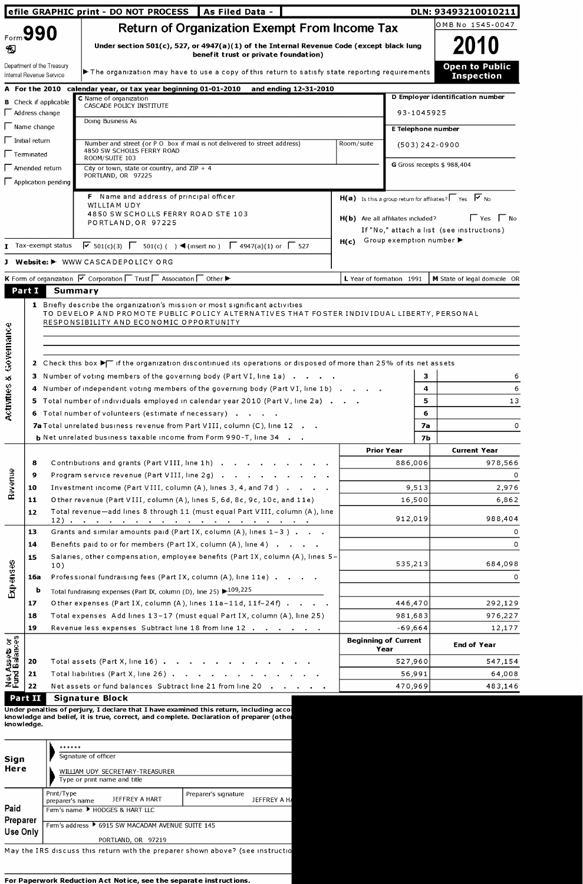|                                   | efile GRAPHIC print - DO NOT PROCESS |                                                                                                                                                                                                                                          |                                                                                          |                                     | DLN: 93493210010211                                                        |  |  |  |  |  |
|-----------------------------------|--------------------------------------|------------------------------------------------------------------------------------------------------------------------------------------------------------------------------------------------------------------------------------------|------------------------------------------------------------------------------------------|-------------------------------------|----------------------------------------------------------------------------|--|--|--|--|--|
|                                   | Form 990                             | <b>Return of Organization Exempt From Income Tax</b>                                                                                                                                                                                     |                                                                                          |                                     | OMB No 1545-0047                                                           |  |  |  |  |  |
| Đ                                 |                                      | benefit trust or private foundation)                                                                                                                                                                                                     | Under section 501(c), 527, or 4947(a)(1) of the Internal Revenue Code (except black lung |                                     |                                                                            |  |  |  |  |  |
|                                   | Internal Revenue Service             | Department of the Treasury<br>The organization may have to use a copy of this return to satisfy state reporting requirements                                                                                                             |                                                                                          |                                     | <b>Open to Public</b><br><b>Inspection</b>                                 |  |  |  |  |  |
|                                   |                                      | A For the 2010 calendar year, or tax year beginning 01-01-2010 and ending 12-31-2010                                                                                                                                                     |                                                                                          |                                     |                                                                            |  |  |  |  |  |
|                                   |                                      | C Name of organization<br><b>B</b> Check if applicable<br>CASCADE POLICY INSTITUTE                                                                                                                                                       |                                                                                          |                                     | D Employer identification number                                           |  |  |  |  |  |
|                                   | $\Box$ Address change                | Doing Business As                                                                                                                                                                                                                        |                                                                                          | 93-1045925                          |                                                                            |  |  |  |  |  |
|                                   | $\Gamma$ Name change                 |                                                                                                                                                                                                                                          |                                                                                          | E Telephone number                  |                                                                            |  |  |  |  |  |
|                                   | $\Box$ Initial return                | Number and street (or P O box if mail is not delivered to street address)                                                                                                                                                                | Room/suite                                                                               | $(503)$ 242-0900                    |                                                                            |  |  |  |  |  |
|                                   | $\Gamma$ Terminated                  | 4850 SW SCHOLLS FERRY ROAD<br>ROOM/SUITE 103                                                                                                                                                                                             |                                                                                          |                                     |                                                                            |  |  |  |  |  |
|                                   | $\Box$ Amended return                | City or town, state or country, and $ZIP + 4$<br>PORTLAND, OR 97225                                                                                                                                                                      |                                                                                          |                                     | G Gross receipts \$988,404                                                 |  |  |  |  |  |
|                                   |                                      | $\Box$ Application pending                                                                                                                                                                                                               |                                                                                          |                                     |                                                                            |  |  |  |  |  |
|                                   |                                      | F Name and address of principal officer                                                                                                                                                                                                  |                                                                                          |                                     | $H(a)$ Is this a group return for affiliates? $\sqrt{v}$ Yes $\sqrt{v}$ No |  |  |  |  |  |
|                                   |                                      | WILLIAM UDY<br>4850 SW SCHOLLS FERRY ROAD STE 103                                                                                                                                                                                        |                                                                                          |                                     |                                                                            |  |  |  |  |  |
|                                   |                                      | PORTLAND, OR 97225                                                                                                                                                                                                                       |                                                                                          | H(b) Are all affiliates included?   | Yes   No<br>If "No," attach a list (see instructions)                      |  |  |  |  |  |
|                                   |                                      |                                                                                                                                                                                                                                          |                                                                                          | $H(c)$ Group exemption number       |                                                                            |  |  |  |  |  |
|                                   |                                      | $\triangledown$ 501(c)(3) $\triangledown$ 501(c)( ) ◀ (insert no) $\triangledown$ 4947(a)(1) or $\triangledown$ 527<br>T Tax-exempt status                                                                                               |                                                                                          |                                     |                                                                            |  |  |  |  |  |
|                                   |                                      | J Website: I WWW CASCADEPOLICY ORG                                                                                                                                                                                                       |                                                                                          |                                     |                                                                            |  |  |  |  |  |
|                                   |                                      | K Form of organization V Corporation T Trust T Association T Other ►                                                                                                                                                                     | L Year of formation 1991                                                                 |                                     | M State of legal domicile OR                                               |  |  |  |  |  |
| Part I                            |                                      | <b>Summary</b>                                                                                                                                                                                                                           |                                                                                          |                                     |                                                                            |  |  |  |  |  |
| Governance                        |                                      | 2 Check this box $\blacktriangleright$ if the organization discontinued its operations or disposed of more than 25% of its net assets                                                                                                    |                                                                                          |                                     |                                                                            |  |  |  |  |  |
|                                   |                                      | 3 Number of voting members of the governing body (Part VI, line 1a)<br>4 Number of independent voting members of the governing body (Part VI, line 1b)<br>5 Total number of individuals employed in calendar year 2010 (Part V, line 2a) |                                                                                          | 3<br>4<br>5                         | 6<br>6<br>13                                                               |  |  |  |  |  |
|                                   |                                      | 6 Total number of volunteers (estimate if necessary)                                                                                                                                                                                     |                                                                                          | 6                                   |                                                                            |  |  |  |  |  |
|                                   |                                      | 7a Total unrelated business revenue from Part VIII, column (C), line 12                                                                                                                                                                  |                                                                                          | 7а<br>7Ь                            | $\circ$                                                                    |  |  |  |  |  |
|                                   |                                      | <b>b</b> Net unrelated business taxable income from Form 990-T, line 34                                                                                                                                                                  | <b>Prior Year</b>                                                                        |                                     | <b>Current Year</b>                                                        |  |  |  |  |  |
|                                   | 8                                    | Contributions and grants (Part VIII, line 1h)                                                                                                                                                                                            |                                                                                          | 886,006                             | 978,566                                                                    |  |  |  |  |  |
|                                   | 9                                    | Program service revenue (Part VIII, line 2g)                                                                                                                                                                                             |                                                                                          |                                     | 0                                                                          |  |  |  |  |  |
|                                   | 10                                   | Investment income (Part VIII, column (A), lines 3, 4, and 7d)                                                                                                                                                                            |                                                                                          | 9,513                               | 2,976                                                                      |  |  |  |  |  |
| Bavenue                           | 11                                   | Other revenue (Part VIII, column (A), lines 5, 6d, 8c, 9c, 10c, and 11e)                                                                                                                                                                 |                                                                                          | 16,500                              | 6,862                                                                      |  |  |  |  |  |
|                                   | 12                                   | Total revenue-add lines 8 through 11 (must equal Part VIII, column (A), line                                                                                                                                                             |                                                                                          | 912,019                             | 988,404                                                                    |  |  |  |  |  |
|                                   | 13                                   | Grants and similar amounts paid (Part IX, column $(A)$ , lines $1-3$ )                                                                                                                                                                   |                                                                                          |                                     | 0                                                                          |  |  |  |  |  |
|                                   | 14                                   | Benefits paid to or for members (Part IX, column (A), line 4)                                                                                                                                                                            |                                                                                          |                                     | 0                                                                          |  |  |  |  |  |
|                                   | 15                                   | Salaries, other compensation, employee benefits (Part IX, column (A), lines 5-<br>10)                                                                                                                                                    |                                                                                          | 535,213                             | 684,098                                                                    |  |  |  |  |  |
|                                   | 16a                                  | Professional fundraising fees (Part IX, column (A), line 11e)                                                                                                                                                                            |                                                                                          |                                     | 0                                                                          |  |  |  |  |  |
| Expenses                          | b                                    | Total fundraising expenses (Part IX, column (D), line 25) $\blacktriangleright$ 109,225                                                                                                                                                  |                                                                                          |                                     |                                                                            |  |  |  |  |  |
|                                   | 17                                   | Other expenses (Part IX, column (A), lines 11a-11d, 11f-24f)                                                                                                                                                                             |                                                                                          | 446,470                             | 292,129                                                                    |  |  |  |  |  |
|                                   | 18                                   | Total expenses Add lines 13-17 (must equal Part IX, column (A), line 25)                                                                                                                                                                 |                                                                                          | 981,683                             | 976,227                                                                    |  |  |  |  |  |
|                                   | 19                                   | Revenue less expenses Subtract line 18 from line 12                                                                                                                                                                                      |                                                                                          | $-69,664$                           | 12,177                                                                     |  |  |  |  |  |
|                                   |                                      |                                                                                                                                                                                                                                          |                                                                                          | <b>Beginning of Current</b><br>Year | <b>End of Year</b>                                                         |  |  |  |  |  |
| $\approx$<br><u>g</u><br>Activity | 20                                   | Total assets (Part X, line 16)                                                                                                                                                                                                           |                                                                                          | 527,960                             | 547,154                                                                    |  |  |  |  |  |
| Net Assets or<br>Fund Balances    | 21<br>22                             | Total liabilities (Part X, line 26)<br>Net assets or fund balances Subtract line 21 from line 20                                                                                                                                         |                                                                                          | 56,991<br>470,969                   | 64,008<br>483,146                                                          |  |  |  |  |  |

Under penalties of perjury, I declare that I have examined this return, including acco knowledge and belief, it is true, correct, and complete. Declaration of preparer (othe knowledge.

|          | ******                                            |                      |             |  |  |  |  |  |
|----------|---------------------------------------------------|----------------------|-------------|--|--|--|--|--|
| Sign     | Signature of officer                              |                      |             |  |  |  |  |  |
| Here     | WILLIAM UDY SECRETARY-TREASURER                   |                      |             |  |  |  |  |  |
|          | Type or print name and title                      |                      |             |  |  |  |  |  |
|          | Print/Type<br>JEFFREY A HART<br>preparer's name   | Preparer's signature | JEFFREY A H |  |  |  |  |  |
| Paid     | Firm's name FHODGES & HART LLC                    |                      |             |  |  |  |  |  |
| Preparer | Firm's address ▶ 6915 SW MACADAM AVENUE SUITE 145 |                      |             |  |  |  |  |  |
| Use Only |                                                   |                      |             |  |  |  |  |  |
|          | PORTLAND, OR 97219                                |                      |             |  |  |  |  |  |

May the IRS discuss this return with the preparer shown above? (see instructio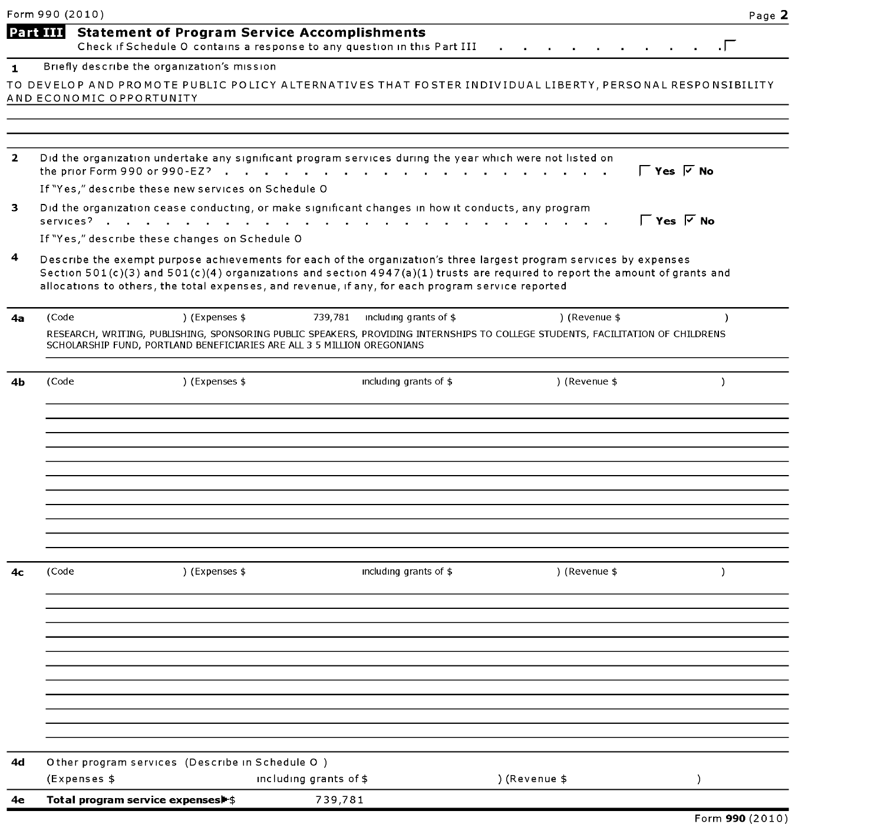|              | Form 990 (2010)                                                                                                                                                                                                                                                                                                                                        |                        |                                |               | Page 2                         |
|--------------|--------------------------------------------------------------------------------------------------------------------------------------------------------------------------------------------------------------------------------------------------------------------------------------------------------------------------------------------------------|------------------------|--------------------------------|---------------|--------------------------------|
|              | <b>Part III</b><br><b>Statement of Program Service Accomplishments</b><br>Check if Schedule O contains a response to any question in this Part III                                                                                                                                                                                                     |                        |                                |               | $\cdot \Gamma$                 |
| 1            | Briefly describe the organization's mission                                                                                                                                                                                                                                                                                                            |                        |                                |               |                                |
|              | TO DEVELOP AND PROMOTE PUBLIC POLICY ALTERNATIVES THAT FOSTER INDIVIDUAL LIBERTY, PERSONAL RESPONSIBILITY                                                                                                                                                                                                                                              |                        |                                |               |                                |
|              | AND ECONOMIC OPPORTUNITY                                                                                                                                                                                                                                                                                                                               |                        |                                |               |                                |
|              |                                                                                                                                                                                                                                                                                                                                                        |                        |                                |               |                                |
|              |                                                                                                                                                                                                                                                                                                                                                        |                        |                                |               |                                |
| $\mathbf{2}$ | Did the organization undertake any significant program services during the year which were not listed on                                                                                                                                                                                                                                               |                        |                                |               |                                |
|              |                                                                                                                                                                                                                                                                                                                                                        |                        |                                |               | $\Gamma$ Yes $\overline{V}$ No |
|              | If "Yes," describe these new services on Schedule O                                                                                                                                                                                                                                                                                                    |                        |                                |               |                                |
| 3            | Did the organization cease conducting, or make significant changes in how it conducts, any program                                                                                                                                                                                                                                                     |                        |                                |               | $\Gamma$ Yes $\sqrt{ }$ No     |
|              | If "Yes," describe these changes on Schedule O                                                                                                                                                                                                                                                                                                         |                        |                                |               |                                |
| 4            | Describe the exempt purpose achievements for each of the organization's three largest program services by expenses<br>Section 501(c)(3) and 501(c)(4) organizations and section 4947(a)(1) trusts are required to report the amount of grants and<br>allocations to others, the total expenses, and revenue, if any, for each program service reported |                        |                                |               |                                |
| 4а           | (Code<br>) (Expenses \$                                                                                                                                                                                                                                                                                                                                |                        | 739,781 including grants of \$ | ) (Revenue \$ |                                |
|              | RESEARCH, WRITING, PUBLISHING, SPONSORING PUBLIC SPEAKERS, PROVIDING INTERNSHIPS TO COLLEGE STUDENTS, FACILITATION OF CHILDRENS<br>SCHOLARSHIP FUND, PORTLAND BENEFICIARIES ARE ALL 3 5 MILLION OREGONIANS                                                                                                                                             |                        |                                |               |                                |
| 4b           | ) (Expenses \$<br>(Code                                                                                                                                                                                                                                                                                                                                |                        | including grants of \$         | ) (Revenue \$ | $\lambda$                      |
|              |                                                                                                                                                                                                                                                                                                                                                        |                        |                                |               |                                |
|              |                                                                                                                                                                                                                                                                                                                                                        |                        |                                |               |                                |
|              |                                                                                                                                                                                                                                                                                                                                                        |                        |                                |               |                                |
|              |                                                                                                                                                                                                                                                                                                                                                        |                        |                                |               |                                |
|              |                                                                                                                                                                                                                                                                                                                                                        |                        |                                |               |                                |
| 4с           | ) (Expenses \$<br>(Code                                                                                                                                                                                                                                                                                                                                |                        | including grants of \$         | ) (Revenue \$ | $\lambda$                      |
|              |                                                                                                                                                                                                                                                                                                                                                        |                        |                                |               |                                |
|              |                                                                                                                                                                                                                                                                                                                                                        |                        |                                |               |                                |
|              |                                                                                                                                                                                                                                                                                                                                                        |                        |                                |               |                                |
|              |                                                                                                                                                                                                                                                                                                                                                        |                        |                                |               |                                |
|              |                                                                                                                                                                                                                                                                                                                                                        |                        |                                |               |                                |
| 4d           | Other program services (Describe in Schedule O)                                                                                                                                                                                                                                                                                                        |                        |                                |               |                                |
|              | (Expenses \$                                                                                                                                                                                                                                                                                                                                           | including grants of \$ |                                | ) (Revenue \$ | $\mathcal{E}$                  |
| 4e           | Total program service expenses                                                                                                                                                                                                                                                                                                                         | 739,781                |                                |               |                                |
|              |                                                                                                                                                                                                                                                                                                                                                        |                        |                                |               | Form 990 (2010)                |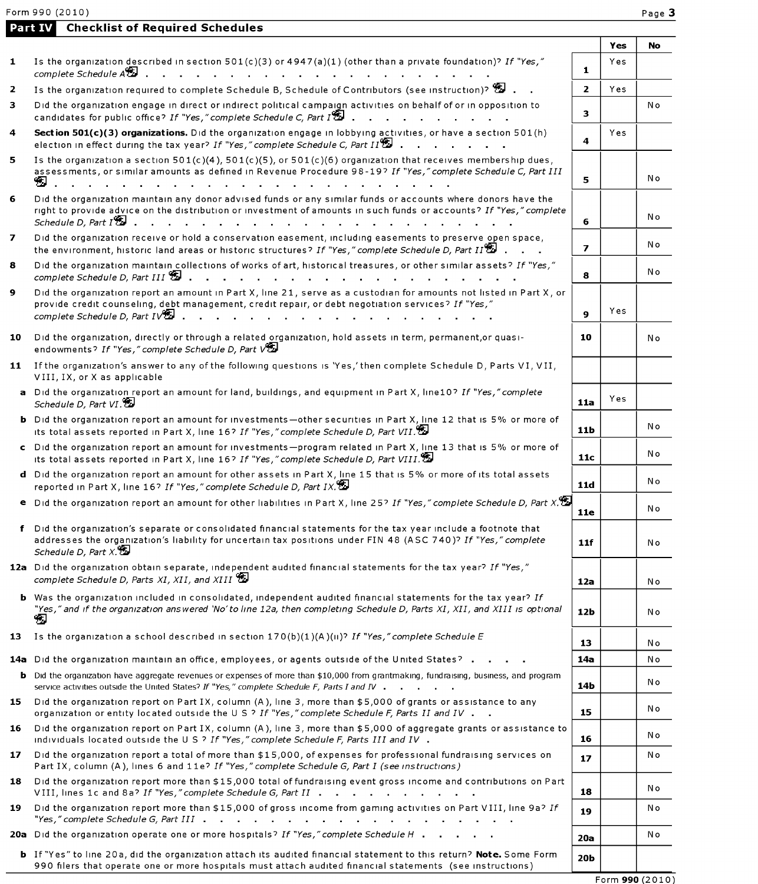|                | Form 990 (2010)                                                                                                                                                                                                                                                                                                                                                                                |                 |            | Page 2 |
|----------------|------------------------------------------------------------------------------------------------------------------------------------------------------------------------------------------------------------------------------------------------------------------------------------------------------------------------------------------------------------------------------------------------|-----------------|------------|--------|
|                | <b>Checklist of Required Schedules</b><br>Part IV                                                                                                                                                                                                                                                                                                                                              |                 |            |        |
| 1              | Is the organization described in section 501(c)(3) or 4947(a)(1) (other than a private foundation)? If "Yes,"<br>complete Schedule A <sup>89</sup><br>.                                                                                                                                                                                                                                        | $\mathbf{1}$    | Yes<br>Yes | No     |
| $\overline{2}$ | Is the organization required to complete Schedule B, Schedule of Contributors (see instruction)? $\mathbb{S}$ .                                                                                                                                                                                                                                                                                | $\overline{2}$  | Yes        |        |
| 3              | Did the organization engage in direct or indirect political campaign activities on behalf of or in opposition to<br>candidates for public office? If "Yes," complete Schedule C, Part I                                                                                                                                                                                                        | 3.              |            | N o    |
| 4              | Section 501(c)(3) organizations. Did the organization engage in lobbying activities, or have a section 501(h)<br>election in effect during the tax year? If "Yes," complete Schedule C, Part $H^{\bullet}$ .<br>the company of the company of                                                                                                                                                  | 4               | Yes        |        |
| 5              | Is the organization a section $501(c)(4)$ , $501(c)(5)$ , or $501(c)(6)$ organization that receives membership dues,<br>assessments, or similar amounts as defined in Revenue Procedure 98-19? If "Yes," complete Schedule C, Part III<br>包                                                                                                                                                    | 5               |            | N o    |
| 6              | Did the organization maintain any donor advised funds or any similar funds or accounts where donors have the<br>right to provide advice on the distribution or investment of amounts in such funds or accounts? If "Yes," complete<br>Schedule D, Part $I^{\bigcircledast}$<br>the contract of the contract of the contract of the contract of the contract of the contract of the contract of | 6               |            | N o    |
| 7              | Did the organization receive or hold a conservation easement, including easements to preserve open space,<br>the environment, historic land areas or historic structures? If "Yes," complete Schedule D, Part II                                                                                                                                                                               | $\overline{ }$  |            | N o    |
| 8              | Did the organization maintain collections of works of art, historical treasures, or other similar assets? If "Yes,"<br>complete Schedule D, Part III<br>and a series of the contract of the contract of the                                                                                                                                                                                    | 8               |            | N o    |
| 9              | Did the organization report an amount in Part X, line 21, serve as a custodian for amounts not listed in Part X, or<br>provide credit counseling, debt management, credit repair, or debt negotiation services? If "Yes,"<br>complete Schedule D, Part $1\sqrt{2}$ .                                                                                                                           | 9               | Yes        |        |
| 10             | Did the organization, directly or through a related organization, hold assets in term, permanent, or quasi-<br>endowments? If "Yes," complete Schedule D, Part VEL                                                                                                                                                                                                                             | 10              |            | N o    |
|                | 11 If the organization's answer to any of the following questions is 'Yes,' then complete Schedule D, Parts VI, VII,<br>VIII, IX, or X as applicable                                                                                                                                                                                                                                           |                 |            |        |
|                | a Did the organization report an amount for land, buildings, and equipment in Part X, line10? If "Yes," complete<br>Schedule D, Part VI.                                                                                                                                                                                                                                                       | 11a             | Yes        |        |
|                | <b>b</b> Did the organization report an amount for investments - other securities in Part X, line 12 that is 5% or more of<br>its total assets reported in Part X, line 16? If "Yes," complete Schedule D, Part VII.                                                                                                                                                                           | 11 <sub>b</sub> |            | N o    |
|                | c Did the organization report an amount for investments-program related in Part X, line 13 that is 5% or more of<br>its total assets reported in Part X, line 16? If "Yes," complete Schedule D, Part VIII.                                                                                                                                                                                    | 11c             |            | N o    |
|                | d Did the organization report an amount for other assets in Part X, line 15 that is 5% or more of its total assets<br>reported in Part X, line 16? If "Yes," complete Schedule D, Part IX.                                                                                                                                                                                                     | 11d             |            | Νo     |
|                | <b>e</b> Did the organization report an amount for other liabilities in Part X, line 25? If "Yes," complete Schedule D, Part X.                                                                                                                                                                                                                                                                | <b>11e</b>      |            | No     |
|                | f Did the organization's separate or consolidated financial statements for the tax year include a footnote that<br>addresses the organization's liability for uncertain tax positions under FIN 48 (ASC 740)? If "Yes," complete<br>Schedule D, Part $X$ .                                                                                                                                     | 11f             |            | N o    |
|                | 12a Did the organization obtain separate, independent audited financial statements for the tax year? If "Yes,"<br>complete Schedule D, Parts XI, XII, and XIII                                                                                                                                                                                                                                 | 12a             |            | N o    |
|                | <b>b</b> Was the organization included in consolidated, independent audited financial statements for the tax year? If<br>"Yes," and if the organization answered 'No' to line 12a, then completing Schedule D, Parts XI, XII, and XIII is optional<br>75.                                                                                                                                      | 12b             |            | Νo     |
| 13             | Is the organization a school described in section $170(b)(1)(A)(ii)^7$ If "Yes," complete Schedule E                                                                                                                                                                                                                                                                                           | 13              |            | Νo     |
|                | <b>14a</b> Did the organization maintain an office, employees, or agents outside of the United States?                                                                                                                                                                                                                                                                                         | 14a             |            | No     |
|                | <b>b</b> Did the organization have aggregate revenues or expenses of more than \$10,000 from grantmaking, fundraising, business, and program<br>service activities outside the United States? If "Yes," complete Schedule F, Parts I and IV                                                                                                                                                    | 14b             |            | Νo     |
| 15             | Did the organization report on Part IX, column (A), line 3, more than \$5,000 of grants or assistance to any<br>organization or entity located outside the U S ? If "Yes," complete Schedule F, Parts II and IV                                                                                                                                                                                | 15              |            | N o    |
| 16             | Did the organization report on Part IX, column (A), line 3, more than \$5,000 of aggregate grants or assistance to<br>individuals located outside the U S ? If "Yes," complete Schedule F, Parts III and IV .                                                                                                                                                                                  | 16              |            | N o    |
| 17             | Did the organization report a total of more than \$15,000, of expenses for professional fundraising services on<br>Part IX, column (A), lines 6 and 11e? If "Yes," complete Schedule G, Part I (see instructions)                                                                                                                                                                              | 17              |            | N o    |
| 18             | Did the organization report more than \$15,000 total of fundraising event gross income and contributions on Part<br>VIII, lines 1c and 8a? If "Yes," complete Schedule G, Part II                                                                                                                                                                                                              | 18              |            | N o    |
| 19             | Did the organization report more than \$15,000 of gross income from gaming activities on Part VIII, line 9a? If                                                                                                                                                                                                                                                                                | 19              |            | No     |
|                | 20a Did the organization operate one or more hospitals? If "Yes," complete Schedule H                                                                                                                                                                                                                                                                                                          | 20a             |            | Νo     |
|                | b If "Yes" to line 20a, did the organization attach its audited financial statement to this return? Note. Some Form                                                                                                                                                                                                                                                                            | 20 <sub>b</sub> |            |        |

990 filers that operate one or more hospitals must attach audited financial statements (see instructions)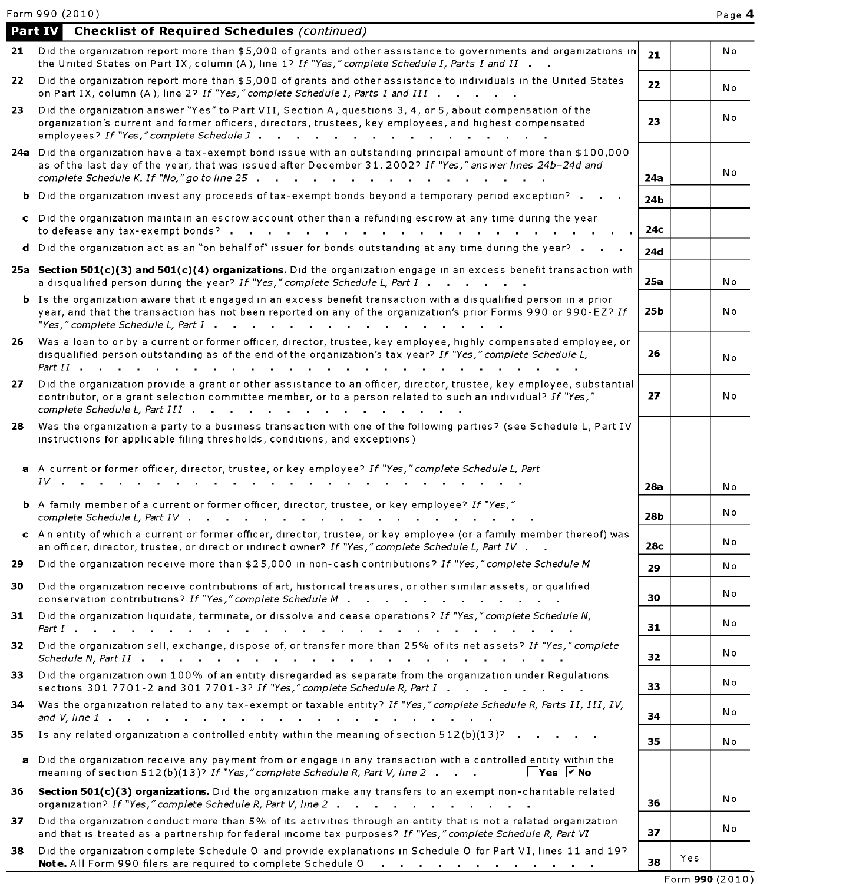Form 990 (2010) Page 4

|     | Part IV Checklist of Required Schedules (continued)                                                                                                                                                                                                                                                                                                                                                                                                                |     |     |     |  |  |
|-----|--------------------------------------------------------------------------------------------------------------------------------------------------------------------------------------------------------------------------------------------------------------------------------------------------------------------------------------------------------------------------------------------------------------------------------------------------------------------|-----|-----|-----|--|--|
| 21  | Did the organization report more than \$5,000 of grants and other assistance to governments and organizations in<br>the United States on Part IX, column (A), line 1? If "Yes," complete Schedule I, Parts I and II                                                                                                                                                                                                                                                | 21  |     | Νo  |  |  |
| 22. | Did the organization report more than \$5,000 of grants and other assistance to individuals in the United States<br>on Part IX, column (A), line 2? If "Yes," complete Schedule I, Parts I and III                                                                                                                                                                                                                                                                 | 22  |     | No  |  |  |
| 23. | Did the organization answer "Yes" to Part VII, Section A, questions 3, 4, or 5, about compensation of the<br>organization's current and former officers, directors, trustees, key employees, and highest compensated<br>employees? If "Yes," complete Schedule J                                                                                                                                                                                                   |     |     |     |  |  |
|     | 24a Did the organization have a tax-exempt bond issue with an outstanding principal amount of more than \$100,000<br>as of the last day of the year, that was issued after December 31, 2002? If "Yes," answer lines 24b-24d and<br>complete Schedule K. If "No," go to line 25 \cdots \cdots \cdots \cdots \cdots \cdots \cdots \cdots \cdots \cdots \cdots \cdots \cdots \cdots \cdots \cdots \cdots \cdots \cdots \cdots \cdots \cdots \cdots \cdots \cdots \cd | 24a |     | Νo  |  |  |
|     | <b>b</b> Did the organization invest any proceeds of tax-exempt bonds beyond a temporary period exception?                                                                                                                                                                                                                                                                                                                                                         | 24b |     |     |  |  |
|     | c Did the organization maintain an escrow account other than a refunding escrow at any time during the year<br>to defease any tax-exempt bonds?                                                                                                                                                                                                                                                                                                                    | 24с |     |     |  |  |
| d   | Did the organization act as an "on behalf of" issuer for bonds outstanding at any time during the year?                                                                                                                                                                                                                                                                                                                                                            | 24d |     |     |  |  |
|     | 25a Section 501(c)(3) and 501(c)(4) organizations. Did the organization engage in an excess benefit transaction with<br>a disqualified person during the year? If "Yes," complete Schedule L, Part I                                                                                                                                                                                                                                                               | 25a |     | Νo  |  |  |
|     | <b>b</b> Is the organization aware that it engaged in an excess benefit transaction with a disqualified person in a prior<br>year, and that the transaction has not been reported on any of the organization's prior Forms 990 or 990-EZ? If                                                                                                                                                                                                                       | 25b |     | No  |  |  |
| 26. | Was a loan to or by a current or former officer, director, trustee, key employee, highly compensated employee, or<br>disqualified person outstanding as of the end of the organization's tax year? If "Yes," complete Schedule L,<br>Part II                                                                                                                                                                                                                       | 26  |     | Νo  |  |  |
| 27. | Did the organization provide a grant or other assistance to an officer, director, trustee, key employee, substantial<br>contributor, or a grant selection committee member, or to a person related to such an individual? If "Yes,"                                                                                                                                                                                                                                | 27  |     | N o |  |  |
| 28. | Was the organization a party to a business transaction with one of the following parties? (see Schedule L, Part IV<br>instructions for applicable filing thresholds, conditions, and exceptions)                                                                                                                                                                                                                                                                   |     |     |     |  |  |
|     | a A current or former officer, director, trustee, or key employee? If "Yes," complete Schedule L, Part                                                                                                                                                                                                                                                                                                                                                             |     |     |     |  |  |
|     | $IV \qquad \qquad \ldots \qquad \qquad$                                                                                                                                                                                                                                                                                                                                                                                                                            | 28a |     | Νo  |  |  |
|     | b A family member of a current or former officer, director, trustee, or key employee? If "Yes,"<br>complete Schedule L, Part IV .<br><u>in the second contract of the second contract of the second contract of the second contract of the second contract of the second contract of the second contract of the second contract of the second contract of the second </u>                                                                                          | 28b |     | No  |  |  |
|     | c An entity of which a current or former officer, director, trustee, or key employee (or a family member thereof) was<br>an officer, director, trustee, or direct or indirect owner? If "Yes," complete Schedule L, Part IV                                                                                                                                                                                                                                        | 28c |     | Νo  |  |  |
| 29. | Did the organization receive more than \$25,000 in non-cash contributions? If "Yes," complete Schedule M                                                                                                                                                                                                                                                                                                                                                           | 29  |     | Νo  |  |  |
|     | Did the organization receive contributions of art, historical treasures, or other similar assets, or qualified<br>conservation contributions? If "Yes," complete Schedule M                                                                                                                                                                                                                                                                                        | 30  |     | Νo  |  |  |
| 31  | Did the organization liquidate, terminate, or dissolve and cease operations? If "Yes," complete Schedule N,<br>a construction of the construction of the construction of the construction of the construction of the construction of the construction of the construction of the construction of the construction of the construction of the                                                                                                                       | 31  |     | N o |  |  |
| 32  | Did the organization sell, exchange, dispose of, or transfer more than 25% of its net assets? If "Yes," complete                                                                                                                                                                                                                                                                                                                                                   | 32  |     | N o |  |  |
| 33. | Did the organization own 100% of an entity disregarded as separate from the organization under Regulations<br>sections 301 7701-2 and 301 7701-3? If "Yes," complete Schedule R, Part I                                                                                                                                                                                                                                                                            | 33  |     | N o |  |  |
| 34  | Was the organization related to any tax-exempt or taxable entity? If "Yes," complete Schedule R, Parts II, III, IV,                                                                                                                                                                                                                                                                                                                                                | 34  |     | Νo  |  |  |
| 35. | Is any related organization a controlled entity within the meaning of section 512(b)(13)?                                                                                                                                                                                                                                                                                                                                                                          | 35  |     | No  |  |  |
|     | a Did the organization receive any payment from or engage in any transaction with a controlled entity within the<br>$\Gamma$ Yes $\overline{V}$ No<br>meaning of section 512(b)(13)? If "Yes," complete Schedule R, Part V, line 2                                                                                                                                                                                                                                 |     |     |     |  |  |
| 36  | Section 501(c)(3) organizations. Did the organization make any transfers to an exempt non-charitable related<br>organization? If "Yes," complete Schedule R, Part V, line 2                                                                                                                                                                                                                                                                                        | 36  |     | Νo  |  |  |
| 37  | Did the organization conduct more than 5% of its activities through an entity that is not a related organization<br>and that is treated as a partnership for federal income tax purposes? If "Yes," complete Schedule R, Part VI                                                                                                                                                                                                                                   | 37  |     | N o |  |  |
| 38  | Did the organization complete Schedule O and provide explanations in Schedule O for Part VI, lines 11 and 19?<br>Note. All Form 990 filers are required to complete Schedule O<br>the contract of the contract of the contract of the contract of                                                                                                                                                                                                                  | 38  | Yes |     |  |  |

Form 990 (2010)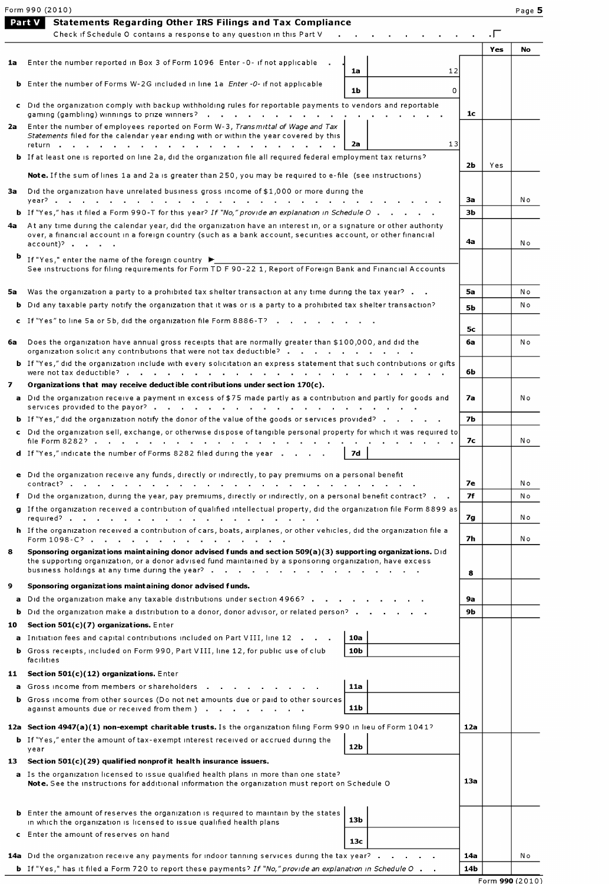|     | Form 990 (2010)                                                                                                                                                                                                                                                                                                                                                                            |     |                | Page 5 |
|-----|--------------------------------------------------------------------------------------------------------------------------------------------------------------------------------------------------------------------------------------------------------------------------------------------------------------------------------------------------------------------------------------------|-----|----------------|--------|
|     | Part V<br><b>Statements Regarding Other IRS Filings and Tax Compliance</b>                                                                                                                                                                                                                                                                                                                 |     |                |        |
|     | Check if Schedule O contains a response to any question in this Part V                                                                                                                                                                                                                                                                                                                     |     | $\cdot \Gamma$ |        |
|     |                                                                                                                                                                                                                                                                                                                                                                                            |     | Yes            | No     |
| 1a  | Enter the number reported in Box 3 of Form 1096 Enter -0- if not applicable<br>1a<br>12                                                                                                                                                                                                                                                                                                    |     |                |        |
|     | <b>b</b> Enter the number of Forms W-2G included in line 1a <i>Enter -0-</i> if not applicable                                                                                                                                                                                                                                                                                             |     |                |        |
|     | 1b<br>0                                                                                                                                                                                                                                                                                                                                                                                    |     |                |        |
|     | c Did the organization comply with backup withholding rules for reportable payments to vendors and reportable<br>gaming (gambling) winnings to prize winners?                                                                                                                                                                                                                              | 1c  |                |        |
| 2a  | Enter the number of employees reported on Form W-3, Transmittal of Wage and Tax                                                                                                                                                                                                                                                                                                            |     |                |        |
|     | Statements filed for the calendar year ending with or within the year covered by this<br>13<br>2a                                                                                                                                                                                                                                                                                          |     |                |        |
|     | <b>b</b> If at least one is reported on line 2a, did the organization file all required federal employment tax returns?                                                                                                                                                                                                                                                                    |     |                |        |
|     | Note. If the sum of lines 1a and 2a is greater than 250, you may be required to e-file (see instructions)                                                                                                                                                                                                                                                                                  | 2Ь  | Yes            |        |
|     | Did the organization have unrelated business gross income of \$1,000 or more during the                                                                                                                                                                                                                                                                                                    |     |                |        |
| 3a  |                                                                                                                                                                                                                                                                                                                                                                                            | За  |                | N o    |
|     | <b>b</b> If "Yes," has it filed a Form 990-T for this year? If "No," provide an explanation in Schedule O                                                                                                                                                                                                                                                                                  | зь  |                |        |
| 4a  | At any time during the calendar year, did the organization have an interest in, or a signature or other authority                                                                                                                                                                                                                                                                          |     |                |        |
|     | over, a financial account in a foreign country (such as a bank account, securities account, or other financial<br>$\text{account}$ ) $\cdot$ $\cdot$ $\cdot$ $\cdot$                                                                                                                                                                                                                       | 4а  |                | No     |
| ь   | If "Yes," enter the name of the foreign country ▶                                                                                                                                                                                                                                                                                                                                          |     |                |        |
|     | See instructions for filing requirements for Form TD F 90-22 1, Report of Foreign Bank and Financial Accounts                                                                                                                                                                                                                                                                              |     |                |        |
|     | Was the organization a party to a prohibited tax shelter transaction at any time during the tax year?                                                                                                                                                                                                                                                                                      | 5а  |                | N o    |
| 5а  | <b>b</b> Did any taxable party notify the organization that it was or is a party to a prohibited tax shelter transaction?                                                                                                                                                                                                                                                                  |     |                | Νo     |
|     |                                                                                                                                                                                                                                                                                                                                                                                            | 5Ь  |                |        |
|     | c If "Yes" to line 5a or 5b, did the organization file Form 8886-T?                                                                                                                                                                                                                                                                                                                        | 5с  |                |        |
| 6a  | Does the organization have annual gross receipts that are normally greater than \$100,000, and did the                                                                                                                                                                                                                                                                                     | 6а  |                | No     |
|     | organization solicit any contributions that were not tax deductible?                                                                                                                                                                                                                                                                                                                       |     |                |        |
|     | <b>b</b> If "Yes," did the organization include with every solicitation an express statement that such contributions or gifts<br>were not tax deductible?<br>a construction of the construction of the construction of the construction of the construction of the construction of the construction of the construction of the construction of the construction of the construction of the | 6b  |                |        |
| 7   | Organizations that may receive deductible contributions under section $170(c)$ .                                                                                                                                                                                                                                                                                                           |     |                |        |
|     | a Did the organization receive a payment in excess of \$75 made partly as a contribution and partly for goods and                                                                                                                                                                                                                                                                          | 7a  |                | No     |
|     | <b>b</b> If "Yes," did the organization notify the donor of the value of the goods or services provided?                                                                                                                                                                                                                                                                                   | 7Ь  |                |        |
|     | c Did the organization sell, exchange, or otherwise dispose of tangible personal property for which it was required to                                                                                                                                                                                                                                                                     |     |                |        |
|     |                                                                                                                                                                                                                                                                                                                                                                                            | 7с  |                | Νo     |
|     | d If "Yes," indicate the number of Forms 8282 filed during the year<br>7d                                                                                                                                                                                                                                                                                                                  |     |                |        |
|     | e Did the organization receive any funds, directly or indirectly, to pay premiums on a personal benefit                                                                                                                                                                                                                                                                                    |     |                |        |
|     |                                                                                                                                                                                                                                                                                                                                                                                            | 7е  |                | Νo     |
|     | f Did the organization, during the year, pay premiums, directly or indirectly, on a personal benefit contract?                                                                                                                                                                                                                                                                             | 7f  |                | Nο     |
|     | g If the organization received a contribution of qualified intellectual property, did the organization file Form 8899 as                                                                                                                                                                                                                                                                   | 7g  |                | N o    |
|     | h If the organization received a contribution of cars, boats, airplanes, or other vehicles, did the organization file a                                                                                                                                                                                                                                                                    |     |                |        |
|     | Form 1098-C?                                                                                                                                                                                                                                                                                                                                                                               | 7h  |                | Νo     |
| 8   | Sponsoring organizations maintaining donor advised funds and section 509(a)(3) supporting organizations. Did<br>the supporting organization, or a donor advised fund maintained by a sponsoring organization, have excess                                                                                                                                                                  |     |                |        |
|     |                                                                                                                                                                                                                                                                                                                                                                                            | 8   |                |        |
| 9   | Sponsoring organizations maintaining donor advised funds.                                                                                                                                                                                                                                                                                                                                  |     |                |        |
|     | a Did the organization make any taxable distributions under section 4966?                                                                                                                                                                                                                                                                                                                  | 9а  |                |        |
| b   | Did the organization make a distribution to a donor, donor advisor, or related person?                                                                                                                                                                                                                                                                                                     | 9b  |                |        |
| 10  | Section $501(c)(7)$ organizations. Enter                                                                                                                                                                                                                                                                                                                                                   |     |                |        |
|     | a Initiation fees and capital contributions included on Part VIII, line 12<br>10a                                                                                                                                                                                                                                                                                                          |     |                |        |
|     | <b>b</b> Gross receipts, included on Form 990, Part VIII, line 12, for public use of club<br>10b<br>facilities                                                                                                                                                                                                                                                                             |     |                |        |
|     | 11 Section 501(c)(12) organizations. Enter                                                                                                                                                                                                                                                                                                                                                 |     |                |        |
|     | a Gross income from members or shareholders<br>11a                                                                                                                                                                                                                                                                                                                                         |     |                |        |
|     | <b>b</b> Gross income from other sources (Do not net amounts due or paid to other sources                                                                                                                                                                                                                                                                                                  |     |                |        |
|     | 11b<br>against amounts due or received from them )                                                                                                                                                                                                                                                                                                                                         |     |                |        |
|     | 12a Section 4947(a)(1) non-exempt charitable trusts. Is the organization filing Form 990 in lieu of Form 1041?                                                                                                                                                                                                                                                                             | 12a |                |        |
|     | <b>b</b> If "Yes," enter the amount of tax-exempt interest received or accrued during the<br>12 <sub>b</sub><br>year                                                                                                                                                                                                                                                                       |     |                |        |
| 13. | Section $501(c)(29)$ qualified nonprofit health insurance issuers.                                                                                                                                                                                                                                                                                                                         |     |                |        |
|     | a Is the organization licensed to issue qualified health plans in more than one state?                                                                                                                                                                                                                                                                                                     |     |                |        |
|     | Note. See the instructions for additional information the organization must report on Schedule O                                                                                                                                                                                                                                                                                           | 13a |                |        |
|     |                                                                                                                                                                                                                                                                                                                                                                                            |     |                |        |
|     | <b>b</b> Enter the amount of reserves the organization is required to maintain by the states<br>13 <sub>b</sub><br>in which the organization is licensed to issue qualified health plans                                                                                                                                                                                                   |     |                |        |
|     | c Enter the amount of reserves on hand                                                                                                                                                                                                                                                                                                                                                     |     |                |        |
|     | 13c                                                                                                                                                                                                                                                                                                                                                                                        |     |                |        |
|     | 14a Did the organization receive any payments for indoor tanning services during the tax year?                                                                                                                                                                                                                                                                                             | 14a |                | Νo     |
|     | <b>b</b> If "Yes," has it filed a Form 720 to report these payments? If "No," provide an explanation in Schedule O                                                                                                                                                                                                                                                                         | 14b |                |        |

Form 990 (2010)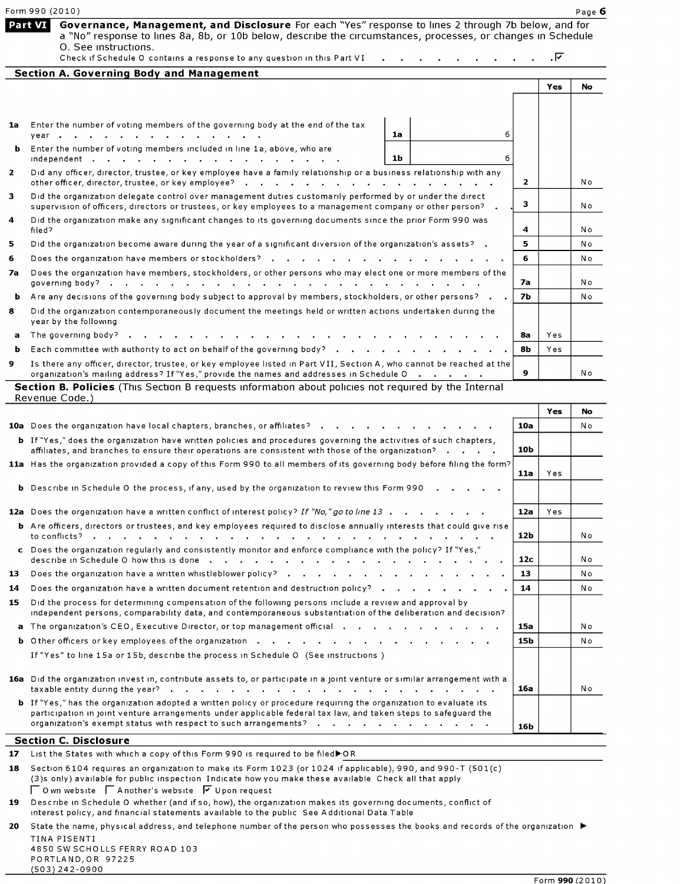|    | Form 990 (2010)                                                                                                                                                                                                                                                                                                                   |              |     | Page 6 |
|----|-----------------------------------------------------------------------------------------------------------------------------------------------------------------------------------------------------------------------------------------------------------------------------------------------------------------------------------|--------------|-----|--------|
|    | Part VI<br>Governance, Management, and Disclosure For each "Yes" response to lines 2 through 7b below, and for<br>a "No" response to lines 8a, 8b, or 10b below, describe the circumstances, processes, or changes in Schedule<br>O. See instructions.<br>Check if Schedule O contains a response to any question in this Part VI |              | . দ |        |
|    | <b>Section A. Governing Body and Management</b>                                                                                                                                                                                                                                                                                   |              |     |        |
|    |                                                                                                                                                                                                                                                                                                                                   |              | Yes | No     |
|    |                                                                                                                                                                                                                                                                                                                                   |              |     |        |
| 1a | Enter the number of voting members of the governing body at the end of the tax<br>1a<br>6<br>year                                                                                                                                                                                                                                 |              |     |        |
|    | <b>b</b> Enter the number of voting members included in line 1a, above, who are<br>1b<br>6<br>independent                                                                                                                                                                                                                         |              |     |        |
| 2  | Did any officer, director, trustee, or key employee have a family relationship or a business relationship with any<br>other officer, director, trustee, or key employee?                                                                                                                                                          | $\mathbf{2}$ |     | Νo     |
| 3  | Did the organization delegate control over management duties customarily performed by or under the direct<br>supervision of officers, directors or trustees, or key employees to a management company or other person? .                                                                                                          | з.           |     | Νo     |
| 4  | Did the organization make any significant changes to its governing documents since the prior Form 990 was<br>filed?                                                                                                                                                                                                               | 4            |     | Νo     |
| 5  | Did the organization become aware during the year of a significant diversion of the organization's assets? .                                                                                                                                                                                                                      | 5            |     | N o    |
| 6  | Does the organization have members or stockholders?                                                                                                                                                                                                                                                                               | 6            |     | Νo     |
| 7а | Does the organization have members, stockholders, or other persons who may elect one or more members of the<br>and a series of the contract of the contract of the<br>governing body?                                                                                                                                             | 7а           |     | No     |
| ь  | Are any decisions of the governing body subject to approval by members, stockholders, or other persons?                                                                                                                                                                                                                           | <b>7b</b>    |     | No     |
| 8  | Did the organization contemporaneously document the meetings held or written actions undertaken during the<br>year by the following                                                                                                                                                                                               |              |     |        |
| a  | The governing body? $\blacksquare$                                                                                                                                                                                                                                                                                                | 8а           | Yes |        |
| ь  | Each committee with authority to act on behalf of the governing body?                                                                                                                                                                                                                                                             | 8b           | Yes |        |
| 9  | Is there any officer, director, trustee, or key employee listed in Part VII, Section A, who cannot be reached at the<br>organization's mailing address? If "Yes," provide the names and addresses in Schedule O                                                                                                                   | 9            |     | Νo     |
|    | Section B. Policies (This Section B requests information about policies not required by the Internal<br>Revenue Code.)                                                                                                                                                                                                            |              |     |        |
|    |                                                                                                                                                                                                                                                                                                                                   |              | Yes | No     |
|    | 10a Does the organization have local chapters, branches, or affiliates?                                                                                                                                                                                                                                                           | 10a          |     | N o    |
|    | <b>b</b> If "Yes," does the organization have written policies and procedures governing the activities of such chapters<br>affiliates, and branches to ensure their operations are consistent with those of the organization?                                                                                                     | 10b          |     |        |
|    | 11a Has the organization provided a copy of this Form 990 to all members of its governing body before filing the form?                                                                                                                                                                                                            |              |     |        |
|    | <b>b</b> Describe in Schedule O the process, if any, used by the organization to review this Form 990                                                                                                                                                                                                                             | 11a          | Yes |        |
|    | 12a Does the organization have a written conflict of interest policy? If "No," go to line 13                                                                                                                                                                                                                                      | 12a          | Yes |        |
|    | <b>b</b> Are officers, directors or trustees, and key employees required to disclose annually interests that could give rise                                                                                                                                                                                                      | 12b          |     | N o    |
|    | c Does the organization regularly and consistently monitor and enforce compliance with the policy? If "Yes,"                                                                                                                                                                                                                      | 12c          |     | No     |
| 13 |                                                                                                                                                                                                                                                                                                                                   | 13           |     | N o    |
| 14 | Does the organization have a written document retention and destruction policy?                                                                                                                                                                                                                                                   | 14           |     | No     |
| 15 | Did the process for determining compensation of the following persons include a review and approval by<br>independent persons, comparability data, and contemporaneous substantiation of the deliberation and decision?                                                                                                           |              |     |        |
|    | a The organization's CEO, Executive Director, or top management official and all and all and all and all all a                                                                                                                                                                                                                    | 15a          |     | N o    |
|    |                                                                                                                                                                                                                                                                                                                                   | 15b          |     | N o    |
|    | If "Yes" to line 15a or 15b, describe the process in Schedule O (See instructions)                                                                                                                                                                                                                                                |              |     |        |
|    | 16a Did the organization invest in, contribute assets to, or participate in a joint venture or similar arrangement with a                                                                                                                                                                                                         | 16a          |     | Νo     |
|    | <b>b</b> If "Yes," has the organization adopted a written policy or procedure requiring the organization to evaluate its<br>participation in joint venture arrangements under applicable federal tax law, and taken steps to safeguard the<br>organization's exempt status with respect to such arrangements?                     | 16b          |     |        |
|    | <b>Section C. Disclosure</b>                                                                                                                                                                                                                                                                                                      |              |     |        |
| 17 | List the States with which a copy of this Form 990 is required to be filed▶OR                                                                                                                                                                                                                                                     |              |     |        |
| 18 | Section 6104 requires an organization to make its Form 1023 (or 1024 if applicable), 990, and 990-T (501(c)<br>(3)s only) available for public inspection Indicate how you make these available Check all that apply<br>$\Box$ O wn website $\Box$ A nother's website $\Box$ U pon request                                        |              |     |        |

19 Describe in Schedule 0 whether (and if so, how), the organization makes its governing documents, conflict of interest policy, and financial statements available to the public See Additional Data Table

(503) 242-0900

20 State the name, physical address, and telephone number of the person who possesses the books and records of the organization  $\blacktriangleright$ TINA PISENTI 4850 SW SCHOLLS FERRY ROAD 103 PORTLAND,OR 97225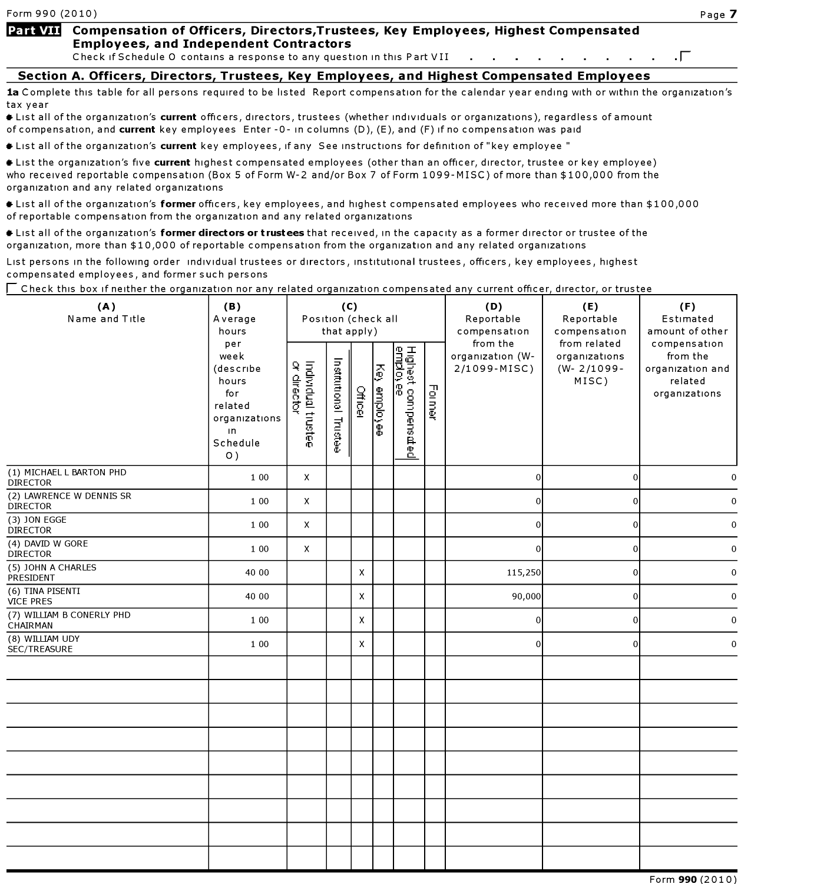### Part VII Compensation of Officers, Directors, Trustees, Key Employees, Highest Compensated Employees, and Independent Contractors

Check if Schedule 0 contains <sup>a</sup> response to any question in this Part VII (-

### Section A. Officers, Directors, Trustees, Kev Employees, and Highest Compensated Employees

1a Complete this table for all persons required to be listed Report compensation for the calendar year ending with or within the organization's tax year

It List all of the organization's current officers, directors, trustees (whether individuals or organizations), regardless of amount of compensation, and current key employees Enter -0- in columns (D), (E), and (F) if no compensation was paid

 $\bullet$  List all of the organization's current key employees, if any See instructions for definition of "key employee "

**\*** List the organization's five current highest compensated employees (other than an officer, director, trustee or key employee) who received reportable compensation (Box <sup>5</sup> of Form W-2 and/or Box <sup>7</sup> of Form 1099-MISC) of more than \$100,000 from the organization and any related organizations

**#** List all of the organization's former officers, key employees, and highest compensated employees who received more than \$100,000 of reportable compensation from the organization and any related organizations

Itst all of the organization's former directors or trustees that received, in the capacity as a former director or trustee of the organization, more than \$10,000 of reportable compensation from the organization and any related organizations

List persons in the following order individual trustees or directors , institutional trustees, officers, key employees , highest compensated employees , and former such persons

| (A)<br>Name and Title                       | (B)<br>Average<br>hours                                                                                 | (C)<br>Position (check all<br>that apply) |                       |         |              |                                                                       |        | (D)<br>Reportable<br>compensation            | (E)<br>Reportable<br>compensation                         | (F)<br>Estimated<br>amount of other                                      |
|---------------------------------------------|---------------------------------------------------------------------------------------------------------|-------------------------------------------|-----------------------|---------|--------------|-----------------------------------------------------------------------|--------|----------------------------------------------|-----------------------------------------------------------|--------------------------------------------------------------------------|
|                                             | per<br>week<br>(describe<br>hours<br>for<br>related<br>organizations<br>$\mathsf{I}$<br>Schedule<br>O() | Individual trustee<br>or director         | Institutional Trustee | Officer | Key employee | Highest compens <i>a</i> t<br><u>employee</u><br>$\mathbf{\tilde{z}}$ | Former | from the<br>organization (W-<br>2/1099-MISC) | from related<br>organizations<br>$(W - 2/1099 -$<br>MISC) | compensation<br>from the<br>organization and<br>related<br>organizations |
| (1) MICHAEL L BARTON PHD<br><b>DIRECTOR</b> | 1 0 0                                                                                                   | Χ                                         |                       |         |              |                                                                       |        | $\overline{0}$                               | $\overline{0}$                                            | $\pmb{0}$                                                                |
| (2) LAWRENCE W DENNIS SR<br><b>DIRECTOR</b> | 1 0 0                                                                                                   | X                                         |                       |         |              |                                                                       |        | $\mathbf 0$                                  | $\overline{0}$                                            | $\boldsymbol{0}$                                                         |
| (3) JON EGGE<br><b>DIRECTOR</b>             | 1 0 0                                                                                                   | X                                         |                       |         |              |                                                                       |        | $\mathbf{0}$                                 | 0                                                         | $\bf{0}$                                                                 |
| (4) DAVID W GORE<br><b>DIRECTOR</b>         | 1 0 0                                                                                                   | X                                         |                       |         |              |                                                                       |        | $\overline{0}$                               | $\overline{0}$                                            | $\boldsymbol{0}$                                                         |
| (5) JOHN A CHARLES<br>PRESIDENT             | 40 00                                                                                                   |                                           |                       | X       |              |                                                                       |        | 115,250                                      | $\overline{0}$                                            | $\mathbf 0$                                                              |
| (6) TINA PISENTI<br><b>VICE PRES</b>        | 40 00                                                                                                   |                                           |                       | X       |              |                                                                       |        | 90,000                                       | $\vert 0 \vert$                                           | $\mathbf 0$                                                              |
| (7) WILLIAM B CONERLY PHD<br>CHAIRMAN       | 1 0 0                                                                                                   |                                           |                       | X       |              |                                                                       |        | $\overline{0}$                               | 0                                                         | $\mathbf 0$                                                              |
| (8) WILLIAM UDY<br>SEC/TREASURE             | 1 0 0                                                                                                   |                                           |                       | X       |              |                                                                       |        | $\overline{0}$                               | $\vert$ 0                                                 | $\pmb{0}$                                                                |
|                                             |                                                                                                         |                                           |                       |         |              |                                                                       |        |                                              |                                                           |                                                                          |
|                                             |                                                                                                         |                                           |                       |         |              |                                                                       |        |                                              |                                                           |                                                                          |
|                                             |                                                                                                         |                                           |                       |         |              |                                                                       |        |                                              |                                                           |                                                                          |
|                                             |                                                                                                         |                                           |                       |         |              |                                                                       |        |                                              |                                                           |                                                                          |
|                                             |                                                                                                         |                                           |                       |         |              |                                                                       |        |                                              |                                                           |                                                                          |
|                                             |                                                                                                         |                                           |                       |         |              |                                                                       |        |                                              |                                                           |                                                                          |
|                                             |                                                                                                         |                                           |                       |         |              |                                                                       |        |                                              |                                                           |                                                                          |
|                                             |                                                                                                         |                                           |                       |         |              |                                                                       |        |                                              |                                                           |                                                                          |
|                                             |                                                                                                         |                                           |                       |         |              |                                                                       |        |                                              |                                                           |                                                                          |

 $\Gamma$  Check this box if neither the organization nor any related organization compensated any current officer, director, or trustee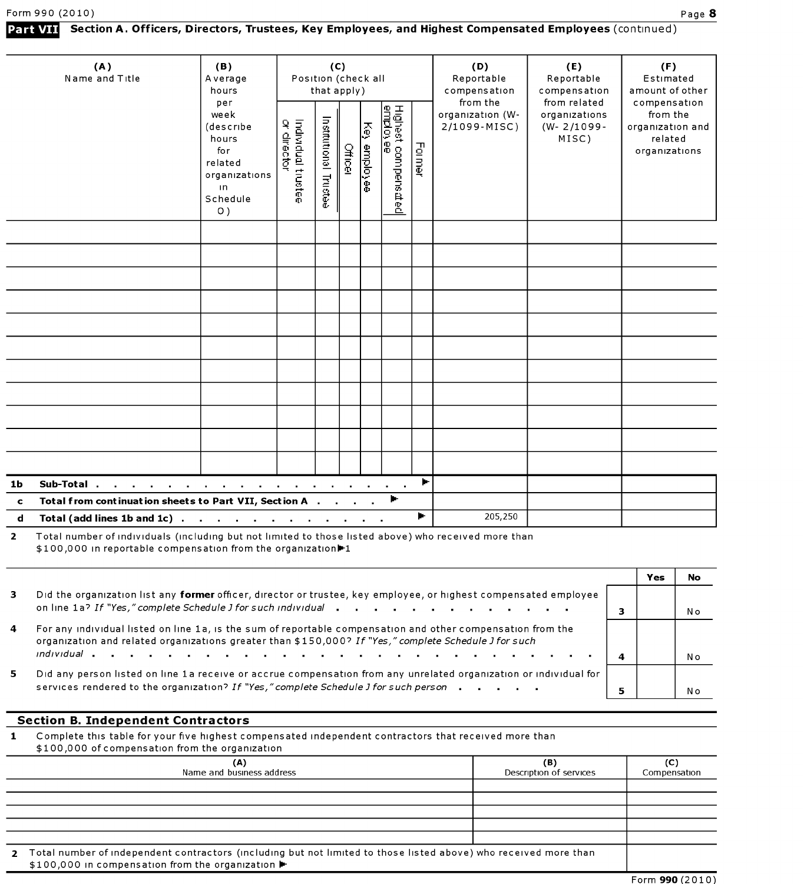|              | (A)                                                                                           | (B)                                                                                                      |                                    |                       | (C)     |              |                                        |        | (D)                                          | (E)                                                       | (F)                                                                      |
|--------------|-----------------------------------------------------------------------------------------------|----------------------------------------------------------------------------------------------------------|------------------------------------|-----------------------|---------|--------------|----------------------------------------|--------|----------------------------------------------|-----------------------------------------------------------|--------------------------------------------------------------------------|
|              | Name and Title                                                                                | Average<br>hours                                                                                         | Position (check all<br>that apply) |                       |         |              |                                        |        | Reportable<br>compensation                   | Reportable<br>compensation                                | Estimated<br>amount of other                                             |
|              |                                                                                               | per<br>week<br>(describe<br>hours<br>for<br>related<br>organizations<br>$\mathsf{In}$<br>Schedule<br>O() | Individual trustee<br>or director  | Institutional Trustee | Officer | Key employee | Highest compensated<br><u>employee</u> | Former | from the<br>organization (W-<br>2/1099-MISC) | from related<br>organizations<br>$(W - 2/1099 -$<br>MISC) | compensation<br>from the<br>organization and<br>related<br>organizations |
|              |                                                                                               |                                                                                                          |                                    |                       |         |              |                                        |        |                                              |                                                           |                                                                          |
|              |                                                                                               |                                                                                                          |                                    |                       |         |              |                                        |        |                                              |                                                           |                                                                          |
|              |                                                                                               |                                                                                                          |                                    |                       |         |              |                                        |        |                                              |                                                           |                                                                          |
|              |                                                                                               |                                                                                                          |                                    |                       |         |              |                                        |        |                                              |                                                           |                                                                          |
|              |                                                                                               |                                                                                                          |                                    |                       |         |              |                                        |        |                                              |                                                           |                                                                          |
|              |                                                                                               |                                                                                                          |                                    |                       |         |              |                                        |        |                                              |                                                           |                                                                          |
|              |                                                                                               |                                                                                                          |                                    |                       |         |              |                                        |        |                                              |                                                           |                                                                          |
|              |                                                                                               |                                                                                                          |                                    |                       |         |              |                                        |        |                                              |                                                           |                                                                          |
|              |                                                                                               |                                                                                                          |                                    |                       |         |              |                                        |        |                                              |                                                           |                                                                          |
|              |                                                                                               |                                                                                                          |                                    |                       |         |              |                                        |        |                                              |                                                           |                                                                          |
|              |                                                                                               |                                                                                                          |                                    |                       |         |              |                                        |        |                                              |                                                           |                                                                          |
| 1b           | Sub-Total.<br>the contract of the contract of the contract of the contract of the contract of |                                                                                                          |                                    |                       |         |              |                                        | Þ.     |                                              |                                                           |                                                                          |
| $\mathbf{c}$ | Total from continuation sheets to Part VII, Section A                                         |                                                                                                          |                                    |                       |         |              | Þ.                                     |        |                                              |                                                           |                                                                          |
| d            | Total (add lines 1b and 1c).                                                                  | the contract of the contract of the contract of the                                                      |                                    |                       |         |              |                                        | þ.     | 205,250                                      |                                                           |                                                                          |

Part VII Section A. Officers, Directors, Trustees, Key Employees, and Highest Compensated Employees (continued)

Total number of individuals (including but not limited to those listed above) who received more than \$100,000 in reportable compensation from the organization<sup>1</sup>1

|    |                                                                                                                                                                                                                      |   | Yes | No |
|----|----------------------------------------------------------------------------------------------------------------------------------------------------------------------------------------------------------------------|---|-----|----|
| 3  | Did the organization list any former officer, director or trustee, key employee, or highest compensated employee<br>on line 1a? If "Yes," complete Schedule J for such individual                                    |   |     | Nο |
| 4  | For any individual listed on line 1a, is the sum of reportable compensation and other compensation from the<br>organization and related organizations greater than \$150,000? If "Yes," complete Schedule J for such | 4 |     | Nο |
| 5. | Did any person listed on line 1a receive or accrue compensation from any unrelated organization or individual for<br>services rendered to the organization? If "Yes," complete Schedule J for such person            |   |     | Nο |

### Section B. Independent Contractors

1 Complete this table for your five highest compensated independent contractors that received more than \$100,000 of compensation from the organization

|  | $\frac{1}{2}$ is 100,000 or compensation from the organization |  |
|--|----------------------------------------------------------------|--|
|  |                                                                |  |

| \$100,000 or compensation nomitie organization<br>(A)<br>Name and business address                                                                                    | (B)<br>Description of services | (C)<br>Compensation |  |  |  |  |
|-----------------------------------------------------------------------------------------------------------------------------------------------------------------------|--------------------------------|---------------------|--|--|--|--|
|                                                                                                                                                                       |                                |                     |  |  |  |  |
|                                                                                                                                                                       |                                |                     |  |  |  |  |
|                                                                                                                                                                       |                                |                     |  |  |  |  |
|                                                                                                                                                                       |                                |                     |  |  |  |  |
|                                                                                                                                                                       |                                |                     |  |  |  |  |
| Total number of independent contractors (including but not limited to those listed above) who received more than<br>\$100,000 in compensation from the organization ▶ |                                |                     |  |  |  |  |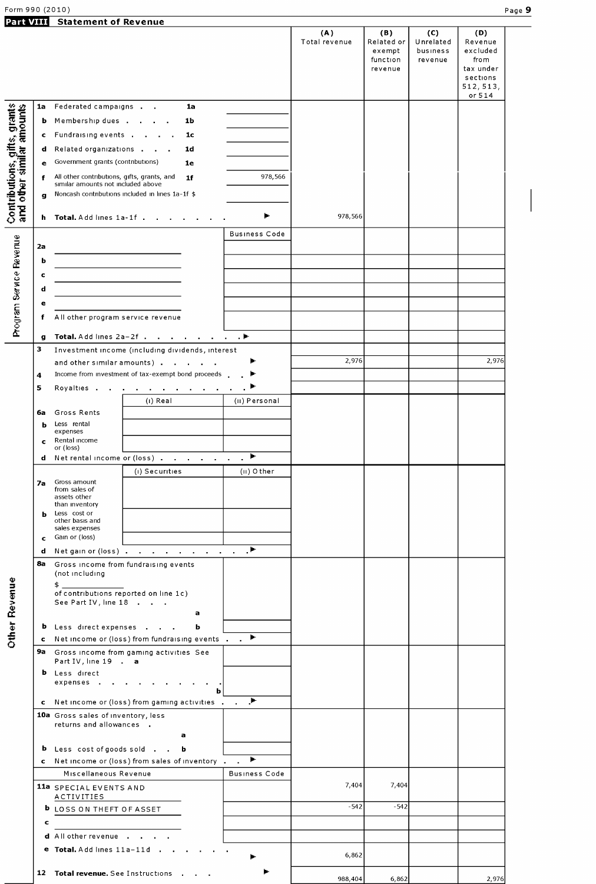Form 990 (2010) Page 9

# Statement of Revenue

| PAIL VIII                                                 |    | Statement of Revenue                                                                   | (A)           | (B)        | (C)       | (D)                   |  |
|-----------------------------------------------------------|----|----------------------------------------------------------------------------------------|---------------|------------|-----------|-----------------------|--|
|                                                           |    |                                                                                        | Total revenue | Related or | Unrelated | Revenue               |  |
|                                                           |    |                                                                                        |               | exempt     | business  | excluded              |  |
|                                                           |    |                                                                                        |               | function   | revenue   | from                  |  |
|                                                           |    |                                                                                        |               | revenue    |           | tax under<br>sections |  |
|                                                           |    |                                                                                        |               |            |           | 512, 513,             |  |
|                                                           |    |                                                                                        |               |            |           | or 514                |  |
|                                                           | 1a | Federated campaigns<br>1a                                                              |               |            |           |                       |  |
|                                                           | b  | Membership dues<br>1b                                                                  |               |            |           |                       |  |
|                                                           | c  | Fundraising events<br>1c                                                               |               |            |           |                       |  |
|                                                           |    |                                                                                        |               |            |           |                       |  |
|                                                           | d  | Related organizations<br>1 <sub>d</sub>                                                |               |            |           |                       |  |
|                                                           | e  | Government grants (contributions)<br>1e                                                |               |            |           |                       |  |
|                                                           |    | 978,566<br>All other contributions, gifts, grants, and<br>1 <sub>f</sub>               |               |            |           |                       |  |
|                                                           |    | similar amounts not included above<br>Noncash contributions included in lines 1a-1f \$ |               |            |           |                       |  |
| Contributions, gifts, grants<br>and other similar amounts | g  |                                                                                        |               |            |           |                       |  |
|                                                           |    | Þ<br>h Total. Add lines 1a-1f                                                          | 978,566       |            |           |                       |  |
|                                                           |    |                                                                                        |               |            |           |                       |  |
|                                                           |    | <b>Business Code</b>                                                                   |               |            |           |                       |  |
|                                                           | 2a |                                                                                        |               |            |           |                       |  |
|                                                           | b  |                                                                                        |               |            |           |                       |  |
|                                                           | c  |                                                                                        |               |            |           |                       |  |
|                                                           |    |                                                                                        |               |            |           |                       |  |
|                                                           | d  |                                                                                        |               |            |           |                       |  |
|                                                           | e  |                                                                                        |               |            |           |                       |  |
| Program Service Revenue                                   | f  | All other program service revenue                                                      |               |            |           |                       |  |
|                                                           |    |                                                                                        |               |            |           |                       |  |
|                                                           | g  | Total. Add lines 2a-2f ▶                                                               |               |            |           |                       |  |
|                                                           | з  | Investment income (including dividends, interest                                       |               |            |           |                       |  |
|                                                           |    | and other similar amounts)                                                             | 2,976         |            |           | 2,976                 |  |
|                                                           | 4  | Income from investment of tax-exempt bond proceeds.                                    |               |            |           |                       |  |
|                                                           | 5  | Royalties<br><b>Contract Contract</b>                                                  |               |            |           |                       |  |
|                                                           |    | (i) Real<br>(II) Personal                                                              |               |            |           |                       |  |
|                                                           | 6a | Gross Rents                                                                            |               |            |           |                       |  |
|                                                           | ь  | Less rental                                                                            |               |            |           |                       |  |
|                                                           |    | expenses                                                                               |               |            |           |                       |  |
|                                                           | c  | Rental income<br>or (loss)                                                             |               |            |           |                       |  |
|                                                           |    | Þ.<br>d Net rental income or (loss)                                                    |               |            |           |                       |  |
|                                                           |    |                                                                                        |               |            |           |                       |  |
|                                                           | 7а | $(II)$ O ther<br>(i) Securities<br>Gross amount                                        |               |            |           |                       |  |
|                                                           |    | from sales of                                                                          |               |            |           |                       |  |
|                                                           |    | assets other<br>than inventory                                                         |               |            |           |                       |  |
|                                                           | ь  | Less cost or                                                                           |               |            |           |                       |  |
|                                                           |    | other basis and<br>sales expenses                                                      |               |            |           |                       |  |
|                                                           | c. | Gain or (loss)                                                                         |               |            |           |                       |  |
|                                                           |    | d Netgain or (loss)                                                                    |               |            |           |                       |  |
|                                                           |    |                                                                                        |               |            |           |                       |  |
|                                                           |    | 8a Gross income from fundraising events<br>(not including                              |               |            |           |                       |  |
|                                                           |    | \$                                                                                     |               |            |           |                       |  |
|                                                           |    | of contributions reported on line 1c)                                                  |               |            |           |                       |  |
|                                                           |    | See Part IV, line 18                                                                   |               |            |           |                       |  |
|                                                           |    | a                                                                                      |               |            |           |                       |  |
|                                                           |    | <b>b</b> Less direct expenses<br>ь                                                     |               |            |           |                       |  |
| <b>Other Revenue</b>                                      |    | ъ.<br>c Net income or (loss) from fundraising events                                   |               |            |           |                       |  |
|                                                           |    | 9a Gross income from gaming activities See                                             |               |            |           |                       |  |
|                                                           |    | Part IV, line 19 . a                                                                   |               |            |           |                       |  |
|                                                           | b  | Less direct                                                                            |               |            |           |                       |  |
|                                                           |    | expenses<br>ь                                                                          |               |            |           |                       |  |
|                                                           | c. | J.<br>Net income or (loss) from gaming activities                                      |               |            |           |                       |  |
|                                                           |    |                                                                                        |               |            |           |                       |  |
|                                                           |    | 10a Gross sales of inventory, less<br>returns and allowances.                          |               |            |           |                       |  |
|                                                           |    | a                                                                                      |               |            |           |                       |  |
|                                                           |    | <b>b</b> Less cost of goods sold                                                       |               |            |           |                       |  |
|                                                           |    | b<br>Þ.                                                                                |               |            |           |                       |  |
|                                                           |    | c Net income or (loss) from sales of inventory.                                        |               |            |           |                       |  |
|                                                           |    | Miscellaneous Revenue<br><b>Business Code</b>                                          |               |            |           |                       |  |
|                                                           |    | 11a SPECIAL EVENTS AND                                                                 | 7,404         | 7,404      |           |                       |  |
|                                                           |    | ACTIVITIES                                                                             |               |            |           |                       |  |
|                                                           |    | <b>b</b> LOSS ON THEFT OF ASSET                                                        | $-542$        | $-542$     |           |                       |  |
|                                                           | c  |                                                                                        |               |            |           |                       |  |
|                                                           |    | <b>d</b> Allother revenue                                                              |               |            |           |                       |  |
|                                                           |    | e Total. Add lines 11a-11d.                                                            |               |            |           |                       |  |
|                                                           |    | Þ.                                                                                     | 6,862         |            |           |                       |  |
|                                                           |    | 12 Total revenue. See Instructions                                                     |               |            |           |                       |  |
|                                                           |    |                                                                                        | 988,404       | 6,862      |           | 2,976                 |  |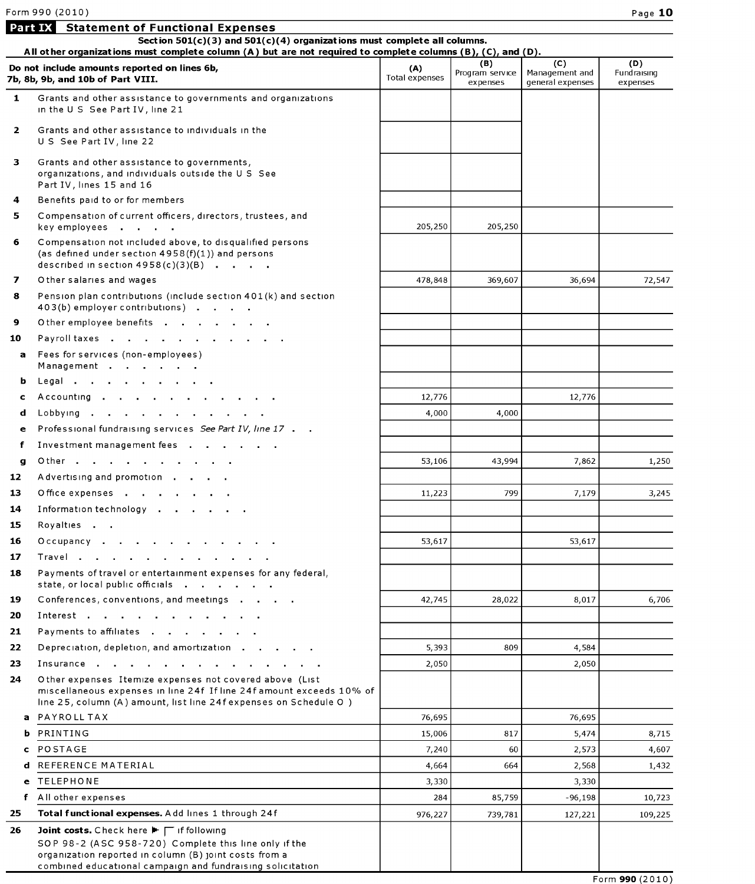Statement of Functional Expenses

|              | Section 501(c)(3) and 501(c)(4) organizations must complete all columns.<br>All other organizations must complete column (A) but are not required to complete columns (B), (C), and (D).                                  |                              |                                    |                                           |                                |  |  |  |  |  |  |
|--------------|---------------------------------------------------------------------------------------------------------------------------------------------------------------------------------------------------------------------------|------------------------------|------------------------------------|-------------------------------------------|--------------------------------|--|--|--|--|--|--|
|              | Do not include amounts reported on lines 6b,<br>7b, 8b, 9b, and 10b of Part VIII.                                                                                                                                         | (A)<br><b>Total expenses</b> | (B)<br>Program service<br>expenses | (C)<br>Management and<br>general expenses | (D)<br>Fundraising<br>expenses |  |  |  |  |  |  |
| $\mathbf{1}$ | Grants and other assistance to governments and organizations<br>in the U S See Part IV, line 21                                                                                                                           |                              |                                    |                                           |                                |  |  |  |  |  |  |
| $\mathbf{2}$ | Grants and other assistance to individuals in the<br>US See Part IV, line 22                                                                                                                                              |                              |                                    |                                           |                                |  |  |  |  |  |  |
| 3            | Grants and other assistance to governments,<br>organizations, and individuals outside the U S See<br>Part IV, lines 15 and 16                                                                                             |                              |                                    |                                           |                                |  |  |  |  |  |  |
| 4            | Benefits paid to or for members                                                                                                                                                                                           |                              |                                    |                                           |                                |  |  |  |  |  |  |
| 5.           | Compensation of current officers, directors, trustees, and<br>key employees                                                                                                                                               | 205,250                      | 205,250                            |                                           |                                |  |  |  |  |  |  |
| 6            | Compensation not included above, to disqualified persons<br>(as defined under section $4958(f)(1)$ ) and persons<br>described in section $4958(c)(3)(B)$                                                                  |                              |                                    |                                           |                                |  |  |  |  |  |  |
| 7            | O ther salaries and wages                                                                                                                                                                                                 | 478,848                      | 369,607                            | 36,694                                    | 72,547                         |  |  |  |  |  |  |
| 8            | Pension plan contributions (include section 401(k) and section<br>403(b) employer contributions)                                                                                                                          |                              |                                    |                                           |                                |  |  |  |  |  |  |
| 9            | Other employee benefits                                                                                                                                                                                                   |                              |                                    |                                           |                                |  |  |  |  |  |  |
| 10           | Payroll taxes                                                                                                                                                                                                             |                              |                                    |                                           |                                |  |  |  |  |  |  |
| a            | Fees for services (non-employees)<br>Management                                                                                                                                                                           |                              |                                    |                                           |                                |  |  |  |  |  |  |
| b            | Legal                                                                                                                                                                                                                     |                              |                                    |                                           |                                |  |  |  |  |  |  |
| c            | Accounting                                                                                                                                                                                                                | 12,776                       |                                    | 12,776                                    |                                |  |  |  |  |  |  |
| d            | Lobbying                                                                                                                                                                                                                  | 4,000                        | 4,000                              |                                           |                                |  |  |  |  |  |  |
| е            | Professional fundraising services See Part IV, line 17                                                                                                                                                                    |                              |                                    |                                           |                                |  |  |  |  |  |  |
| f            | Investment management fees                                                                                                                                                                                                |                              |                                    |                                           |                                |  |  |  |  |  |  |
| g            | Other                                                                                                                                                                                                                     | 53,106                       | 43,994                             | 7,862                                     | 1,250                          |  |  |  |  |  |  |
| 12           | Advertising and promotion                                                                                                                                                                                                 |                              |                                    |                                           |                                |  |  |  |  |  |  |
| 13           | Office expenses                                                                                                                                                                                                           | 11,223                       | 799                                | 7,179                                     | 3,245                          |  |  |  |  |  |  |
| 14           | Information technology                                                                                                                                                                                                    |                              |                                    |                                           |                                |  |  |  |  |  |  |
| 15           | Royalties                                                                                                                                                                                                                 |                              |                                    |                                           |                                |  |  |  |  |  |  |
| 16           | Occupancy                                                                                                                                                                                                                 | 53,617                       |                                    | 53,617                                    |                                |  |  |  |  |  |  |
| 17           | Travel                                                                                                                                                                                                                    |                              |                                    |                                           |                                |  |  |  |  |  |  |
| 18           | Payments of travel or entertainment expenses for any federal,<br>state, or local public officials                                                                                                                         |                              |                                    |                                           |                                |  |  |  |  |  |  |
| 19           | Conferences, conventions, and meetings                                                                                                                                                                                    | 42,745                       | 28,022                             | 8,017                                     | 6,706                          |  |  |  |  |  |  |
| 20           |                                                                                                                                                                                                                           |                              |                                    |                                           |                                |  |  |  |  |  |  |
| 21           | Payments to affiliates                                                                                                                                                                                                    |                              |                                    |                                           |                                |  |  |  |  |  |  |
| 22           | Depreciation, depletion, and amortization                                                                                                                                                                                 | 5,393                        | 809                                | 4,584                                     |                                |  |  |  |  |  |  |
| 23           | Insurance                                                                                                                                                                                                                 | 2,050                        |                                    | 2,050                                     |                                |  |  |  |  |  |  |
| 24           | Other expenses Itemize expenses not covered above (List<br>miscellaneous expenses in line 24f If line 24f amount exceeds 10% of<br>line 25, column (A) amount, list line 24f expenses on Schedule O)                      |                              |                                    |                                           |                                |  |  |  |  |  |  |
| a            | PAYROLL TAX                                                                                                                                                                                                               | 76,695                       |                                    | 76,695                                    |                                |  |  |  |  |  |  |
| b            | PRINTING                                                                                                                                                                                                                  | 15,006                       | 817                                | 5,474                                     | 8,715                          |  |  |  |  |  |  |
| c            | <b>POSTAGE</b>                                                                                                                                                                                                            | 7,240                        | 60                                 | 2,573                                     | 4,607                          |  |  |  |  |  |  |
| d            | REFERENCE MATERIAL                                                                                                                                                                                                        | 4,664                        | 664                                | 2,568                                     | 1,432                          |  |  |  |  |  |  |
| е            | TELEPHONE                                                                                                                                                                                                                 | 3,330                        |                                    | 3,330                                     |                                |  |  |  |  |  |  |
| f            | All other expenses                                                                                                                                                                                                        | 284                          | 85,759                             | $-96,198$                                 | 10,723                         |  |  |  |  |  |  |
| 25           | Total functional expenses. Add lines 1 through 24f                                                                                                                                                                        | 976,227                      | 739,781                            | 127,221                                   | 109,225                        |  |  |  |  |  |  |
| 26           | Joint costs. Check here ▶ 下 if following<br>SOP 98-2 (ASC 958-720) Complete this line only if the<br>organization reported in column (B) joint costs from a<br>combined educational campaign and fundraising solicitation |                              |                                    |                                           | Form 990 (2010)                |  |  |  |  |  |  |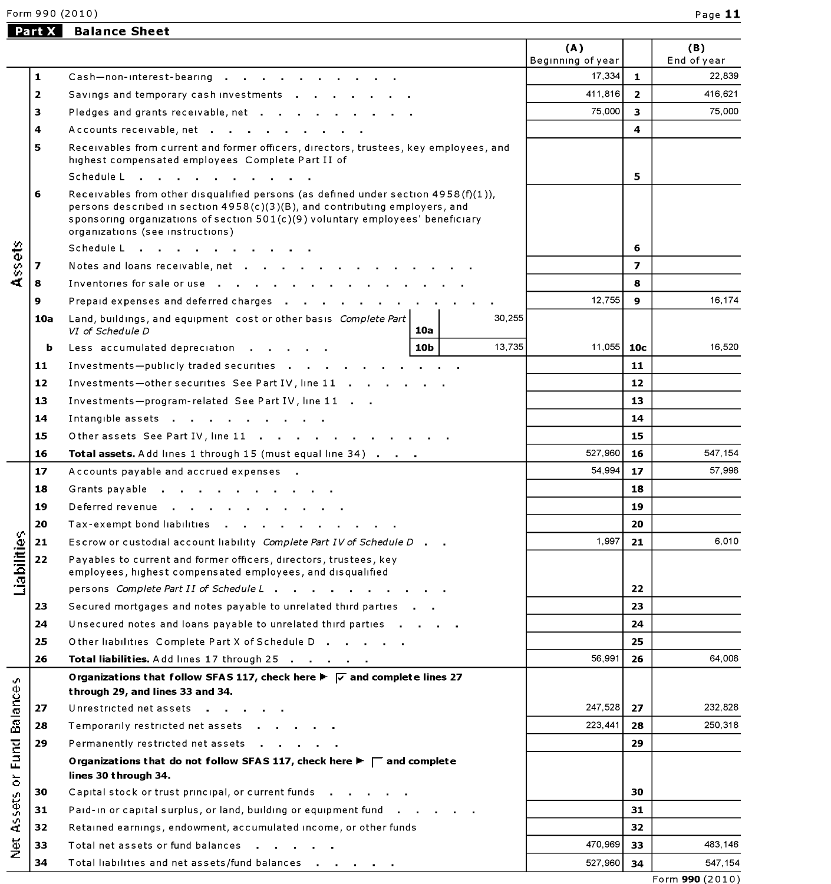Form 990 (2010) Page 11

# Part X Balance Sheet

|                              |                |                                                                                                                                                                                                                                                                                            |     |         | (A)<br>Beginning of year |                         | (B)                   |
|------------------------------|----------------|--------------------------------------------------------------------------------------------------------------------------------------------------------------------------------------------------------------------------------------------------------------------------------------------|-----|---------|--------------------------|-------------------------|-----------------------|
|                              | 1              | Cash-non-interest-bearing                                                                                                                                                                                                                                                                  |     |         | 17,334                   | $\mathbf{1}$            | End of year<br>22,839 |
|                              | $\overline{2}$ | Savings and temporary cash investments                                                                                                                                                                                                                                                     |     |         | 411,816                  | $\overline{2}$          | 416,621               |
|                              | 3              |                                                                                                                                                                                                                                                                                            |     |         | 75,000                   | 3                       | 75,000                |
|                              | 4              | Pledges and grants receivable, net                                                                                                                                                                                                                                                         |     |         |                          | 4                       |                       |
|                              | 5              | Accounts receivable, net                                                                                                                                                                                                                                                                   |     |         |                          |                         |                       |
|                              |                | Receivables from current and former officers, directors, trustees, key employees, and<br>highest compensated employees Complete Part II of                                                                                                                                                 |     |         |                          |                         |                       |
|                              |                | Schedule L                                                                                                                                                                                                                                                                                 |     |         |                          | 5                       |                       |
|                              | 6              | Receivables from other disqualified persons (as defined under section $4958(f)(1)$ ),<br>persons described in section 4958(c)(3)(B), and contributing employers, and<br>sponsoring organizations of section 501(c)(9) voluntary employees' beneficiary<br>organizations (see instructions) |     |         |                          |                         |                       |
|                              |                | Schedule L                                                                                                                                                                                                                                                                                 |     |         |                          | 6                       |                       |
| Assets                       | 7              | Notes and loans receivable, net                                                                                                                                                                                                                                                            |     |         |                          | $\overline{\mathbf{z}}$ |                       |
|                              | 8              | Inventories for sale or use                                                                                                                                                                                                                                                                |     |         |                          | 8                       |                       |
|                              | 9              | Prepaid expenses and deferred charges                                                                                                                                                                                                                                                      |     |         | 12.755                   | $\mathbf{9}$            | 16.174                |
|                              | 10a            | Land, buildings, and equipment cost or other basis Complete Part<br>VI of Schedule D                                                                                                                                                                                                       | 10a | 30,255  |                          |                         |                       |
|                              | b              | Less accumulated depreciation                                                                                                                                                                                                                                                              | 10b | 13,735  | 11,055                   | 10 <sub>c</sub>         | 16,520                |
|                              | 11             | Investments-publicly traded securities                                                                                                                                                                                                                                                     |     |         |                          | 11                      |                       |
|                              | 12             | Investments-other securities See Part IV, line 11                                                                                                                                                                                                                                          |     | 12      |                          |                         |                       |
|                              | 13             | Investments-program-related See Part IV, line 11                                                                                                                                                                                                                                           |     |         |                          | 13                      |                       |
|                              | 14             | Intangible assets                                                                                                                                                                                                                                                                          |     |         |                          | 14                      |                       |
|                              | 15             | Other assets See Part IV, line 11                                                                                                                                                                                                                                                          |     |         |                          | 15                      |                       |
|                              | 16             | Total assets. Add lines 1 through 15 (must equal line 34)                                                                                                                                                                                                                                  |     |         | 527,960                  | 16                      | 547,154               |
|                              | 17             | Accounts payable and accrued expenses.                                                                                                                                                                                                                                                     |     |         | 54,994                   | 17                      | 57,998                |
|                              | 18             | Grants payable                                                                                                                                                                                                                                                                             |     | 18      |                          |                         |                       |
|                              | 19             | Deferred revenue                                                                                                                                                                                                                                                                           |     | 19      |                          |                         |                       |
|                              | 20             | Tax-exempt bond liabilities                                                                                                                                                                                                                                                                |     |         |                          | 20                      |                       |
|                              | 21             | Escrow or custodial account liability Complete Part IV of Schedule D.                                                                                                                                                                                                                      |     |         | 1,997                    | 21                      | 6,010                 |
| Liabilities                  | 22             | Payables to current and former officers, directors, trustees, key<br>employees, highest compensated employees, and disqualified                                                                                                                                                            |     |         |                          |                         |                       |
|                              |                | persons Complete Part II of Schedule L Protocology Array L Protocology Array L Protocology Array L P                                                                                                                                                                                       |     |         |                          | 22                      |                       |
|                              | 23             | Secured mortgages and notes payable to unrelated third parties                                                                                                                                                                                                                             |     |         |                          | 23                      |                       |
|                              | 24             | Unsecured notes and loans payable to unrelated third parties                                                                                                                                                                                                                               |     |         |                          | 24                      |                       |
|                              | 25             | Other liabilities Complete Part X of Schedule D                                                                                                                                                                                                                                            |     |         |                          | 25                      |                       |
|                              | 26             | Total liabilities. Add lines 17 through 25                                                                                                                                                                                                                                                 |     |         | 56,991                   | 26                      | 64,008                |
| v.                           |                | Organizations that follow SFAS 117, check here $\blacktriangleright \blacktriangleright \blacktriangleright$ and complete lines 27<br>through 29, and lines 33 and 34.                                                                                                                     |     |         |                          |                         |                       |
| Balance                      | 27             | Unrestricted net assets                                                                                                                                                                                                                                                                    |     |         | 247,528                  | 27                      | 232,828               |
|                              | 28             | Temporarily restricted net assets                                                                                                                                                                                                                                                          |     |         | 223,441                  | 28                      | 250,318               |
|                              | 29             | Permanently restricted net assets                                                                                                                                                                                                                                                          |     |         | 29                       |                         |                       |
| <b>Fund</b>                  |                | Organizations that do not follow SFAS 117, check here $\blacktriangleright \sqsubset \Box$ and complete<br>lines 30 through 34.                                                                                                                                                            |     |         |                          |                         |                       |
| $\overleftarrow{\mathrm{o}}$ | 30             | Capital stock or trust principal, or current funds                                                                                                                                                                                                                                         |     |         |                          | 30                      |                       |
| <b>Assets</b>                | 31             | Paid-in or capital surplus, or land, building or equipment fund                                                                                                                                                                                                                            |     |         | 31                       |                         |                       |
|                              | 32             | Retained earnings, endowment, accumulated income, or other funds                                                                                                                                                                                                                           |     |         | 32                       |                         |                       |
| $\frac{5}{2}$                | 33             | Total net assets or fund balances                                                                                                                                                                                                                                                          |     | 470,969 | 33                       | 483,146                 |                       |
|                              | 34             | Total liabilities and net assets/fund balances                                                                                                                                                                                                                                             |     | 527,960 | 34                       | 547,154                 |                       |
|                              |                |                                                                                                                                                                                                                                                                                            |     |         |                          |                         |                       |

Form 990 (2010)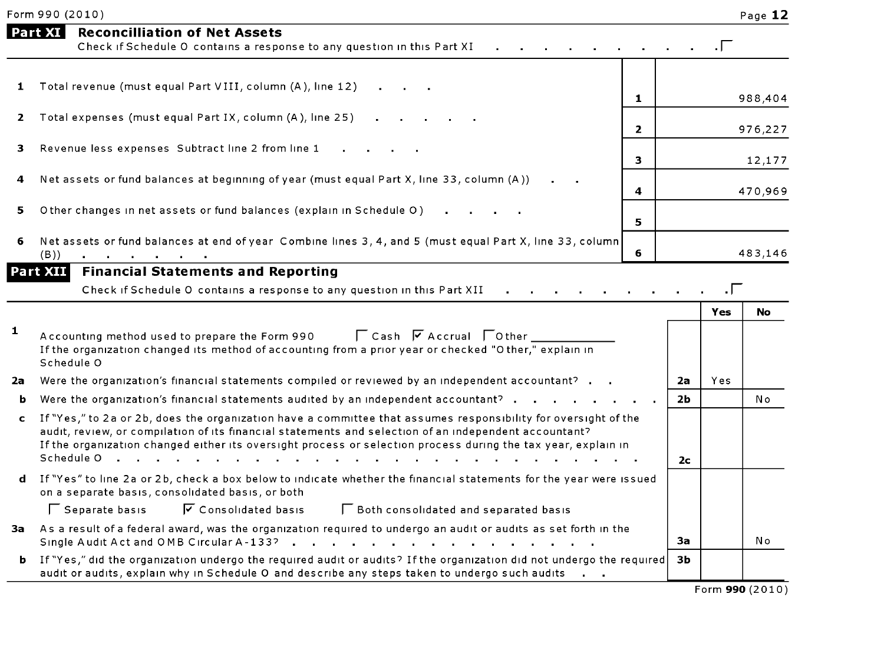|    | <b>Part XI</b><br><b>Reconcilliation of Net Assets</b><br>Check if Schedule O contains a response to any question in this Part XI                                                                                                                                                                                                                      |                |                | . $\Gamma$ |                |
|----|--------------------------------------------------------------------------------------------------------------------------------------------------------------------------------------------------------------------------------------------------------------------------------------------------------------------------------------------------------|----------------|----------------|------------|----------------|
| 1  | Total revenue (must equal Part VIII, column (A), line 12)                                                                                                                                                                                                                                                                                              | 1              |                |            | 988,404        |
| 2  | Total expenses (must equal Part IX, column (A), line 25)                                                                                                                                                                                                                                                                                               | $\overline{2}$ |                |            | 976,227        |
| 3. | Revenue less expenses Subtract line 2 from line 1                                                                                                                                                                                                                                                                                                      | 3              |                |            | 12,177         |
| 4  | Net assets or fund balances at beginning of year (must equal Part X, line 33, column (A))                                                                                                                                                                                                                                                              | 4              |                |            | 470,969        |
| 5. | Other changes in net assets or fund balances (explain in Schedule O)                                                                                                                                                                                                                                                                                   | 5              |                |            |                |
| 6  | Net assets or fund balances at end of year Combine lines 3, 4, and 5 (must equal Part X, line 33, column<br>(B))<br>the company of the company                                                                                                                                                                                                         | 6              |                |            | 483,146        |
|    | Part XII<br><b>Financial Statements and Reporting</b>                                                                                                                                                                                                                                                                                                  |                |                |            |                |
|    | Check if Schedule O contains a response to any question in this Part XII                                                                                                                                                                                                                                                                               |                |                |            |                |
|    |                                                                                                                                                                                                                                                                                                                                                        |                |                | Yes        | No             |
| 1  | Accounting method used to prepare the Form 990 $\Box$ Cash $\Box$ Accrual $\Box$ Other<br>If the organization changed its method of accounting from a prior year or checked "O ther," explain in<br>Schedule O                                                                                                                                         |                |                |            |                |
| 2a | Were the organization's financial statements compiled or reviewed by an independent accountant?                                                                                                                                                                                                                                                        |                | 2a             | Yes        |                |
| ь  | Were the organization's financial statements audited by an independent accountant? $\cdot \cdot \cdot$                                                                                                                                                                                                                                                 |                | 2 <sub>b</sub> |            | N <sub>o</sub> |
| c  | If "Yes," to 2a or 2b, does the organization have a committee that assumes responsibility for oversight of the<br>audit, review, or compilation of its financial statements and selection of an independent accountant?<br>If the organization changed either its oversight process or selection process during the tax year, explain in<br>Schedule O |                | 2 <sub>c</sub> |            |                |
|    | d If "Yes" to line 2a or 2b, check a box below to indicate whether the financial statements for the year were issued<br>on a separate basis, consolidated basis, or both                                                                                                                                                                               |                |                |            |                |
|    | Separate basis<br>$\sqrt{\phantom{a}}$ Consolidated basis<br><b>F</b> Both consolidated and separated basis                                                                                                                                                                                                                                            |                |                |            |                |
| 3a | As a result of a federal award, was the organization required to undergo an audit or audits as set forth in the<br>Single Audit Act and OMB Circular A-133?                                                                                                                                                                                            |                | 3a             |            | Νo             |
| ь  | [times," did the organization undergo the required audit or audits? If the organization did not undergo the required<br>audit or audits, explain why in Schedule O and describe any steps taken to undergo such audits                                                                                                                                 |                | 3 <sub>b</sub> |            |                |

Form 990 (2010)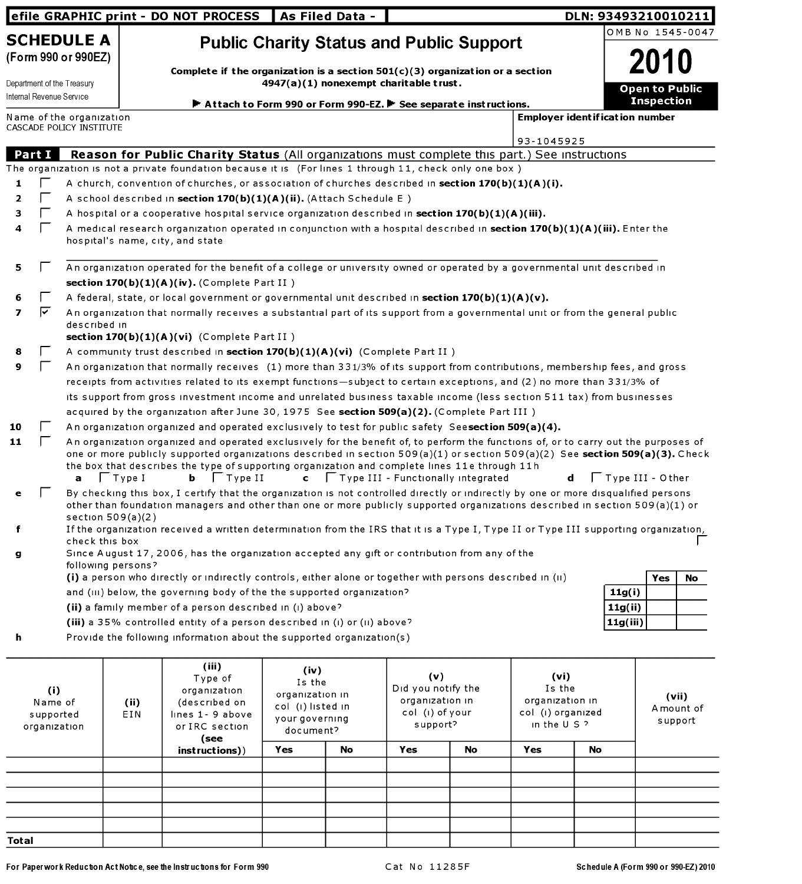|                                             |              |                                                                               |                                                                                                                                                                                                                                                                                                                                                            | efile GRAPHIC print - DO NOT PROCESS                                                                                                                                                                                                                                                                                                                                                                 | <b>As Filed Data -</b>                 |    |                                                        |    |                                       |    | DLN: 93493210010211     |                   |    |
|---------------------------------------------|--------------|-------------------------------------------------------------------------------|------------------------------------------------------------------------------------------------------------------------------------------------------------------------------------------------------------------------------------------------------------------------------------------------------------------------------------------------------------|------------------------------------------------------------------------------------------------------------------------------------------------------------------------------------------------------------------------------------------------------------------------------------------------------------------------------------------------------------------------------------------------------|----------------------------------------|----|--------------------------------------------------------|----|---------------------------------------|----|-------------------------|-------------------|----|
|                                             |              | <b>SCHEDULE A</b>                                                             |                                                                                                                                                                                                                                                                                                                                                            | <b>Public Charity Status and Public Support</b>                                                                                                                                                                                                                                                                                                                                                      |                                        |    |                                                        |    |                                       |    | OMB No 1545-0047        |                   |    |
|                                             |              | (Form 990 or 990EZ)<br>Department of the Treasury<br>Internal Revenue Service |                                                                                                                                                                                                                                                                                                                                                            | Complete if the organization is a section $501(c)(3)$ organization or a section<br>Attach to Form 990 or Form 990-EZ. F See separate instructions.                                                                                                                                                                                                                                                   | 4947(a)(1) nonexempt charitable trust. |    |                                                        |    |                                       |    | <b>Open to Public</b>   | <b>Inspection</b> |    |
|                                             |              | Name of the organization                                                      |                                                                                                                                                                                                                                                                                                                                                            |                                                                                                                                                                                                                                                                                                                                                                                                      |                                        |    |                                                        |    | <b>Employer identification number</b> |    |                         |                   |    |
|                                             |              | CASCADE POLICY INSTITUTE                                                      |                                                                                                                                                                                                                                                                                                                                                            |                                                                                                                                                                                                                                                                                                                                                                                                      |                                        |    |                                                        |    | 93-1045925                            |    |                         |                   |    |
|                                             | Part I       |                                                                               |                                                                                                                                                                                                                                                                                                                                                            | Reason for Public Charity Status (All organizations must complete this part.) See instructions                                                                                                                                                                                                                                                                                                       |                                        |    |                                                        |    |                                       |    |                         |                   |    |
|                                             |              |                                                                               |                                                                                                                                                                                                                                                                                                                                                            | The organization is not a private foundation because it is (For lines 1 through 11, check only one box)                                                                                                                                                                                                                                                                                              |                                        |    |                                                        |    |                                       |    |                         |                   |    |
| 1                                           |              |                                                                               |                                                                                                                                                                                                                                                                                                                                                            | A church, convention of churches, or association of churches described in section 170(b)(1)(A)(i).                                                                                                                                                                                                                                                                                                   |                                        |    |                                                        |    |                                       |    |                         |                   |    |
| 2                                           |              |                                                                               |                                                                                                                                                                                                                                                                                                                                                            | A school described in section $170(b)(1)(A)(ii)$ . (Attach Schedule E)                                                                                                                                                                                                                                                                                                                               |                                        |    |                                                        |    |                                       |    |                         |                   |    |
| з                                           |              |                                                                               |                                                                                                                                                                                                                                                                                                                                                            | A hospital or a cooperative hospital service organization described in section $170(b)(1)(A)(iii)$ .                                                                                                                                                                                                                                                                                                 |                                        |    |                                                        |    |                                       |    |                         |                   |    |
| 4                                           | $\mathbf{L}$ |                                                                               |                                                                                                                                                                                                                                                                                                                                                            | A medical research organization operated in conjunction with a hospital described in <b>section 170(b)(1)(A)(iii).</b> Enter the<br>hospital's name, city, and state                                                                                                                                                                                                                                 |                                        |    |                                                        |    |                                       |    |                         |                   |    |
| 5                                           |              |                                                                               |                                                                                                                                                                                                                                                                                                                                                            | An organization operated for the benefit of a college or university owned or operated by a governmental unit described in                                                                                                                                                                                                                                                                            |                                        |    |                                                        |    |                                       |    |                         |                   |    |
|                                             |              |                                                                               |                                                                                                                                                                                                                                                                                                                                                            | section $170(b)(1)(A)(iv)$ . (Complete Part II)                                                                                                                                                                                                                                                                                                                                                      |                                        |    |                                                        |    |                                       |    |                         |                   |    |
| 6                                           | ⊽            |                                                                               |                                                                                                                                                                                                                                                                                                                                                            | A federal, state, or local government or governmental unit described in section $170(b)(1)(A)(v)$ .                                                                                                                                                                                                                                                                                                  |                                        |    |                                                        |    |                                       |    |                         |                   |    |
| 7                                           |              | described in                                                                  |                                                                                                                                                                                                                                                                                                                                                            | An organization that normally receives a substantial part of its support from a governmental unit or from the general public                                                                                                                                                                                                                                                                         |                                        |    |                                                        |    |                                       |    |                         |                   |    |
|                                             |              |                                                                               |                                                                                                                                                                                                                                                                                                                                                            | section $170(b)(1)(A)(vi)$ (Complete Part II)                                                                                                                                                                                                                                                                                                                                                        |                                        |    |                                                        |    |                                       |    |                         |                   |    |
| 8                                           |              |                                                                               |                                                                                                                                                                                                                                                                                                                                                            | A community trust described in section 170(b)(1)(A)(vi) (Complete Part II)                                                                                                                                                                                                                                                                                                                           |                                        |    |                                                        |    |                                       |    |                         |                   |    |
| 9                                           |              |                                                                               |                                                                                                                                                                                                                                                                                                                                                            | An organization that normally receives (1) more than 331/3% of its support from contributions, membership fees, and gross                                                                                                                                                                                                                                                                            |                                        |    |                                                        |    |                                       |    |                         |                   |    |
|                                             |              |                                                                               |                                                                                                                                                                                                                                                                                                                                                            | receipts from activities related to its exempt functions-subject to certain exceptions, and (2) no more than 331/3% of                                                                                                                                                                                                                                                                               |                                        |    |                                                        |    |                                       |    |                         |                   |    |
|                                             |              |                                                                               |                                                                                                                                                                                                                                                                                                                                                            | its support from gross investment income and unrelated business taxable income (less section 511 tax) from businesses                                                                                                                                                                                                                                                                                |                                        |    |                                                        |    |                                       |    |                         |                   |    |
|                                             |              |                                                                               |                                                                                                                                                                                                                                                                                                                                                            | acquired by the organization after June 30, 1975 See section 509(a)(2). (Complete Part III)                                                                                                                                                                                                                                                                                                          |                                        |    |                                                        |    |                                       |    |                         |                   |    |
| 10                                          |              |                                                                               |                                                                                                                                                                                                                                                                                                                                                            | An organization organized and operated exclusively to test for public safety Seesection 509(a)(4).                                                                                                                                                                                                                                                                                                   |                                        |    |                                                        |    |                                       |    |                         |                   |    |
| 11                                          |              | a                                                                             | $\Box$ Type I                                                                                                                                                                                                                                                                                                                                              | An organization organized and operated exclusively for the benefit of, to perform the functions of, or to carry out the purposes of<br>one or more publicly supported organizations described in section 509(a)(1) or section 509(a)(2) See section 509(a)(3). Check<br>the box that describes the type of supporting organization and complete lines 11e through 11h<br>$\mathbf{b}$ $\Box$ Type II |                                        |    | $\mathsf{c}$ $\Box$ Type III - Functionally integrated |    |                                       | d  | $\Box$ Type III - Other |                   |    |
| е                                           |              | section $509(a)(2)$                                                           |                                                                                                                                                                                                                                                                                                                                                            | By checking this box, I certify that the organization is not controlled directly or indirectly by one or more disqualified persons<br>other than foundation managers and other than one or more publicly supported organizations described in section 509(a)(1) or                                                                                                                                   |                                        |    |                                                        |    |                                       |    |                         |                   |    |
| f                                           |              |                                                                               |                                                                                                                                                                                                                                                                                                                                                            | If the organization received a written determination from the IRS that it is a Type I, Type II or Type III supporting organization,                                                                                                                                                                                                                                                                  |                                        |    |                                                        |    |                                       |    |                         |                   |    |
|                                             |              | check this box                                                                |                                                                                                                                                                                                                                                                                                                                                            |                                                                                                                                                                                                                                                                                                                                                                                                      |                                        |    |                                                        |    |                                       |    |                         |                   |    |
| g                                           |              | following persons?                                                            |                                                                                                                                                                                                                                                                                                                                                            | Since August 17, 2006, has the organization accepted any gift or contribution from any of the                                                                                                                                                                                                                                                                                                        |                                        |    |                                                        |    |                                       |    |                         |                   |    |
|                                             |              |                                                                               |                                                                                                                                                                                                                                                                                                                                                            | (i) a person who directly or indirectly controls, either alone or together with persons described in (ii)                                                                                                                                                                                                                                                                                            |                                        |    |                                                        |    |                                       |    |                         | Yes               | No |
|                                             |              |                                                                               |                                                                                                                                                                                                                                                                                                                                                            | and (III) below, the governing body of the the supported organization?                                                                                                                                                                                                                                                                                                                               |                                        |    |                                                        |    |                                       |    | 11g(i)                  |                   |    |
|                                             |              |                                                                               |                                                                                                                                                                                                                                                                                                                                                            | (ii) a family member of a person described in (i) above?                                                                                                                                                                                                                                                                                                                                             |                                        |    |                                                        |    |                                       |    | 11g(ii)                 |                   |    |
|                                             |              |                                                                               |                                                                                                                                                                                                                                                                                                                                                            | (iii) a 35% controlled entity of a person described in (i) or (ii) above?                                                                                                                                                                                                                                                                                                                            |                                        |    |                                                        |    |                                       |    | 11g(iii)                |                   |    |
| h                                           |              |                                                                               |                                                                                                                                                                                                                                                                                                                                                            | Provide the following information about the supported organization(s)                                                                                                                                                                                                                                                                                                                                |                                        |    |                                                        |    |                                       |    |                         |                   |    |
| (i)<br>Name of<br>supported<br>organization |              |                                                                               | (iii)<br>(iv)<br>(v)<br>(vi)<br>Type of<br>Is the<br>Did you notify the<br>Is the<br>organization<br>organization in<br>organization in<br>organization in<br>(described on<br>(ii)<br>col (i) listed in<br>col (i) of your<br>col (i) organized<br>EIN<br>lines 1- 9 above<br>your governing<br>in the $U$ S ?<br>support?<br>or IRC section<br>document? |                                                                                                                                                                                                                                                                                                                                                                                                      |                                        |    | (vii)<br>A mount of<br>support                         |    |                                       |    |                         |                   |    |
|                                             |              |                                                                               |                                                                                                                                                                                                                                                                                                                                                            | (see<br>instructions))                                                                                                                                                                                                                                                                                                                                                                               | Yes                                    | No | Yes                                                    | No | Yes                                   | No |                         |                   |    |
|                                             |              |                                                                               |                                                                                                                                                                                                                                                                                                                                                            |                                                                                                                                                                                                                                                                                                                                                                                                      |                                        |    |                                                        |    |                                       |    |                         |                   |    |
|                                             |              |                                                                               |                                                                                                                                                                                                                                                                                                                                                            |                                                                                                                                                                                                                                                                                                                                                                                                      |                                        |    |                                                        |    |                                       |    |                         |                   |    |
|                                             |              |                                                                               |                                                                                                                                                                                                                                                                                                                                                            |                                                                                                                                                                                                                                                                                                                                                                                                      |                                        |    |                                                        |    |                                       |    |                         |                   |    |
|                                             |              |                                                                               |                                                                                                                                                                                                                                                                                                                                                            |                                                                                                                                                                                                                                                                                                                                                                                                      |                                        |    |                                                        |    |                                       |    |                         |                   |    |
|                                             |              |                                                                               |                                                                                                                                                                                                                                                                                                                                                            |                                                                                                                                                                                                                                                                                                                                                                                                      |                                        |    |                                                        |    |                                       |    |                         |                   |    |

For Paperwork Reduction Act Notice, see the Instructions for Form 990 Cat No 11285F Schedule A (Form 990 or 990-EZ) 2010

Total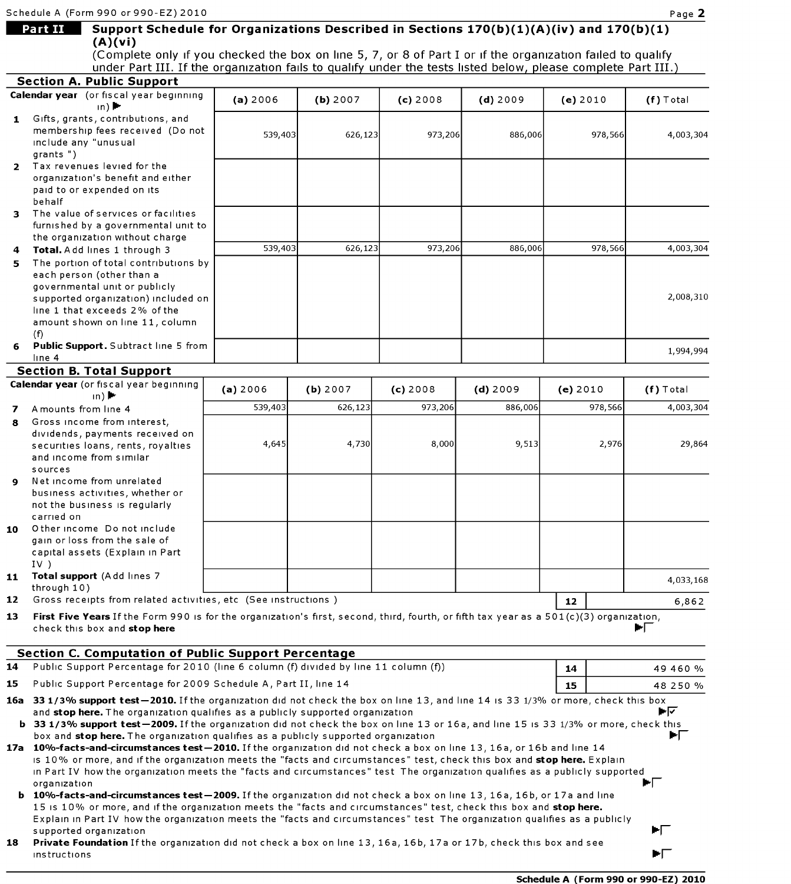(A)(vi)

|              | (Complete only if you checked the box on line 5, 7, or 8 of Part I or if the organization failed to qualify<br>under Part III. If the organization fails to qualify under the tests listed below, please complete Part III.)                                                                                                                                                     |          |          |          |            |          |         |                                             |
|--------------|----------------------------------------------------------------------------------------------------------------------------------------------------------------------------------------------------------------------------------------------------------------------------------------------------------------------------------------------------------------------------------|----------|----------|----------|------------|----------|---------|---------------------------------------------|
|              | <b>Section A. Public Support</b>                                                                                                                                                                                                                                                                                                                                                 |          |          |          |            |          |         |                                             |
|              | Calendar year (or fiscal year beginning<br>$ln)$ $\blacktriangleright$                                                                                                                                                                                                                                                                                                           | (a) 2006 | (b) 2007 | (c) 2008 | $(d)$ 2009 | (e) 2010 |         | $(f)$ Total                                 |
| $\mathbf{1}$ | Gifts, grants, contributions, and<br>membership fees received (Do not<br>include any "unusual<br>grants")                                                                                                                                                                                                                                                                        | 539,403  | 626,123  | 973,206  | 886,006    |          | 978,566 | 4,003,304                                   |
| $\mathbf{2}$ | Tax revenues levied for the<br>organization's benefit and either<br>paid to or expended on its<br>behalf                                                                                                                                                                                                                                                                         |          |          |          |            |          |         |                                             |
| 3            | The value of services or facilities<br>furnished by a governmental unit to<br>the organization without charge                                                                                                                                                                                                                                                                    |          |          |          |            |          |         |                                             |
| 4<br>5       | Total. Add lines 1 through 3<br>The portion of total contributions by                                                                                                                                                                                                                                                                                                            | 539,403  | 626,123  | 973,206  | 886,006    |          | 978,566 | 4,003,304                                   |
|              | each person (other than a<br>governmental unit or publicly<br>supported organization) included on<br>line 1 that exceeds 2% of the<br>amount shown on line 11, column                                                                                                                                                                                                            |          |          |          |            |          |         | 2,008,310                                   |
| 6            | (f)<br>Public Support. Subtract line 5 from<br>line 4                                                                                                                                                                                                                                                                                                                            |          |          |          |            |          |         | 1,994,994                                   |
|              | <b>Section B. Total Support</b>                                                                                                                                                                                                                                                                                                                                                  |          |          |          |            |          |         |                                             |
|              | Calendar year (or fiscal year beginning<br>$\ln$ ) $\blacktriangleright$                                                                                                                                                                                                                                                                                                         | (a) 2006 | (b) 2007 | (c) 2008 | $(d)$ 2009 | (e) 2010 |         | $(f)$ Total                                 |
| 7            | A mounts from line 4                                                                                                                                                                                                                                                                                                                                                             | 539,403  | 626,123  | 973,206  | 886,006    |          | 978,566 | 4,003,304                                   |
| 8            | Gross income from interest,                                                                                                                                                                                                                                                                                                                                                      |          |          |          |            |          |         |                                             |
|              | dividends, payments received on                                                                                                                                                                                                                                                                                                                                                  | 4,645    | 4,730    | 8,000    | 9,513      |          | 2,976   | 29,864                                      |
|              | securities loans, rents, royalties<br>and income from similar<br>sources                                                                                                                                                                                                                                                                                                         |          |          |          |            |          |         |                                             |
| 9            | Net income from unrelated<br>business activities, whether or<br>not the business is regularly<br>carried on                                                                                                                                                                                                                                                                      |          |          |          |            |          |         |                                             |
| 10           | Other income Do not include<br>gain or loss from the sale of<br>capital assets (Explain in Part<br>$IV$ )                                                                                                                                                                                                                                                                        |          |          |          |            |          |         |                                             |
| 11           | Total support (Add lines 7                                                                                                                                                                                                                                                                                                                                                       |          |          |          |            |          |         | 4,033,168                                   |
| 12           | through $10)$<br>Gross receipts from related activities, etc (See instructions)                                                                                                                                                                                                                                                                                                  |          |          |          |            | 12       |         | 6,862                                       |
| 13           | First Five Years If the Form 990 is for the organization's first, second, third, fourth, or fifth tax year as a 501(c)(3) organization,<br>check this box and stop here                                                                                                                                                                                                          |          |          |          |            |          |         | ÞГ                                          |
|              | <b>Section C. Computation of Public Support Percentage</b>                                                                                                                                                                                                                                                                                                                       |          |          |          |            |          |         |                                             |
| 14           | Public Support Percentage for 2010 (line 6 column (f) divided by line 11 column (f))                                                                                                                                                                                                                                                                                             |          |          |          |            | 14       |         | 49 460 %                                    |
| 15           | Public Support Percentage for 2009 Schedule A, Part II, line 14                                                                                                                                                                                                                                                                                                                  |          |          |          |            | 15       |         | 48 250 %                                    |
|              | 16a 33 1/3% support test-2010. If the organization did not check the box on line 13, and line 14 is 33 1/3% or more, check this box<br>and stop here. The organization qualifies as a publicly supported organization                                                                                                                                                            |          |          |          |            |          |         | ►⊽                                          |
|              | b 33 1/3% support test-2009. If the organization did not check the box on line 13 or 16a, and line 15 is 33 1/3% or more, check this<br>box and stop here. The organization qualifies as a publicly supported organization                                                                                                                                                       |          |          |          |            |          |         | E.                                          |
|              | 17a 10%-facts-and-circumstances test-2010. If the organization did not check a box on line 13, 16a, or 16b and line 14<br>is 10% or more, and if the organization meets the "facts and circumstances" test, check this box and stop here. Explain<br>in Part IV how the organization meets the "facts and circumstances" test The organization qualifies as a publicly supported |          |          |          |            |          |         |                                             |
|              | organization<br><b>b</b> 10%-facts-and-circumstances test-2009. If the organization did not check a box on line 13, 16a, 16b, or 17a and line<br>15 is 10% or more, and if the organization meets the "facts and circumstances" test, check this box and stop here.                                                                                                              |          |          |          |            |          |         | PIT.                                        |
|              | Explain in Part IV how the organization meets the "facts and circumstances" test The organization qualifies as a publicly<br>supported organization                                                                                                                                                                                                                              |          |          |          |            |          |         | ►Г                                          |
| 18           | Private Foundation If the organization did not check a box on line 13, 16a, 16b, 17a or 17b, check this box and see<br>instructions                                                                                                                                                                                                                                              |          |          |          |            |          |         | ►Г                                          |
|              |                                                                                                                                                                                                                                                                                                                                                                                  |          |          |          |            |          |         | <b>Schedule A (Form 990 or 990-EZ) 2010</b> |

**Part II** Support Schedule for Organizations Described in Sections  $170(b)(1)(A)(iv)$  and  $170(b)(1)$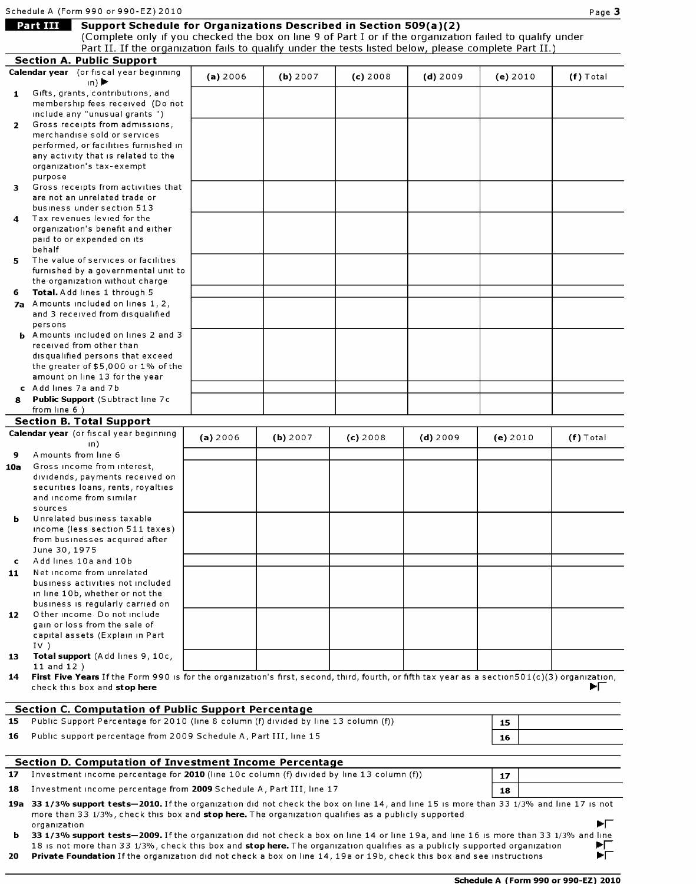|              | Schedule A (Form 990 or 990-EZ) 2010                                                                                                                                                                                                                                                                      |          |          |            |            |          | Page 3      |
|--------------|-----------------------------------------------------------------------------------------------------------------------------------------------------------------------------------------------------------------------------------------------------------------------------------------------------------|----------|----------|------------|------------|----------|-------------|
|              | <b>Part III</b><br>Support Schedule for Organizations Described in Section 509(a)(2)<br>(Complete only if you checked the box on line 9 of Part I or if the organization failed to qualify under<br>Part II. If the organization fails to qualify under the tests listed below, please complete Part II.) |          |          |            |            |          |             |
|              | <b>Section A. Public Support</b>                                                                                                                                                                                                                                                                          |          |          |            |            |          |             |
|              | Calendar year (or fiscal year beginning<br>$\ln$ )                                                                                                                                                                                                                                                        | (a) 2006 | (b) 2007 | $(c)$ 2008 | $(d)$ 2009 | (e) 2010 | $(f)$ Total |
| $\mathbf{1}$ | Gifts, grants, contributions, and                                                                                                                                                                                                                                                                         |          |          |            |            |          |             |
|              | membership fees received (Do not                                                                                                                                                                                                                                                                          |          |          |            |            |          |             |
|              | include any "unusual grants")                                                                                                                                                                                                                                                                             |          |          |            |            |          |             |
| $\mathbf{2}$ | Gross receipts from admissions,                                                                                                                                                                                                                                                                           |          |          |            |            |          |             |
|              | merchandise sold or services                                                                                                                                                                                                                                                                              |          |          |            |            |          |             |
|              | performed, or facilities furnished in<br>any activity that is related to the                                                                                                                                                                                                                              |          |          |            |            |          |             |
|              | organization's tax-exempt                                                                                                                                                                                                                                                                                 |          |          |            |            |          |             |
|              | purpose                                                                                                                                                                                                                                                                                                   |          |          |            |            |          |             |
| з.           | Gross receipts from activities that                                                                                                                                                                                                                                                                       |          |          |            |            |          |             |
|              | are not an unrelated trade or                                                                                                                                                                                                                                                                             |          |          |            |            |          |             |
|              | business under section 513<br>Tax revenues levied for the                                                                                                                                                                                                                                                 |          |          |            |            |          |             |
| 4            | organization's benefit and either                                                                                                                                                                                                                                                                         |          |          |            |            |          |             |
|              | paid to or expended on its                                                                                                                                                                                                                                                                                |          |          |            |            |          |             |
|              | behalf                                                                                                                                                                                                                                                                                                    |          |          |            |            |          |             |
| 5.           | The value of services or facilities                                                                                                                                                                                                                                                                       |          |          |            |            |          |             |
|              | furnished by a governmental unit to                                                                                                                                                                                                                                                                       |          |          |            |            |          |             |
|              | the organization without charge                                                                                                                                                                                                                                                                           |          |          |            |            |          |             |
| 6.           | Total. Add lines 1 through 5                                                                                                                                                                                                                                                                              |          |          |            |            |          |             |
|              | 7a Amounts included on lines 1, 2,<br>and 3 received from disqualified                                                                                                                                                                                                                                    |          |          |            |            |          |             |
|              | persons                                                                                                                                                                                                                                                                                                   |          |          |            |            |          |             |
|              | <b>b</b> Amounts included on lines 2 and 3                                                                                                                                                                                                                                                                |          |          |            |            |          |             |
|              | received from other than                                                                                                                                                                                                                                                                                  |          |          |            |            |          |             |
|              | disqualified persons that exceed                                                                                                                                                                                                                                                                          |          |          |            |            |          |             |
|              | the greater of \$5,000 or 1% of the                                                                                                                                                                                                                                                                       |          |          |            |            |          |             |
|              | amount on line 13 for the year<br>c Add lines 7a and 7b                                                                                                                                                                                                                                                   |          |          |            |            |          |             |
| 8            | Public Support (Subtract line 7c                                                                                                                                                                                                                                                                          |          |          |            |            |          |             |
|              | from line 6)                                                                                                                                                                                                                                                                                              |          |          |            |            |          |             |
|              | <b>Section B. Total Support</b>                                                                                                                                                                                                                                                                           |          |          |            |            |          |             |
|              | Calendar year (or fiscal year beginning                                                                                                                                                                                                                                                                   | (a) 2006 | (b) 2007 | $(c)$ 2008 | $(d)$ 2009 | (e) 2010 | $(f)$ Total |
|              | $\ln$                                                                                                                                                                                                                                                                                                     |          |          |            |            |          |             |
| 9            | A mounts from line 6                                                                                                                                                                                                                                                                                      |          |          |            |            |          |             |
| 10a          | Gross income from interest.                                                                                                                                                                                                                                                                               |          |          |            |            |          |             |
|              | dividends, payments received on<br>securities loans, rents, royalties                                                                                                                                                                                                                                     |          |          |            |            |          |             |
|              | and income from similar                                                                                                                                                                                                                                                                                   |          |          |            |            |          |             |
|              | sources                                                                                                                                                                                                                                                                                                   |          |          |            |            |          |             |
| ь            | Unrelated business taxable                                                                                                                                                                                                                                                                                |          |          |            |            |          |             |
|              | income (less section 511 taxes)                                                                                                                                                                                                                                                                           |          |          |            |            |          |             |
|              | from businesses acquired after                                                                                                                                                                                                                                                                            |          |          |            |            |          |             |
|              | June 30, 1975<br>Add lines 10a and 10b                                                                                                                                                                                                                                                                    |          |          |            |            |          |             |
| c<br>11      | Net income from unrelated                                                                                                                                                                                                                                                                                 |          |          |            |            |          |             |
|              | business activities not included                                                                                                                                                                                                                                                                          |          |          |            |            |          |             |
|              | in line 10b, whether or not the                                                                                                                                                                                                                                                                           |          |          |            |            |          |             |
|              | business is regularly carried on                                                                                                                                                                                                                                                                          |          |          |            |            |          |             |
| 12           | Other income Do not include                                                                                                                                                                                                                                                                               |          |          |            |            |          |             |
|              | gain or loss from the sale of<br>capital assets (Explain in Part                                                                                                                                                                                                                                          |          |          |            |            |          |             |
|              | IV)                                                                                                                                                                                                                                                                                                       |          |          |            |            |          |             |
| 13           | Total support (Add lines 9, 10c,                                                                                                                                                                                                                                                                          |          |          |            |            |          |             |
|              | $11$ and $12$ )                                                                                                                                                                                                                                                                                           |          |          |            |            |          |             |
|              | 14 First Five Years If the Form 990 is for the organization's first, second, third, fourth, or fifth tax year as a section 501(c)(3) organization,                                                                                                                                                        |          |          |            |            |          |             |
|              | check this box and stop here                                                                                                                                                                                                                                                                              |          |          |            |            |          | H.          |
|              | <b>Section C. Computation of Public Support Percentage</b>                                                                                                                                                                                                                                                |          |          |            |            |          |             |
| 15           | Public Support Percentage for 2010 (line 8 column (f) divided by line 13 column (f))                                                                                                                                                                                                                      |          |          |            |            | 15       |             |
|              |                                                                                                                                                                                                                                                                                                           |          |          |            |            |          |             |
| 16           | Public support percentage from 2009 Schedule A, Part III, line 15                                                                                                                                                                                                                                         |          |          |            |            | 16       |             |
|              |                                                                                                                                                                                                                                                                                                           |          |          |            |            |          |             |
|              | <b>Section D. Computation of Investment Income Percentage</b>                                                                                                                                                                                                                                             |          |          |            |            |          |             |
| 17           | Investment income percentage for 2010 (line 10c column (f) divided by line 13 column (f))                                                                                                                                                                                                                 |          |          |            |            | 17       |             |
| 18           | Investment income percentage from 2009 Schedule A, Part III, line 17                                                                                                                                                                                                                                      |          |          |            |            | 18       |             |
|              | 19a 33 1/3% support tests-2010. If the organization did not check the box on line 14, and line 15 is more than 33 1/3% and line 17 is not<br>more than 33 1/3%, check this box and stop here. The organization qualifies as a publicly supported                                                          |          |          |            |            |          |             |
| b.           | organization<br>33 1/3% support tests-2009. If the organization did not check a box on line 14 or line 19a, and line 16 is more than 33 1/3% and line                                                                                                                                                     |          |          |            |            |          | ▶Γ          |
|              | 18 is not more than 33 1/3%, check this box and stop here. The organization qualifies as a publicly supported organization                                                                                                                                                                                |          |          |            |            |          | FL          |
| 20           | Private Foundation If the organization did not check a box on line 14, 19a or 19b, check this box and see instructions                                                                                                                                                                                    |          |          |            |            |          | ÞГ          |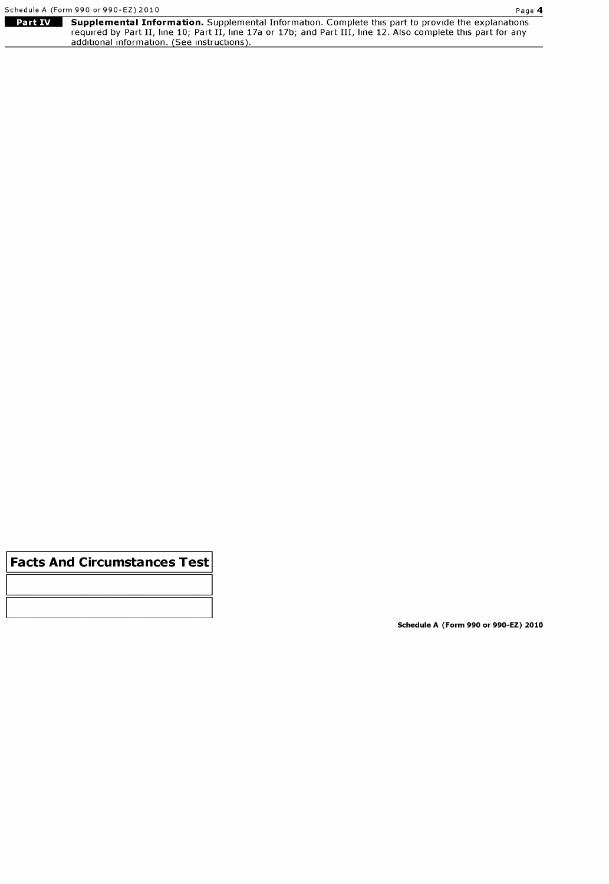|                                                                                                                      | Schedule A (Form 990 or 990-EZ) 2010<br>Page 4                                                                 |  |  |  |  |  |
|----------------------------------------------------------------------------------------------------------------------|----------------------------------------------------------------------------------------------------------------|--|--|--|--|--|
| Part IV<br><b>Supplemental Information.</b> Supplemental Information. Complete this part to provide the explanations |                                                                                                                |  |  |  |  |  |
|                                                                                                                      | required by Part II, line 10; Part II, line 17a or 17b; and Part III, line 12. Also complete this part for any |  |  |  |  |  |
|                                                                                                                      | additional information. (See instructions).                                                                    |  |  |  |  |  |

Facts And Circumstances Test

Schedule A (Form 990 or 990-EZ) 2010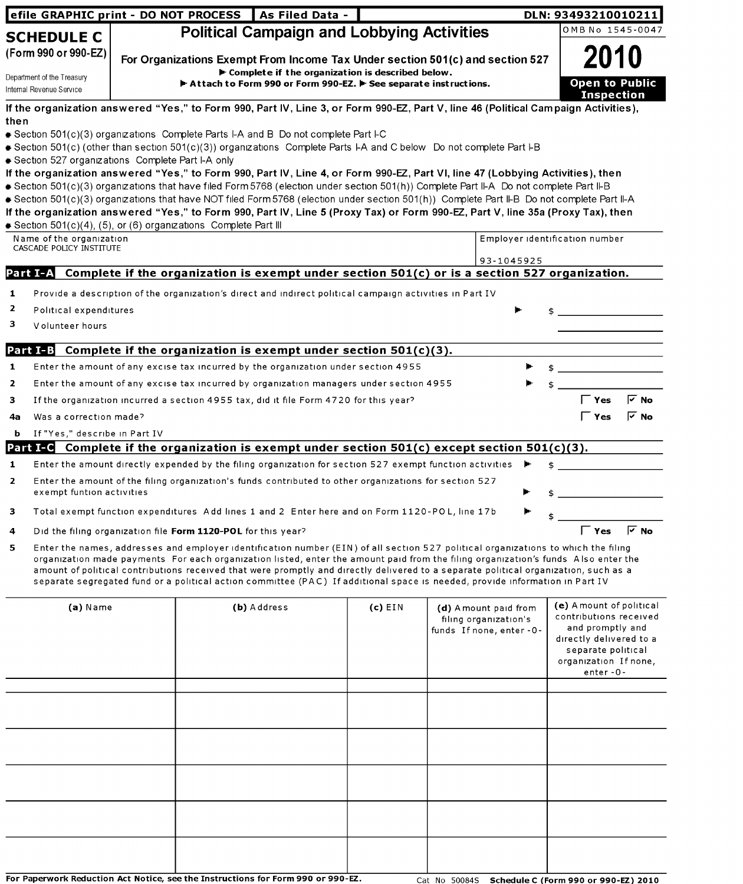|                                                                                                                                                                                                                                                                                                                                                                                                                                                                                                                                                  | efile GRAPHIC print - DO NOT PROCESS<br>As Filed Data -<br>DLN: 93493210010211 |  |                                                                                                                                                                                                                                                                          |                                                                                                    |  |                           |                                             |  |  |  |  |
|--------------------------------------------------------------------------------------------------------------------------------------------------------------------------------------------------------------------------------------------------------------------------------------------------------------------------------------------------------------------------------------------------------------------------------------------------------------------------------------------------------------------------------------------------|--------------------------------------------------------------------------------|--|--------------------------------------------------------------------------------------------------------------------------------------------------------------------------------------------------------------------------------------------------------------------------|----------------------------------------------------------------------------------------------------|--|---------------------------|---------------------------------------------|--|--|--|--|
| <b>SCHEDULE C</b>                                                                                                                                                                                                                                                                                                                                                                                                                                                                                                                                |                                                                                |  | <b>Political Campaign and Lobbying Activities</b>                                                                                                                                                                                                                        |                                                                                                    |  |                           | OMB No 1545-0047                            |  |  |  |  |
| (Form 990 or 990-EZ)                                                                                                                                                                                                                                                                                                                                                                                                                                                                                                                             |                                                                                |  |                                                                                                                                                                                                                                                                          |                                                                                                    |  |                           | 2010                                        |  |  |  |  |
|                                                                                                                                                                                                                                                                                                                                                                                                                                                                                                                                                  |                                                                                |  | For Organizations Exempt From Income Tax Under section 501(c) and section 527<br>$\blacktriangleright$ Complete if the organization is described below.                                                                                                                  |                                                                                                    |  |                           |                                             |  |  |  |  |
| Department of the Treasury<br>Internal Revenue Service                                                                                                                                                                                                                                                                                                                                                                                                                                                                                           |                                                                                |  | Attach to Form 990 or Form 990-EZ. F See separate instructions.                                                                                                                                                                                                          |                                                                                                    |  |                           | <b>Open to Public</b>                       |  |  |  |  |
|                                                                                                                                                                                                                                                                                                                                                                                                                                                                                                                                                  |                                                                                |  |                                                                                                                                                                                                                                                                          |                                                                                                    |  |                           | <b>Inspection</b>                           |  |  |  |  |
| then                                                                                                                                                                                                                                                                                                                                                                                                                                                                                                                                             |                                                                                |  | If the organization answered "Yes," to Form 990, Part IV, Line 3, or Form 990-EZ, Part V, line 46 (Political Campaign Activities),                                                                                                                                       |                                                                                                    |  |                           |                                             |  |  |  |  |
|                                                                                                                                                                                                                                                                                                                                                                                                                                                                                                                                                  |                                                                                |  | Section 501(c)(3) organizations Complete Parts I-A and B Do not complete Part I-C                                                                                                                                                                                        |                                                                                                    |  |                           |                                             |  |  |  |  |
|                                                                                                                                                                                                                                                                                                                                                                                                                                                                                                                                                  |                                                                                |  | Section 501(c) (other than section 501(c)(3)) organizations Complete Parts I-A and C below Do not complete Part I-B                                                                                                                                                      |                                                                                                    |  |                           |                                             |  |  |  |  |
| Section 527 organizations Complete Part I-A only                                                                                                                                                                                                                                                                                                                                                                                                                                                                                                 |                                                                                |  |                                                                                                                                                                                                                                                                          |                                                                                                    |  |                           |                                             |  |  |  |  |
|                                                                                                                                                                                                                                                                                                                                                                                                                                                                                                                                                  |                                                                                |  | If the organization answered "Yes," to Form 990, Part IV, Line 4, or Form 990-EZ, Part VI, line 47 (Lobbying Activities), then<br>Section 501(c)(3) organizations that have filed Form 5768 (election under section 501(h)) Complete Part II-A Do not complete Part II-B |                                                                                                    |  |                           |                                             |  |  |  |  |
|                                                                                                                                                                                                                                                                                                                                                                                                                                                                                                                                                  |                                                                                |  | Section 501(c)(3) organizations that have NOT filed Form 5768 (election under section 501(h)) Complete Part II-B Do not complete Part II-A                                                                                                                               |                                                                                                    |  |                           |                                             |  |  |  |  |
|                                                                                                                                                                                                                                                                                                                                                                                                                                                                                                                                                  |                                                                                |  | If the organization answered "Yes," to Form 990, Part IV, Line 5 (Proxy Tax) or Form 990-EZ, Part V, line 35a (Proxy Tax), then                                                                                                                                          |                                                                                                    |  |                           |                                             |  |  |  |  |
| Section 501(c)(4), (5), or (6) organizations Complete Part III<br>Name of the organization                                                                                                                                                                                                                                                                                                                                                                                                                                                       |                                                                                |  |                                                                                                                                                                                                                                                                          |                                                                                                    |  |                           | Employer identification number              |  |  |  |  |
| CASCADE POLICY INSTITUTE                                                                                                                                                                                                                                                                                                                                                                                                                                                                                                                         |                                                                                |  |                                                                                                                                                                                                                                                                          |                                                                                                    |  |                           |                                             |  |  |  |  |
|                                                                                                                                                                                                                                                                                                                                                                                                                                                                                                                                                  |                                                                                |  |                                                                                                                                                                                                                                                                          |                                                                                                    |  | 93-1045925                |                                             |  |  |  |  |
|                                                                                                                                                                                                                                                                                                                                                                                                                                                                                                                                                  |                                                                                |  | Part I-A Complete if the organization is exempt under section 501(c) or is a section 527 organization.                                                                                                                                                                   |                                                                                                    |  |                           |                                             |  |  |  |  |
| 1                                                                                                                                                                                                                                                                                                                                                                                                                                                                                                                                                |                                                                                |  | Provide a description of the organization's direct and indirect political campaign activities in Part IV                                                                                                                                                                 |                                                                                                    |  |                           |                                             |  |  |  |  |
| 2<br>Political expenditures                                                                                                                                                                                                                                                                                                                                                                                                                                                                                                                      |                                                                                |  |                                                                                                                                                                                                                                                                          |                                                                                                    |  |                           |                                             |  |  |  |  |
| з<br>Volunteer hours                                                                                                                                                                                                                                                                                                                                                                                                                                                                                                                             |                                                                                |  |                                                                                                                                                                                                                                                                          |                                                                                                    |  |                           |                                             |  |  |  |  |
|                                                                                                                                                                                                                                                                                                                                                                                                                                                                                                                                                  |                                                                                |  | <b>Part I-B</b> Complete if the organization is exempt under section $501(c)(3)$ .                                                                                                                                                                                       |                                                                                                    |  |                           |                                             |  |  |  |  |
| 1                                                                                                                                                                                                                                                                                                                                                                                                                                                                                                                                                |                                                                                |  | Enter the amount of any excise tax incurred by the organization under section 4955                                                                                                                                                                                       |                                                                                                    |  |                           |                                             |  |  |  |  |
| $\mathbf{z}$                                                                                                                                                                                                                                                                                                                                                                                                                                                                                                                                     |                                                                                |  | Enter the amount of any excise tax incurred by organization managers under section 4955                                                                                                                                                                                  |                                                                                                    |  |                           |                                             |  |  |  |  |
| 3                                                                                                                                                                                                                                                                                                                                                                                                                                                                                                                                                |                                                                                |  | If the organization incurred a section 4955 tax, did it file Form 4720 for this year?                                                                                                                                                                                    |                                                                                                    |  |                           | $\mathsf{\Gamma}$ Yes<br>দ No               |  |  |  |  |
| Was a correction made?<br>4a                                                                                                                                                                                                                                                                                                                                                                                                                                                                                                                     |                                                                                |  |                                                                                                                                                                                                                                                                          |                                                                                                    |  |                           | Yes<br>l∽ No                                |  |  |  |  |
| If "Yes," describe in Part IV<br>b                                                                                                                                                                                                                                                                                                                                                                                                                                                                                                               |                                                                                |  |                                                                                                                                                                                                                                                                          |                                                                                                    |  |                           |                                             |  |  |  |  |
|                                                                                                                                                                                                                                                                                                                                                                                                                                                                                                                                                  |                                                                                |  | Part I-G Complete if the organization is exempt under section $501(c)$ except section $501(c)(3)$ .                                                                                                                                                                      |                                                                                                    |  |                           |                                             |  |  |  |  |
| 1                                                                                                                                                                                                                                                                                                                                                                                                                                                                                                                                                |                                                                                |  | Enter the amount directly expended by the filing organization for section 527 exempt function activities                                                                                                                                                                 |                                                                                                    |  |                           |                                             |  |  |  |  |
| 2                                                                                                                                                                                                                                                                                                                                                                                                                                                                                                                                                |                                                                                |  | Enter the amount of the filing organization's funds contributed to other organizations for section 527                                                                                                                                                                   |                                                                                                    |  |                           |                                             |  |  |  |  |
| exempt funtion activities                                                                                                                                                                                                                                                                                                                                                                                                                                                                                                                        |                                                                                |  |                                                                                                                                                                                                                                                                          |                                                                                                    |  |                           |                                             |  |  |  |  |
| з                                                                                                                                                                                                                                                                                                                                                                                                                                                                                                                                                |                                                                                |  | Total exempt function expenditures Add lines 1 and 2 Enter here and on Form 1120-POL, line 17b                                                                                                                                                                           |                                                                                                    |  |                           |                                             |  |  |  |  |
| 4                                                                                                                                                                                                                                                                                                                                                                                                                                                                                                                                                |                                                                                |  |                                                                                                                                                                                                                                                                          |                                                                                                    |  |                           |                                             |  |  |  |  |
| 5                                                                                                                                                                                                                                                                                                                                                                                                                                                                                                                                                |                                                                                |  |                                                                                                                                                                                                                                                                          | $\overline{V}$ No<br>$\Gamma$ Yes<br>Did the filing organization file Form 1120-POL for this year? |  |                           |                                             |  |  |  |  |
| Enter the names, addresses and employer identification number (EIN) of all section 527 political organizations to which the filing<br>organization made payments For each organization listed, enter the amount paid from the filing organization's funds Also enter the<br>amount of political contributions received that were promptly and directly delivered to a separate political organization, such as a<br>separate segregated fund or a political action committee (PAC) If additional space is needed, provide information in Part IV |                                                                                |  |                                                                                                                                                                                                                                                                          |                                                                                                    |  |                           |                                             |  |  |  |  |
|                                                                                                                                                                                                                                                                                                                                                                                                                                                                                                                                                  |                                                                                |  |                                                                                                                                                                                                                                                                          |                                                                                                    |  |                           |                                             |  |  |  |  |
| $(a)$ Name                                                                                                                                                                                                                                                                                                                                                                                                                                                                                                                                       |                                                                                |  | (b) Address                                                                                                                                                                                                                                                              | $(c)$ EIN                                                                                          |  | (d) A mount paid from     | (e) A mount of political                    |  |  |  |  |
|                                                                                                                                                                                                                                                                                                                                                                                                                                                                                                                                                  |                                                                                |  |                                                                                                                                                                                                                                                                          |                                                                                                    |  | filing organization's     | contributions received                      |  |  |  |  |
|                                                                                                                                                                                                                                                                                                                                                                                                                                                                                                                                                  |                                                                                |  |                                                                                                                                                                                                                                                                          |                                                                                                    |  | funds If none, enter - 0- | and promptly and<br>directly delivered to a |  |  |  |  |
|                                                                                                                                                                                                                                                                                                                                                                                                                                                                                                                                                  |                                                                                |  |                                                                                                                                                                                                                                                                          |                                                                                                    |  |                           | separate political                          |  |  |  |  |
|                                                                                                                                                                                                                                                                                                                                                                                                                                                                                                                                                  |                                                                                |  |                                                                                                                                                                                                                                                                          |                                                                                                    |  |                           | organization If none,<br>enter-0-           |  |  |  |  |
|                                                                                                                                                                                                                                                                                                                                                                                                                                                                                                                                                  |                                                                                |  |                                                                                                                                                                                                                                                                          |                                                                                                    |  |                           |                                             |  |  |  |  |
|                                                                                                                                                                                                                                                                                                                                                                                                                                                                                                                                                  |                                                                                |  |                                                                                                                                                                                                                                                                          |                                                                                                    |  |                           |                                             |  |  |  |  |
|                                                                                                                                                                                                                                                                                                                                                                                                                                                                                                                                                  |                                                                                |  |                                                                                                                                                                                                                                                                          |                                                                                                    |  |                           |                                             |  |  |  |  |
|                                                                                                                                                                                                                                                                                                                                                                                                                                                                                                                                                  |                                                                                |  |                                                                                                                                                                                                                                                                          |                                                                                                    |  |                           |                                             |  |  |  |  |
|                                                                                                                                                                                                                                                                                                                                                                                                                                                                                                                                                  |                                                                                |  |                                                                                                                                                                                                                                                                          |                                                                                                    |  |                           |                                             |  |  |  |  |
|                                                                                                                                                                                                                                                                                                                                                                                                                                                                                                                                                  |                                                                                |  |                                                                                                                                                                                                                                                                          |                                                                                                    |  |                           |                                             |  |  |  |  |
|                                                                                                                                                                                                                                                                                                                                                                                                                                                                                                                                                  |                                                                                |  |                                                                                                                                                                                                                                                                          |                                                                                                    |  |                           |                                             |  |  |  |  |
|                                                                                                                                                                                                                                                                                                                                                                                                                                                                                                                                                  |                                                                                |  |                                                                                                                                                                                                                                                                          |                                                                                                    |  |                           |                                             |  |  |  |  |
|                                                                                                                                                                                                                                                                                                                                                                                                                                                                                                                                                  |                                                                                |  |                                                                                                                                                                                                                                                                          |                                                                                                    |  |                           |                                             |  |  |  |  |
|                                                                                                                                                                                                                                                                                                                                                                                                                                                                                                                                                  |                                                                                |  |                                                                                                                                                                                                                                                                          |                                                                                                    |  |                           |                                             |  |  |  |  |

For Paperwork Reduction Act Notice, see the Instructions for Form 990 or 990-EZ. Cat No 50084S Schedule C (Form 990 or 990-EZ) 2010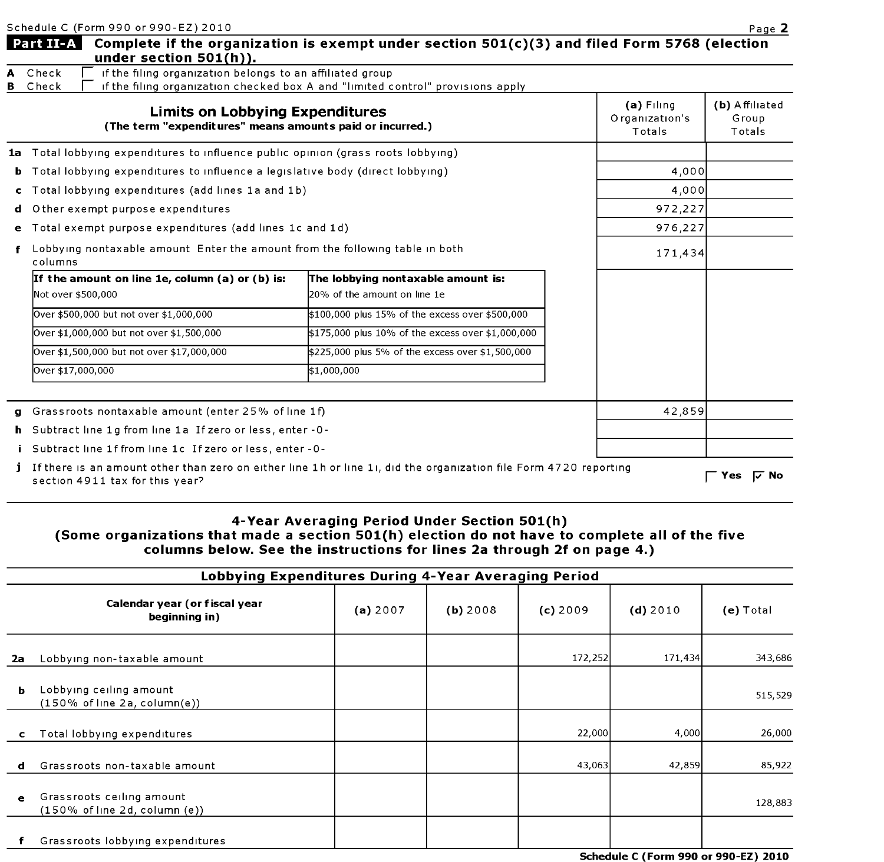| Schedule C (Form 990 or 990-EZ) 2010 |  |  |  |
|--------------------------------------|--|--|--|

|        | Schedule C (Form 990 or 990-EZ) 2010                                                                |                                                                                                                   |                                          | Page 2                            |
|--------|-----------------------------------------------------------------------------------------------------|-------------------------------------------------------------------------------------------------------------------|------------------------------------------|-----------------------------------|
|        | Part II-A<br>under section $501(h)$ ).                                                              | Complete if the organization is exempt under section 501(c)(3) and filed Form 5768 (election                      |                                          |                                   |
| А<br>в | if the filing organization belongs to an affiliated group<br>Check<br>Check                         | if the filing organization checked box A and "limited control" provisions apply                                   |                                          |                                   |
|        | <b>Limits on Lobbying Expenditures</b><br>(The term "expenditures" means amounts paid or incurred.) |                                                                                                                   | $(a)$ Filing<br>Organization's<br>Totals | (b) Affiliated<br>Group<br>Totals |
|        | 1a Total lobbying expenditures to influence public opinion (grass roots lobbying)                   |                                                                                                                   |                                          |                                   |
|        | <b>b</b> Total lobbying expenditures to influence a legislative body (direct lobbying)              |                                                                                                                   | 4,000                                    |                                   |
| C.     | Total lobbying expenditures (add lines 1a and 1b)                                                   | 4,000                                                                                                             |                                          |                                   |
| d      | O ther exempt purpose expenditures                                                                  |                                                                                                                   | 972,227                                  |                                   |
| е      | Total exempt purpose expenditures (add lines 1c and 1d)                                             | 976,227                                                                                                           |                                          |                                   |
|        | Lobbying nontaxable amount Enter the amount from the following table in both<br>columns             | 171,434                                                                                                           |                                          |                                   |
|        | If the amount on line 1e, column (a) or (b) is:                                                     | The lobbying nontaxable amount is:                                                                                |                                          |                                   |
|        | Not over \$500,000                                                                                  | 20% of the amount on line 1e                                                                                      |                                          |                                   |
|        | Over \$500,000 but not over \$1,000,000                                                             | \$100,000 plus 15% of the excess over \$500,000                                                                   |                                          |                                   |
|        | Over \$1,000,000 but not over \$1,500,000                                                           | \$175,000 plus 10% of the excess over \$1,000,000                                                                 |                                          |                                   |
|        | Over \$1,500,000 but not over \$17,000,000                                                          | \$225,000 plus 5% of the excess over \$1,500,000                                                                  |                                          |                                   |
|        | Over \$17,000,000                                                                                   | \$1,000,000                                                                                                       |                                          |                                   |
|        | g Grassroots nontaxable amount (enter 25% of line 1f)                                               |                                                                                                                   | 42,859                                   |                                   |
| h.     | Subtract line 1g from line 1a If zero or less, enter -0-                                            |                                                                                                                   |                                          |                                   |
|        | Subtract line 1f from line 1c If zero or less, enter - 0-                                           |                                                                                                                   |                                          |                                   |
|        | section 4911 tax for this year?                                                                     | If there is an amount other than zero on either line 1h or line 1;, did the organization file Form 4720 reporting |                                          | <b>レ No</b><br>Yes                |

## 4-Year Averaging Period Under Section 501(h) (Some organizations that made <sup>a</sup> section 501(h) election do not have to complete all of the five columns below. See the instructions for lines 2a through 2f on page 4.)

|           | Lobbying Expenditures During 4-Year Averaging Period                           |          |          |            |            |             |
|-----------|--------------------------------------------------------------------------------|----------|----------|------------|------------|-------------|
|           | Calendar year (or fiscal year<br>beginning in)                                 | (a) 2007 | (b) 2008 | $(c)$ 2009 | $(d)$ 2010 | $(e)$ Total |
| 2a        | Lobbying non-taxable amount                                                    |          |          | 172,252    | 171,434    | 343,686     |
| ь         | Lobbying ceiling amount<br>$(150\% \text{ of line } 2a, \text{column}(e))$     |          |          |            |            | 515,529     |
| c         | Total lobbying expenditures                                                    |          |          | 22,000     | 4,000      | 26,000      |
| d         | Grassroots non-taxable amount                                                  |          |          | 43,063     | 42,859     | 85,922      |
| $\bullet$ | Grassroots ceiling amount<br>$(150\% \text{ of line } 2d, \text{column } (e))$ |          |          |            |            | 128,883     |
|           | Grassroots lobbying expenditures                                               |          |          |            |            |             |

Schedule C (Form 990 or 990-EZ) 2010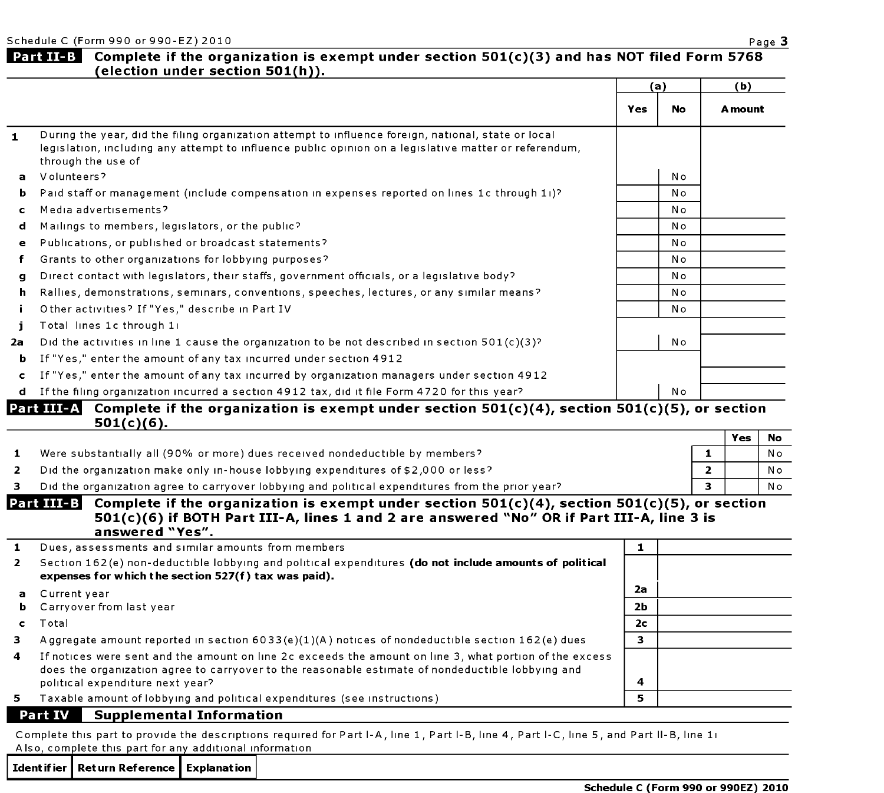$\overline{\phantom{a}}$ 

I

### Part II-B Complete if the organization is exempt under section  $501(c)(3)$  and has NOT filed Form 5768 (election under section 501(h)).

|              |                                                                                                                                                                                                                                    | (a) |           | (b)     |  |
|--------------|------------------------------------------------------------------------------------------------------------------------------------------------------------------------------------------------------------------------------------|-----|-----------|---------|--|
|              |                                                                                                                                                                                                                                    | Yes | <b>No</b> | A mount |  |
| $\mathbf{1}$ | During the year, did the filing organization attempt to influence foreign, national, state or local<br>legislation, including any attempt to influence public opinion on a legislative matter or referendum,<br>through the use of |     |           |         |  |
| a            | Volunteers?                                                                                                                                                                                                                        |     | No        |         |  |
| b.           | Paid staff or management (include compensation in expenses reported on lines 1c through 11)?                                                                                                                                       |     | N o       |         |  |
| $\mathbf{c}$ | Media advertisements?                                                                                                                                                                                                              |     | No        |         |  |
| d            | Mailings to members, legislators, or the public?                                                                                                                                                                                   |     | N o       |         |  |
| $\mathbf{e}$ | Publications, or published or broadcast statements?                                                                                                                                                                                |     | No        |         |  |
| f            | Grants to other organizations for lobbying purposes?                                                                                                                                                                               |     | No        |         |  |
| g            | Direct contact with legislators, their staffs, government officials, or a legislative body?                                                                                                                                        |     | N o       |         |  |
| h.           | Rallies, demonstrations, seminars, conventions, speeches, lectures, or any similar means?                                                                                                                                          |     | N o       |         |  |
| j.           | Other activities? If "Yes," describe in Part IV                                                                                                                                                                                    |     | No        |         |  |
| j.           | Total lines 1c through 1:                                                                                                                                                                                                          |     |           |         |  |
| 2a           | Did the activities in line 1 cause the organization to be not described in section $501(c)(3)^{2}$                                                                                                                                 |     | No        |         |  |
| b.           | If "Yes," enter the amount of any tax incurred under section 4912                                                                                                                                                                  |     |           |         |  |
| $\mathbf{c}$ | If "Yes," enter the amount of any tax incurred by organization managers under section 4912                                                                                                                                         |     |           |         |  |
|              | d If the filing organization incurred a section 4912 tax, did it file Form 4720 for this year?                                                                                                                                     |     | No        |         |  |
|              | Part III-A <br>Complete if the organization is exempt under section $501(c)(4)$ , section $501(c)(5)$ , or section<br>501/61/61                                                                                                    |     |           |         |  |

|              | ----------                                                                                       |     |                |
|--------------|--------------------------------------------------------------------------------------------------|-----|----------------|
|              |                                                                                                  | Yes |                |
|              | Were substantially all (90% or more) dues received nondeductible by members?                     |     | N o            |
| $\mathbf{2}$ | Did the organization make only in-house lobbying expenditures of \$2,000 or less?                |     | N <sub>o</sub> |
|              | Did the organization agree to carryover lobbying and political expenditures from the prior year? |     | Nο             |

#### Part III-B Complete if the organization is exempt under section  $501(c)(4)$ , section  $501(c)(5)$ , or section 501(c)(6) if BOTH Part 111-A, lines <sup>1</sup> and 2 are answered "No " OR if Part III-A, line <sup>3</sup> is answered "Yes".

| 1            | Dues, assessments and similar amounts from members                                                                                                                                                           |                |  |  |  |  |
|--------------|--------------------------------------------------------------------------------------------------------------------------------------------------------------------------------------------------------------|----------------|--|--|--|--|
| $\mathbf{2}$ | Section 162(e) non-deductible lobbying and political expenditures (do not include amounts of political<br>expenses for which the section 527(f) tax was paid).                                               |                |  |  |  |  |
| $\mathbf{a}$ | Current year                                                                                                                                                                                                 | 2а             |  |  |  |  |
| ь.           | Carryover from last year                                                                                                                                                                                     | 2 <sub>b</sub> |  |  |  |  |
|              | Total                                                                                                                                                                                                        | 2 <sub>c</sub> |  |  |  |  |
| з            | Aggregate amount reported in section $6033(e)(1)(A)$ notices of nondeductible section $162(e)$ dues                                                                                                          | 3              |  |  |  |  |
| 4            | If notices were sent and the amount on line 2c exceeds the amount on line 3, what portion of the excess<br>does the organization agree to carryover to the reasonable estimate of nondeductible lobbying and |                |  |  |  |  |
|              | political expenditure next year?                                                                                                                                                                             | 4              |  |  |  |  |
| 5.           | Taxable amount of lobbying and political expenditures (see instructions)                                                                                                                                     | 5              |  |  |  |  |
|              | <b>Part IV</b><br><b>Supplemental Information</b>                                                                                                                                                            |                |  |  |  |  |

Complete this part to provide the descriptions required for Part I-A, line 1, Part I-B, line 4, Part I-C, line 5, and Part II-B, line 1i Also, complete this part for any additional information

Ident if ier | Ret urn Reference | Explanat ion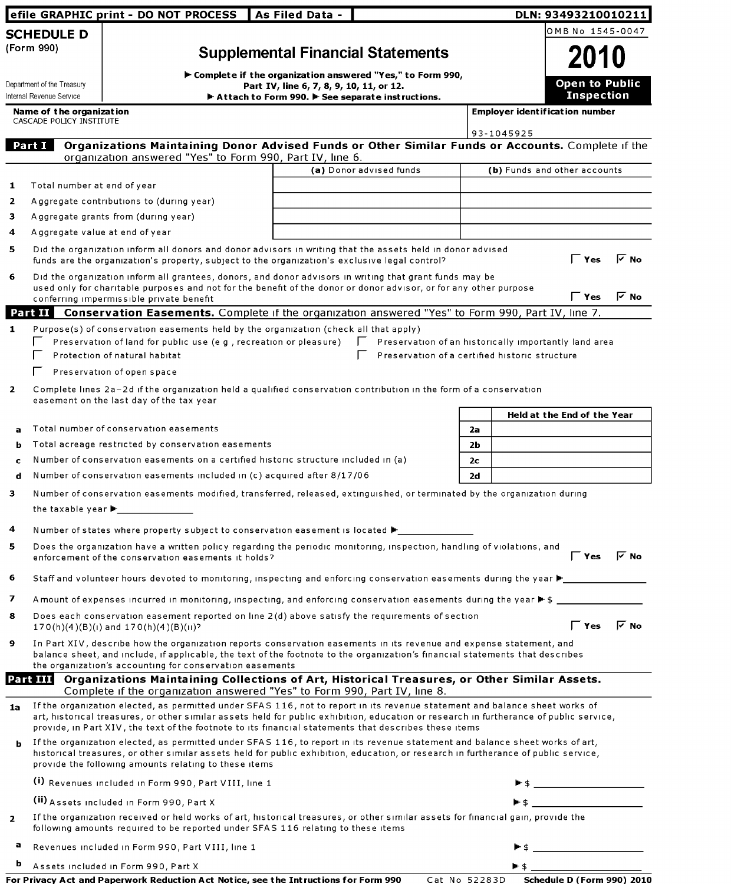|                                                      | efile GRAPHIC print - DO NOT PROCESS                                                                                                                                                                                                                                                                                                                                           | As Filed Data -                                                                                         |                                                       |                |                                       | DLN: 93493210010211                                                                                                                                                                                                                                                                                                                                                                                                 |                    |
|------------------------------------------------------|--------------------------------------------------------------------------------------------------------------------------------------------------------------------------------------------------------------------------------------------------------------------------------------------------------------------------------------------------------------------------------|---------------------------------------------------------------------------------------------------------|-------------------------------------------------------|----------------|---------------------------------------|---------------------------------------------------------------------------------------------------------------------------------------------------------------------------------------------------------------------------------------------------------------------------------------------------------------------------------------------------------------------------------------------------------------------|--------------------|
| <b>SCHEDULE D</b>                                    |                                                                                                                                                                                                                                                                                                                                                                                |                                                                                                         |                                                       |                |                                       | OMB No 1545-0047                                                                                                                                                                                                                                                                                                                                                                                                    |                    |
| (Form 990)                                           |                                                                                                                                                                                                                                                                                                                                                                                | <b>Supplemental Financial Statements</b>                                                                |                                                       |                |                                       | 2010                                                                                                                                                                                                                                                                                                                                                                                                                |                    |
|                                                      |                                                                                                                                                                                                                                                                                                                                                                                |                                                                                                         |                                                       |                |                                       |                                                                                                                                                                                                                                                                                                                                                                                                                     |                    |
| Department of the Treasury                           |                                                                                                                                                                                                                                                                                                                                                                                | F Complete if the organization answered "Yes," to Form 990,<br>Part IV, line 6, 7, 8, 9, 10, 11, or 12. |                                                       |                |                                       | <b>Open to Public</b>                                                                                                                                                                                                                                                                                                                                                                                               |                    |
| Internal Revenue Service                             |                                                                                                                                                                                                                                                                                                                                                                                | Attach to Form 990. F See separate instructions.                                                        |                                                       |                |                                       | <b>Inspection</b>                                                                                                                                                                                                                                                                                                                                                                                                   |                    |
| Name of the organization<br>CASCADE POLICY INSTITUTE |                                                                                                                                                                                                                                                                                                                                                                                |                                                                                                         |                                                       |                | <b>Employer identification number</b> |                                                                                                                                                                                                                                                                                                                                                                                                                     |                    |
|                                                      |                                                                                                                                                                                                                                                                                                                                                                                |                                                                                                         |                                                       |                | 93-1045925                            |                                                                                                                                                                                                                                                                                                                                                                                                                     |                    |
| Part I                                               | Organizations Maintaining Donor Advised Funds or Other Similar Funds or Accounts. Complete if the<br>organization answered "Yes" to Form 990, Part IV, line 6.                                                                                                                                                                                                                 |                                                                                                         |                                                       |                |                                       |                                                                                                                                                                                                                                                                                                                                                                                                                     |                    |
|                                                      |                                                                                                                                                                                                                                                                                                                                                                                |                                                                                                         | (a) Donor advised funds                               |                | (b) Funds and other accounts          |                                                                                                                                                                                                                                                                                                                                                                                                                     |                    |
| Total number at end of year                          |                                                                                                                                                                                                                                                                                                                                                                                |                                                                                                         |                                                       |                |                                       |                                                                                                                                                                                                                                                                                                                                                                                                                     |                    |
|                                                      | Aggregate contributions to (during year)                                                                                                                                                                                                                                                                                                                                       |                                                                                                         |                                                       |                |                                       |                                                                                                                                                                                                                                                                                                                                                                                                                     |                    |
|                                                      | Aggregate grants from (during year)                                                                                                                                                                                                                                                                                                                                            |                                                                                                         |                                                       |                |                                       |                                                                                                                                                                                                                                                                                                                                                                                                                     |                    |
| Aggregate value at end of year                       |                                                                                                                                                                                                                                                                                                                                                                                |                                                                                                         |                                                       |                |                                       |                                                                                                                                                                                                                                                                                                                                                                                                                     |                    |
|                                                      | Did the organization inform all donors and donor advisors in writing that the assets held in donor advised<br>funds are the organization's property, subject to the organization's exclusive legal control?                                                                                                                                                                    |                                                                                                         |                                                       |                |                                       | $\mathsf \Gamma$ Yes                                                                                                                                                                                                                                                                                                                                                                                                | $\overline{V}$ No  |
|                                                      | Did the organization inform all grantees, donors, and donor advisors in writing that grant funds may be<br>used only for charitable purposes and not for the benefit of the donor or donor advisor, or for any other purpose                                                                                                                                                   |                                                                                                         |                                                       |                |                                       |                                                                                                                                                                                                                                                                                                                                                                                                                     |                    |
|                                                      | conferring impermissible private benefit                                                                                                                                                                                                                                                                                                                                       |                                                                                                         |                                                       |                |                                       | $\Gamma$ Yes                                                                                                                                                                                                                                                                                                                                                                                                        | $\triangledown$ No |
| Part II                                              | Conservation Easements. Complete if the organization answered "Yes" to Form 990, Part IV, line 7.                                                                                                                                                                                                                                                                              |                                                                                                         |                                                       |                |                                       |                                                                                                                                                                                                                                                                                                                                                                                                                     |                    |
|                                                      | Purpose(s) of conservation easements held by the organization (check all that apply)                                                                                                                                                                                                                                                                                           |                                                                                                         |                                                       |                |                                       |                                                                                                                                                                                                                                                                                                                                                                                                                     |                    |
|                                                      | Preservation of land for public use (e g, recreation or pleasure)                                                                                                                                                                                                                                                                                                              |                                                                                                         | Preservation of an historically importantly land area |                |                                       |                                                                                                                                                                                                                                                                                                                                                                                                                     |                    |
|                                                      | Protection of natural habitat                                                                                                                                                                                                                                                                                                                                                  |                                                                                                         | Preservation of a certified historic structure        |                |                                       |                                                                                                                                                                                                                                                                                                                                                                                                                     |                    |
|                                                      | Preservation of open space                                                                                                                                                                                                                                                                                                                                                     |                                                                                                         |                                                       |                |                                       |                                                                                                                                                                                                                                                                                                                                                                                                                     |                    |
|                                                      | Complete lines 2a-2d if the organization held a qualified conservation contribution in the form of a conservation<br>easement on the last day of the tax year                                                                                                                                                                                                                  |                                                                                                         |                                                       |                |                                       |                                                                                                                                                                                                                                                                                                                                                                                                                     |                    |
|                                                      |                                                                                                                                                                                                                                                                                                                                                                                |                                                                                                         |                                                       |                | Held at the End of the Year           |                                                                                                                                                                                                                                                                                                                                                                                                                     |                    |
|                                                      | Total number of conservation easements                                                                                                                                                                                                                                                                                                                                         |                                                                                                         |                                                       | 2a             |                                       |                                                                                                                                                                                                                                                                                                                                                                                                                     |                    |
| ь                                                    | Total acreage restricted by conservation easements                                                                                                                                                                                                                                                                                                                             |                                                                                                         |                                                       | 2b             |                                       |                                                                                                                                                                                                                                                                                                                                                                                                                     |                    |
|                                                      | Number of conservation easements on a certified historic structure included in (a)                                                                                                                                                                                                                                                                                             |                                                                                                         |                                                       | 2 <sub>c</sub> |                                       |                                                                                                                                                                                                                                                                                                                                                                                                                     |                    |
| d                                                    | Number of conservation easements included in (c) acquired after 8/17/06                                                                                                                                                                                                                                                                                                        |                                                                                                         |                                                       | 2d             |                                       |                                                                                                                                                                                                                                                                                                                                                                                                                     |                    |
|                                                      | Number of conservation easements modified, transferred, released, extinguished, or terminated by the organization during                                                                                                                                                                                                                                                       |                                                                                                         |                                                       |                |                                       |                                                                                                                                                                                                                                                                                                                                                                                                                     |                    |
|                                                      |                                                                                                                                                                                                                                                                                                                                                                                |                                                                                                         |                                                       |                |                                       |                                                                                                                                                                                                                                                                                                                                                                                                                     |                    |
|                                                      | Number of states where property subject to conservation easement is located $\blacktriangleright$                                                                                                                                                                                                                                                                              |                                                                                                         |                                                       |                |                                       |                                                                                                                                                                                                                                                                                                                                                                                                                     |                    |
|                                                      | Does the organization have a written policy regarding the periodic monitoring, inspection, handling of violations, and                                                                                                                                                                                                                                                         |                                                                                                         |                                                       |                |                                       |                                                                                                                                                                                                                                                                                                                                                                                                                     |                    |
|                                                      | enforcement of the conservation easements it holds?                                                                                                                                                                                                                                                                                                                            |                                                                                                         |                                                       |                |                                       | $\begin{bmatrix} \nabla & \mathbf{Y} & \mathbf{e} & \nabla & \mathbf{N} & \nabla \nabla & \mathbf{e} & \nabla \nabla & \mathbf{e} & \nabla \nabla \nabla \mathbf{e} & \nabla \nabla \nabla \mathbf{e} & \nabla \nabla \mathbf{e} & \nabla \nabla \mathbf{e} & \nabla \nabla \mathbf{e} & \nabla \nabla \mathbf{e} & \nabla \nabla \mathbf{e} & \nabla \nabla \mathbf{e} & \nabla \nabla \mathbf{e} & \nabla \nabla$ |                    |
|                                                      | Staff and volunteer hours devoted to monitoring, inspecting and enforcing conservation easements during the year $\blacktriangleright$                                                                                                                                                                                                                                         |                                                                                                         |                                                       |                |                                       |                                                                                                                                                                                                                                                                                                                                                                                                                     |                    |
|                                                      | A mount of expenses incurred in monitoring, inspecting, and enforcing conservation easements during the year ▶ \$                                                                                                                                                                                                                                                              |                                                                                                         |                                                       |                |                                       |                                                                                                                                                                                                                                                                                                                                                                                                                     |                    |
|                                                      | Does each conservation easement reported on line 2(d) above satisfy the requirements of section<br>$170(h)(4)(B)(1)$ and $170(h)(4)(B)(1)$ ?                                                                                                                                                                                                                                   |                                                                                                         |                                                       |                |                                       | $\Gamma$ Yes $\sqrt{ }$ No                                                                                                                                                                                                                                                                                                                                                                                          |                    |
|                                                      | In Part XIV, describe how the organization reports conservation easements in its revenue and expense statement, and<br>balance sheet, and include, if applicable, the text of the footnote to the organization's financial statements that describes<br>the organization's accounting for conservation easements                                                               |                                                                                                         |                                                       |                |                                       |                                                                                                                                                                                                                                                                                                                                                                                                                     |                    |
|                                                      | <b>Part III</b> Organizations Maintaining Collections of Art, Historical Treasures, or Other Similar Assets.<br>Complete if the organization answered "Yes" to Form 990, Part IV, line 8.                                                                                                                                                                                      |                                                                                                         |                                                       |                |                                       |                                                                                                                                                                                                                                                                                                                                                                                                                     |                    |
| 1a                                                   | If the organization elected, as permitted under SFAS 116, not to report in its revenue statement and balance sheet works of<br>art, historical treasures, or other similar assets held for public exhibition, education or research in furtherance of public service,<br>provide, in Part XIV, the text of the footnote to its financial statements that describes these items |                                                                                                         |                                                       |                |                                       |                                                                                                                                                                                                                                                                                                                                                                                                                     |                    |
| ь                                                    | If the organization elected, as permitted under SFAS 116, to report in its revenue statement and balance sheet works of art,<br>historical treasures, or other similar assets held for public exhibition, education, or research in furtherance of public service,<br>provide the following amounts relating to these items                                                    |                                                                                                         |                                                       |                |                                       |                                                                                                                                                                                                                                                                                                                                                                                                                     |                    |
|                                                      | (i) Revenues included in Form 990, Part VIII, line 1                                                                                                                                                                                                                                                                                                                           |                                                                                                         |                                                       |                |                                       |                                                                                                                                                                                                                                                                                                                                                                                                                     |                    |
|                                                      | (ii) Assets included in Form 990, Part X                                                                                                                                                                                                                                                                                                                                       |                                                                                                         |                                                       |                |                                       | $\blacktriangleright$ \$                                                                                                                                                                                                                                                                                                                                                                                            |                    |
|                                                      | If the organization received or held works of art, historical treasures, or other similar assets for financial gain, provide the<br>following amounts required to be reported under SFAS 116 relating to these items                                                                                                                                                           |                                                                                                         |                                                       |                |                                       |                                                                                                                                                                                                                                                                                                                                                                                                                     |                    |
| а                                                    | Revenues included in Form 990, Part VIII, line 1                                                                                                                                                                                                                                                                                                                               |                                                                                                         |                                                       |                |                                       |                                                                                                                                                                                                                                                                                                                                                                                                                     |                    |
| b                                                    | Assets included in Form 990, Part X                                                                                                                                                                                                                                                                                                                                            |                                                                                                         |                                                       |                |                                       |                                                                                                                                                                                                                                                                                                                                                                                                                     |                    |
|                                                      |                                                                                                                                                                                                                                                                                                                                                                                |                                                                                                         |                                                       |                |                                       |                                                                                                                                                                                                                                                                                                                                                                                                                     |                    |

| For Privacy Act and Paperwork Reduction Act Notice, see the Intructions for Form 990 |  | Cat No 52283D Schedule D (Form 990) 2010 |  |
|--------------------------------------------------------------------------------------|--|------------------------------------------|--|
|--------------------------------------------------------------------------------------|--|------------------------------------------|--|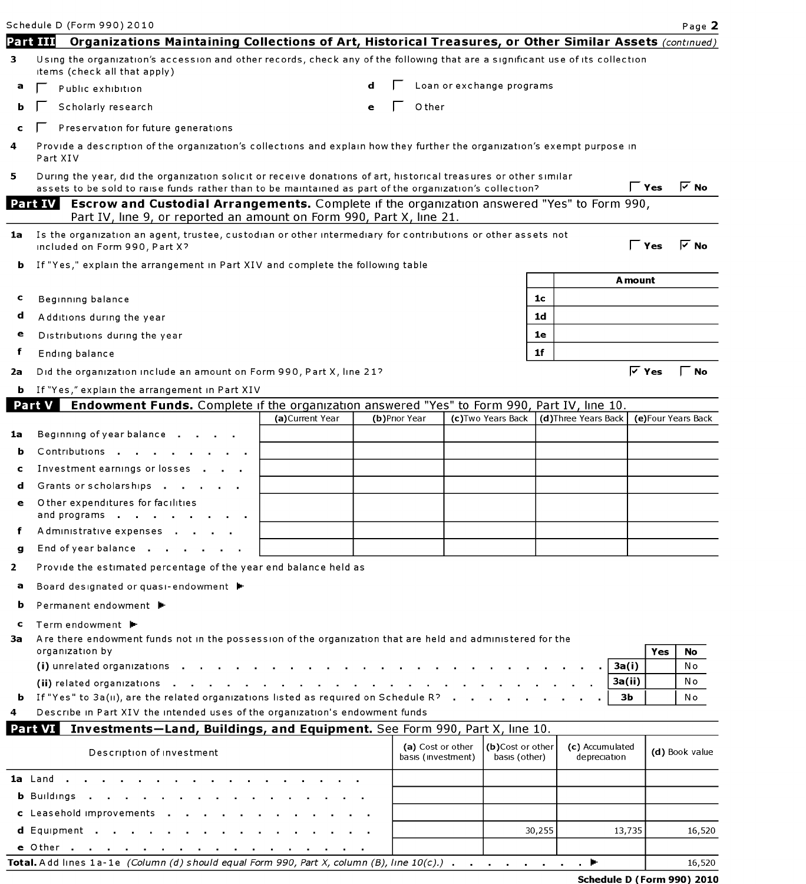|    | Schedule D (Form 990) 2010                                                                                                                                                     |                  |   |               |       |                                         |                                   |                |                                 |              |                    | Page 2               |
|----|--------------------------------------------------------------------------------------------------------------------------------------------------------------------------------|------------------|---|---------------|-------|-----------------------------------------|-----------------------------------|----------------|---------------------------------|--------------|--------------------|----------------------|
|    | Part III<br>Organizations Maintaining Collections of Art, Historical Treasures, or Other Similar Assets (continued)                                                            |                  |   |               |       |                                         |                                   |                |                                 |              |                    |                      |
| 3  | Using the organization's accession and other records, check any of the following that are a significant use of its collection<br>items (check all that apply)                  |                  |   |               |       |                                         |                                   |                |                                 |              |                    |                      |
| а  | Public exhibition                                                                                                                                                              |                  |   |               |       |                                         | Loan or exchange programs         |                |                                 |              |                    |                      |
| ь  | Scholarly research                                                                                                                                                             |                  | e |               | Other |                                         |                                   |                |                                 |              |                    |                      |
|    | Preservation for future generations                                                                                                                                            |                  |   |               |       |                                         |                                   |                |                                 |              |                    |                      |
| 4  | Provide a description of the organization's collections and explain how they further the organization's exempt purpose in<br>Part XIV                                          |                  |   |               |       |                                         |                                   |                |                                 |              |                    |                      |
| 5. | During the year, did the organization solicit or receive donations of art, historical treasures or other similar                                                               |                  |   |               |       |                                         |                                   |                |                                 |              |                    |                      |
|    | assets to be sold to raise funds rather than to be maintained as part of the organization's collection?                                                                        |                  |   |               |       |                                         |                                   |                |                                 | $\Gamma$ Yes |                    | $\triangledown$ No   |
|    | Part IV<br>Escrow and Custodial Arrangements. Complete if the organization answered "Yes" to Form 990,<br>Part IV, line 9, or reported an amount on Form 990, Part X, line 21. |                  |   |               |       |                                         |                                   |                |                                 |              |                    |                      |
| 1a | Is the organization an agent, trustee, custodian or other intermediary for contributions or other assets not<br>included on Form 990, Part X?                                  |                  |   |               |       |                                         |                                   |                |                                 |              | $\Gamma$ Yes       | $\overline{\vee}$ No |
| ь  | If "Yes," explain the arrangement in Part XIV and complete the following table                                                                                                 |                  |   |               |       |                                         |                                   |                |                                 |              |                    |                      |
|    |                                                                                                                                                                                |                  |   |               |       |                                         |                                   |                |                                 | A mount      |                    |                      |
| c  | Beginning balance                                                                                                                                                              |                  |   |               |       |                                         |                                   | 1c             |                                 |              |                    |                      |
| d  | Additions during the year                                                                                                                                                      |                  |   |               |       |                                         |                                   | 1 <sub>d</sub> |                                 |              |                    |                      |
| e  | Distributions during the year                                                                                                                                                  |                  |   |               |       |                                         |                                   | 1e             |                                 |              |                    |                      |
| f  | Ending balance                                                                                                                                                                 |                  |   |               |       |                                         |                                   | 1f             |                                 |              |                    |                      |
| 2a | Did the organization include an amount on Form 990, Part X, line 21?                                                                                                           |                  |   |               |       |                                         |                                   |                |                                 |              | $\overline{V}$ Yes | Γ No                 |
| ь. | If "Yes," explain the arrangement in Part XIV                                                                                                                                  |                  |   |               |       |                                         |                                   |                |                                 |              |                    |                      |
|    | Endowment Funds. Complete if the organization answered "Yes" to Form 990, Part IV, line 10.<br>Part V                                                                          |                  |   |               |       |                                         |                                   |                |                                 |              |                    |                      |
|    |                                                                                                                                                                                | (a) Current Year |   | (b)Prior Year |       |                                         | (c) Two Years Back                |                | (d)Three Years Back             |              |                    | (e) Four Years Back  |
| 1a | Beginning of year balance                                                                                                                                                      |                  |   |               |       |                                         |                                   |                |                                 |              |                    |                      |
| b  | Contributions                                                                                                                                                                  |                  |   |               |       |                                         |                                   |                |                                 |              |                    |                      |
| c  | Investment earnings or losses                                                                                                                                                  |                  |   |               |       |                                         |                                   |                |                                 |              |                    |                      |
| d  | Grants or scholarships                                                                                                                                                         |                  |   |               |       |                                         |                                   |                |                                 |              |                    |                      |
| e  | Other expenditures for facilities<br>and programs                                                                                                                              |                  |   |               |       |                                         |                                   |                |                                 |              |                    |                      |
|    | Administrative expenses                                                                                                                                                        |                  |   |               |       |                                         |                                   |                |                                 |              |                    |                      |
| g  | End of year balance                                                                                                                                                            |                  |   |               |       |                                         |                                   |                |                                 |              |                    |                      |
| 2  | Provide the estimated percentage of the year end balance held as                                                                                                               |                  |   |               |       |                                         |                                   |                |                                 |              |                    |                      |
| а  | Board designated or quasi-endowment ▶                                                                                                                                          |                  |   |               |       |                                         |                                   |                |                                 |              |                    |                      |
| b  | Permanent endowment ▶                                                                                                                                                          |                  |   |               |       |                                         |                                   |                |                                 |              |                    |                      |
| c  | Term endowment ▶                                                                                                                                                               |                  |   |               |       |                                         |                                   |                |                                 |              |                    |                      |
| За | Are there endowment funds not in the possession of the organization that are held and administered for the<br>organization by                                                  |                  |   |               |       |                                         |                                   |                |                                 |              | Yes                | No                   |
|    | (i) unrelated organizations                                                                                                                                                    |                  |   |               |       |                                         |                                   |                |                                 | 3a(i)        |                    | N o                  |
|    | (ii) related organizations                                                                                                                                                     |                  |   |               |       |                                         |                                   |                |                                 | 3a(ii)       |                    | No                   |
|    | <b>b</b> If "Yes" to $3a(u)$ , are the related organizations listed as required on Schedule R?                                                                                 |                  |   |               |       |                                         |                                   |                |                                 | зь           |                    | No                   |
| 4  | Describe in Part XIV the intended uses of the organization's endowment funds                                                                                                   |                  |   |               |       |                                         |                                   |                |                                 |              |                    |                      |
|    | Investments-Land, Buildings, and Equipment. See Form 990, Part X, line 10.<br>Part VI                                                                                          |                  |   |               |       |                                         |                                   |                |                                 |              |                    |                      |
|    | Description of investment                                                                                                                                                      |                  |   |               |       | (a) Cost or other<br>basis (investment) | (b)Cost or other<br>basis (other) |                | (c) Accumulated<br>depreciation |              |                    | (d) Book value       |
|    | 1a Land.                                                                                                                                                                       |                  |   |               |       |                                         |                                   |                |                                 |              |                    |                      |
|    | <b>b</b> Buildings                                                                                                                                                             |                  |   |               |       |                                         |                                   |                |                                 |              |                    |                      |
|    | c Leasehold improvements                                                                                                                                                       |                  |   |               |       |                                         |                                   |                |                                 |              |                    |                      |

| e Other<br>.                                                                                                             |  |        |
|--------------------------------------------------------------------------------------------------------------------------|--|--------|
| Total. Add lines 1a-1e (Column (d) should equal Form 990, Part X, column (B), line $10(c)$ .) $\ldots$ $\ldots$ $\ldots$ |  | 16,520 |

d Equipment 30,255 13,735 16,520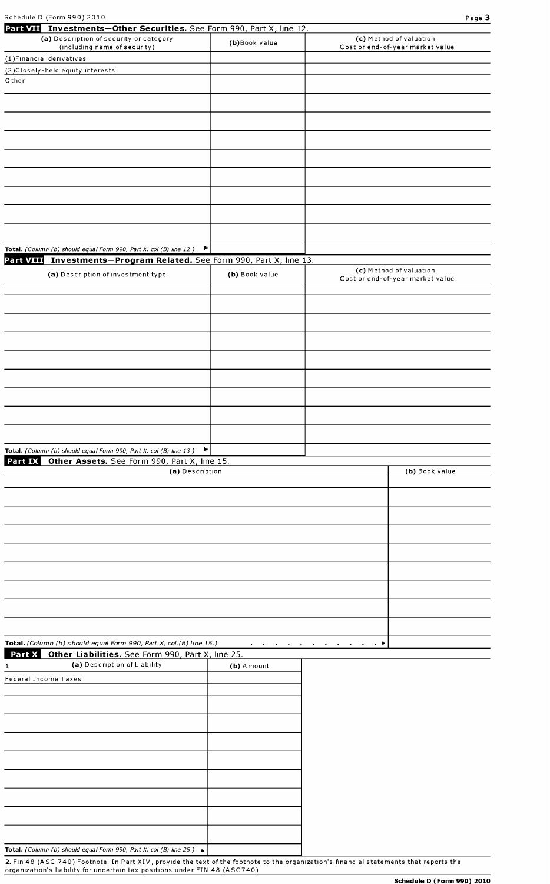| Part VII Investments-Other Securities. See Form 990, Part X, line 12.                    |                |                                                 |                                  |
|------------------------------------------------------------------------------------------|----------------|-------------------------------------------------|----------------------------------|
| (a) Description of security or category                                                  | (b)Book value  |                                                 | (c) Method of valuation          |
| (including name of security)                                                             |                |                                                 | Cost or end-of-year market value |
| (1) Financial derivatives                                                                |                |                                                 |                                  |
| (2) Closely-held equity interests<br>Other                                               |                |                                                 |                                  |
|                                                                                          |                |                                                 |                                  |
|                                                                                          |                |                                                 |                                  |
|                                                                                          |                |                                                 |                                  |
|                                                                                          |                |                                                 |                                  |
|                                                                                          |                |                                                 |                                  |
|                                                                                          |                |                                                 |                                  |
|                                                                                          |                |                                                 |                                  |
|                                                                                          |                |                                                 |                                  |
|                                                                                          |                |                                                 |                                  |
|                                                                                          |                |                                                 |                                  |
|                                                                                          |                |                                                 |                                  |
|                                                                                          |                |                                                 |                                  |
|                                                                                          |                |                                                 |                                  |
| Total. (Column (b) should equal Form 990, Part X, col (B) line 12)                       | Þ.             |                                                 |                                  |
| Part VIII Investments-Program Related. See Form 990, Part X, line 13.                    |                |                                                 |                                  |
| (a) Description of investment type                                                       | (b) Book value |                                                 | (c) Method of valuation          |
|                                                                                          |                |                                                 | Cost or end-of-year market value |
|                                                                                          |                |                                                 |                                  |
|                                                                                          |                |                                                 |                                  |
|                                                                                          |                |                                                 |                                  |
|                                                                                          |                |                                                 |                                  |
|                                                                                          |                |                                                 |                                  |
|                                                                                          |                |                                                 |                                  |
|                                                                                          |                |                                                 |                                  |
|                                                                                          |                |                                                 |                                  |
|                                                                                          |                |                                                 |                                  |
|                                                                                          |                |                                                 |                                  |
|                                                                                          |                |                                                 |                                  |
|                                                                                          |                |                                                 |                                  |
| Total. (Column (b) should equal Form 990, Part X, col (B) line 13)                       |                |                                                 |                                  |
| Part IX Other Assets. See Form 990, Part X, line 15.                                     |                |                                                 |                                  |
| (a) Description                                                                          |                |                                                 | (b) Book value                   |
|                                                                                          |                |                                                 |                                  |
|                                                                                          |                |                                                 |                                  |
|                                                                                          |                |                                                 |                                  |
|                                                                                          |                |                                                 |                                  |
|                                                                                          |                |                                                 |                                  |
|                                                                                          |                |                                                 |                                  |
|                                                                                          |                |                                                 |                                  |
|                                                                                          |                |                                                 |                                  |
|                                                                                          |                |                                                 |                                  |
|                                                                                          |                |                                                 |                                  |
|                                                                                          |                |                                                 |                                  |
|                                                                                          |                |                                                 |                                  |
|                                                                                          |                |                                                 |                                  |
| Total. (Column (b) should equal Form 990, Part X, col.(B) line 15.)                      |                | and a series of the contract of the contract of |                                  |
| Part X Other Liabilities. See Form 990, Part X, line 25.                                 |                |                                                 |                                  |
| (a) Description of Liability<br>ı                                                        | (b) A mount    |                                                 |                                  |
| <b>Federal Income Taxes</b>                                                              |                |                                                 |                                  |
|                                                                                          |                |                                                 |                                  |
|                                                                                          |                |                                                 |                                  |
|                                                                                          |                |                                                 |                                  |
|                                                                                          |                |                                                 |                                  |
|                                                                                          |                |                                                 |                                  |
|                                                                                          |                |                                                 |                                  |
|                                                                                          |                |                                                 |                                  |
|                                                                                          |                |                                                 |                                  |
|                                                                                          |                |                                                 |                                  |
|                                                                                          |                |                                                 |                                  |
|                                                                                          |                |                                                 |                                  |
|                                                                                          |                |                                                 |                                  |
|                                                                                          |                |                                                 |                                  |
| Total. (Column (b) should equal Form 990, Part X, col (B) line 25) $\blacktriangleright$ |                |                                                 |                                  |

2. Fin 48 (ASC 740) Footnote In Part XIV, provide the text of the footnote to the organization's financial statements that reports the organization's liability for uncertain tax positions under FIN 48 (ASC740)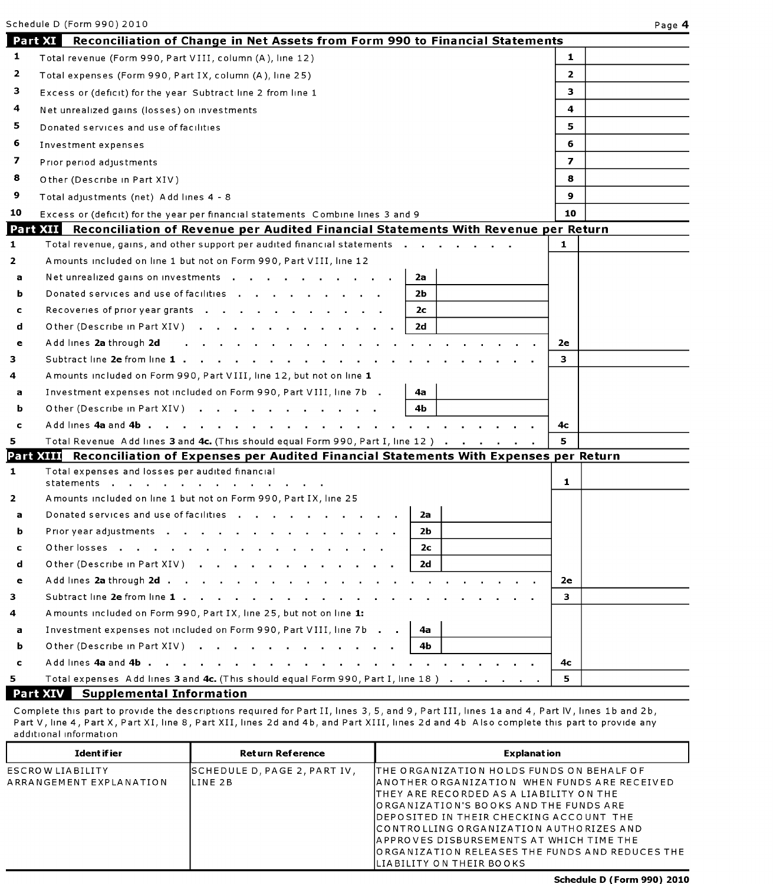|              | Schedule D (Form 990) 2010                                                                        | Page 4         |
|--------------|---------------------------------------------------------------------------------------------------|----------------|
|              | Part XI<br>Reconciliation of Change in Net Assets from Form 990 to Financial Statements           |                |
| 1            | Total revenue (Form 990, Part VIII, column (A), line 12)                                          | $\mathbf{1}$   |
| 2            | Total expenses (Form 990, Part IX, column (A), line 25)                                           | $\mathbf{2}$   |
| з            | Excess or (deficit) for the year Subtract line 2 from line 1                                      | 3              |
| 4            | Net unrealized gains (losses) on investments                                                      | 4              |
| 5.           | Donated services and use of facilities                                                            | 5.             |
| 6            | Investment expenses                                                                               | 6              |
| 7            | Prior period adjustments                                                                          | $\overline{ }$ |
| 8            | Other (Describe in Part XIV)                                                                      | 8              |
| 9            | Total adjustments (net) Add lines 4 - 8                                                           | $\mathbf{9}$   |
| 10           | Excess or (deficit) for the year per financial statements Combine lines 3 and 9                   | 10             |
|              | Part XII<br>Reconciliation of Revenue per Audited Financial Statements With Revenue per Return    |                |
| 1            | Total revenue, gains, and other support per audited financial statements                          | 1              |
| 2            | Amounts included on line 1 but not on Form 990, Part VIII, line 12                                |                |
| a            | Net unrealized gains on investments<br>2a                                                         |                |
| b            | Donated services and use of facilities<br>2b                                                      |                |
| c            | Recoveries of prior year grants<br>2с                                                             |                |
| d            | Other (Describe in Part XIV)<br>2d                                                                |                |
| е            | Add lines 2a through 2d                                                                           | 2e             |
| 3            | Subtract line 2e from line 1                                                                      | 3              |
| 4            | A mounts included on Form 990, Part VIII, line 12, but not on line 1                              |                |
| а            | Investment expenses not included on Form 990, Part VIII, line 7b.<br>4a                           |                |
| ь            | Other (Describe in Part XIV)<br>4Ь                                                                |                |
| c            | Add lines 4a and 4b                                                                               | 4с             |
| 5            | Total Revenue Add lines 3 and 4c. (This should equal Form 990, Part I, line 12)                   | 5              |
|              | Reconciliation of Expenses per Audited Financial Statements With Expenses per Return<br>Part XIII |                |
| $\mathbf{1}$ | Total expenses and losses per audited financial<br>statements .                                   | 1              |
| 2            | Amounts included on line 1 but not on Form 990, Part IX, line 25                                  |                |
| a            | Donated services and use of facilities<br>2a                                                      |                |
| b            | 2b<br>Prior year adjustments                                                                      |                |
| c            | Other losses<br>2с                                                                                |                |
| d            | Other (Describe in Part XIV)<br>2d                                                                |                |
| e            |                                                                                                   | 2e             |
| 3            |                                                                                                   | з.             |
| 4            | A mounts included on Form 990, Part IX, line 25, but not on line 1:                               |                |
| а            | Investment expenses not included on Form 990, Part VIII, line 7b<br>4а                            |                |
| ь            | Other (Describe in Part XIV)<br>4b                                                                |                |
| c            |                                                                                                   | 4с             |
| 5.           | Total expenses Add lines 3 and 4c. (This should equal Form 990, Part I, line 18)                  | 5.             |
|              | <b>Part XIV</b><br><b>Supplemental Information</b>                                                |                |

Complete this part to provide the descriptions required for Part II, lines 3, 5, and 9, Part III, lines la and 4, Part IV, lines lb and 2b, Part V, line 4, Part X, Part XI, line 8, Part XII, lines 2d and 4b, and Part XIII, lines 2d and 4b Also complete this part to provide any additional information

| Ident if ier                                | <b>Return Reference</b>                  | <b>Explanation</b>                                                                                                                                                                                                                                                                                                                                                                                      |
|---------------------------------------------|------------------------------------------|---------------------------------------------------------------------------------------------------------------------------------------------------------------------------------------------------------------------------------------------------------------------------------------------------------------------------------------------------------------------------------------------------------|
| ESCROW LIABILITY<br>ARRANGEMENT EXPLANATION | SCHEDULE D, PAGE 2, PART IV,<br>ILINE 2B | ITHE ORGANIZATION HOLDS FUNDS ON BEHALF OF<br>ANOTHER ORGANIZATION WHEN FUNDS ARE RECEIVED<br>ITHEY ARE RECORDED AS A LIABILITY ON THE<br>JORGANIZATION'S BOOKS AND THE FUNDS ARE<br>IDEPOSITED IN THEIR CHECKING ACCOUNT THE<br>ICONTROLLING ORGANIZATION AUTHORIZES AND<br>IAPPROVES DISBURSEMENTS AT WHICH TIME THE<br>IORGANIZATION RELEASES THE FUNDS AND REDUCES THE<br>ILIABILITY ON THEIR BOOKS |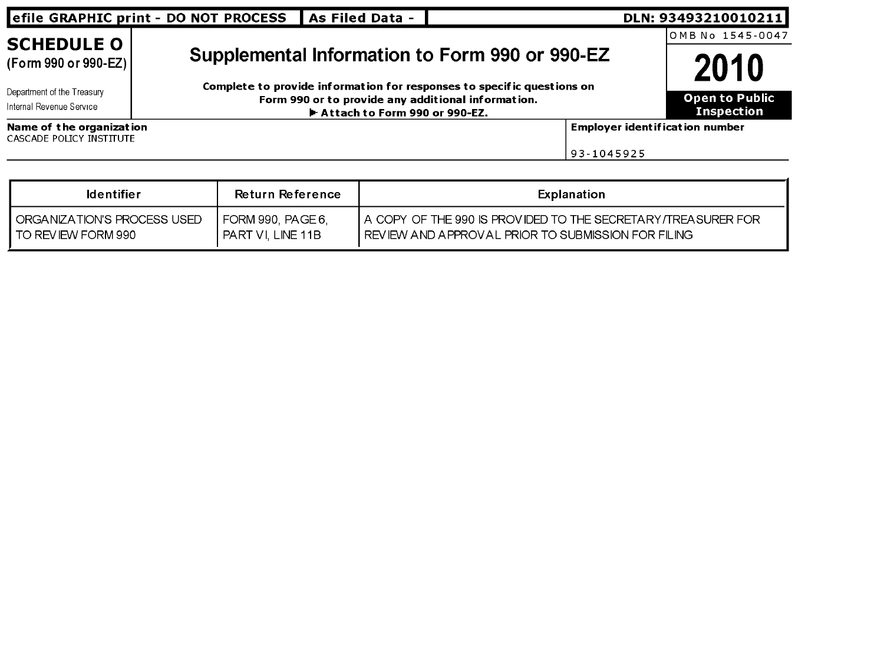|                                                      | efile GRAPHIC print - DO NOT PROCESS                                   | As Filed Data -                                                                       |            | DLN: 93493210010211                        |  |
|------------------------------------------------------|------------------------------------------------------------------------|---------------------------------------------------------------------------------------|------------|--------------------------------------------|--|
| <b>SCHEDULE O</b>                                    |                                                                        |                                                                                       |            | OMB No 1545-0047                           |  |
| (Form 990 or 990-EZ)                                 | 2010                                                                   |                                                                                       |            |                                            |  |
| Department of the Treasury                           | Complete to provide information for responses to specific questions on |                                                                                       |            |                                            |  |
| Internal Revenue Service                             |                                                                        | Form 990 or to provide any additional information.<br>► Attach to Form 990 or 990-EZ. |            | <b>Open to Public</b><br><b>Inspection</b> |  |
| Name of the organization<br>CASCADE POLICY INSTITUTE |                                                                        |                                                                                       |            | <b>Employer ident if icat ion number</b>   |  |
|                                                      |                                                                        |                                                                                       | 93-1045925 |                                            |  |

| <b>Identifier</b>             | Return Reference  | Explanation                                                      |
|-------------------------------|-------------------|------------------------------------------------------------------|
| I ORGANIZATION'S PROCESS USED | FORM 990, PAGE 6. | I A COPY OF THE 990 IS PROVIDED TO THE SECRETARY/TREASURER FOR I |
| I TO REVIEW FORM 990          | PART VI LINE 11B  | I REVIEW AND APPROVAL PRIOR TO SUBMISSION FOR FILING.            |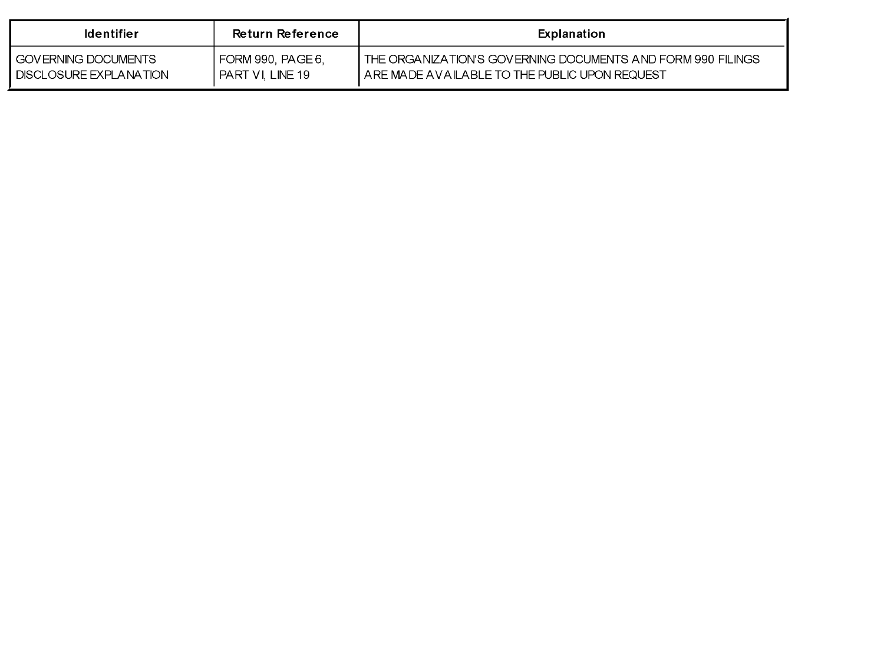| <b>Identifier</b>             | Return Reference  | Explanation                                                    |
|-------------------------------|-------------------|----------------------------------------------------------------|
| I GOVERNING DOCUMENTS         | FORM 990, PAGE 6, | I THE ORGANIZATION'S GOVERNING DOCUMENTS AND FORM 990 FILINGS. |
| <b>DISCLOSURE EXPLANATION</b> | PART VI. LINE 19  | . ARE MADE AVAILABLE TO THE PUBLIC UPON REQUEST.               |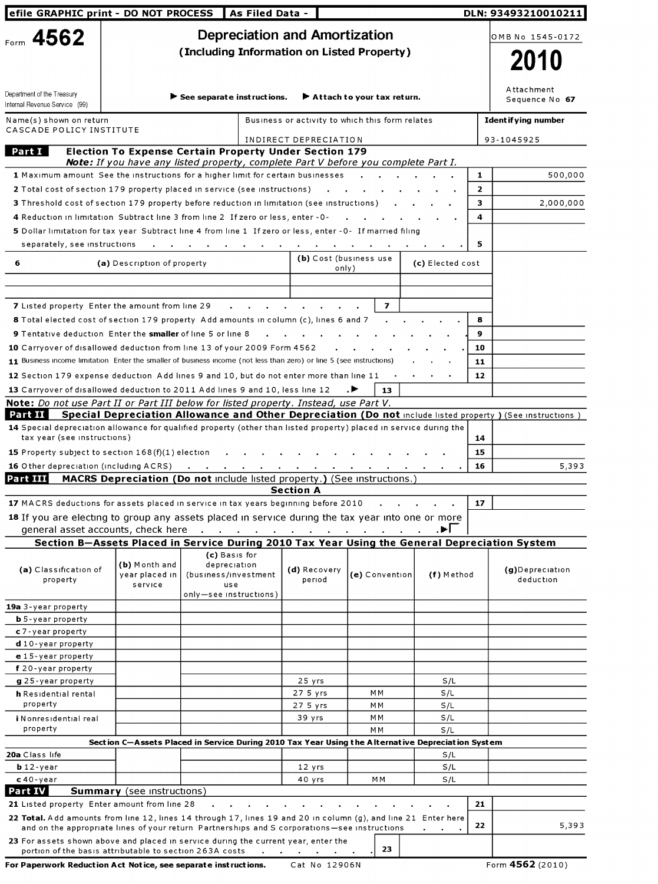| efile GRAPHIC print - DO NOT PROCESS                                                                                                                                                                           |                                                                                                                                                            |                                                                        | As Filed Data -                            |                                                 |                                                  |                  |              | DLN: 93493210010211                                                                                       |
|----------------------------------------------------------------------------------------------------------------------------------------------------------------------------------------------------------------|------------------------------------------------------------------------------------------------------------------------------------------------------------|------------------------------------------------------------------------|--------------------------------------------|-------------------------------------------------|--------------------------------------------------|------------------|--------------|-----------------------------------------------------------------------------------------------------------|
| Form 4562                                                                                                                                                                                                      |                                                                                                                                                            |                                                                        |                                            | <b>Depreciation and Amortization</b>            |                                                  |                  |              | OMB No 1545-0172                                                                                          |
|                                                                                                                                                                                                                |                                                                                                                                                            |                                                                        | (Including Information on Listed Property) |                                                 |                                                  |                  |              |                                                                                                           |
|                                                                                                                                                                                                                |                                                                                                                                                            |                                                                        |                                            |                                                 |                                                  | 2010             |              |                                                                                                           |
|                                                                                                                                                                                                                |                                                                                                                                                            |                                                                        |                                            |                                                 |                                                  |                  |              | Attachment                                                                                                |
| Department of the Treasury<br>Internal Revenue Service (99)                                                                                                                                                    |                                                                                                                                                            | $\blacktriangleright$ See separate instructions.                       |                                            |                                                 | $\blacktriangleright$ Attach to your tax return. |                  |              | Sequence No 67                                                                                            |
| Name(s) shown on return<br>CASCADE POLICY INSTITUTE                                                                                                                                                            |                                                                                                                                                            |                                                                        |                                            | Business or activity to which this form relates |                                                  |                  |              | <b>Identifying number</b>                                                                                 |
|                                                                                                                                                                                                                |                                                                                                                                                            |                                                                        |                                            | INDIRECT DEPRECIATION                           |                                                  |                  |              | 93-1045925                                                                                                |
| Part I                                                                                                                                                                                                         | <b>Election To Expense Certain Property Under Section 179</b><br><b>Note:</b> If you have any listed property, complete Part V before you complete Part I. |                                                                        |                                            |                                                 |                                                  |                  |              |                                                                                                           |
| 1 Maximum amount See the instructions for a higher limit for certain businesses                                                                                                                                |                                                                                                                                                            |                                                                        |                                            |                                                 |                                                  |                  | 1            | 500,000                                                                                                   |
| 2 Total cost of section 179 property placed in service (see instructions)                                                                                                                                      |                                                                                                                                                            |                                                                        |                                            |                                                 |                                                  |                  | $\mathbf{2}$ |                                                                                                           |
| 3 Threshold cost of section 179 property before reduction in limitation (see instructions)                                                                                                                     |                                                                                                                                                            |                                                                        |                                            |                                                 |                                                  |                  | 3            | 2,000,000                                                                                                 |
| 4 Reduction in limitation Subtract line 3 from line 2 If zero or less, enter - 0-                                                                                                                              |                                                                                                                                                            |                                                                        |                                            |                                                 |                                                  |                  | 4            |                                                                                                           |
| 5 Dollar limitation for tax year Subtract line 4 from line 1 If zero or less, enter - 0- If married filing                                                                                                     |                                                                                                                                                            |                                                                        |                                            |                                                 |                                                  |                  |              |                                                                                                           |
| separately, see instructions                                                                                                                                                                                   |                                                                                                                                                            |                                                                        |                                            |                                                 |                                                  |                  | 5            |                                                                                                           |
| 6                                                                                                                                                                                                              | (a) Description of property                                                                                                                                |                                                                        |                                            |                                                 | (b) Cost (business use<br>only)                  | (c) Elected cost |              |                                                                                                           |
|                                                                                                                                                                                                                |                                                                                                                                                            |                                                                        |                                            |                                                 |                                                  |                  |              |                                                                                                           |
|                                                                                                                                                                                                                |                                                                                                                                                            |                                                                        |                                            |                                                 |                                                  |                  |              |                                                                                                           |
| <b>7</b> Listed property Enter the amount from line 29                                                                                                                                                         |                                                                                                                                                            |                                                                        |                                            |                                                 | $\overline{\mathbf{z}}$                          |                  |              |                                                                                                           |
| 8 Total elected cost of section 179 property Add amounts in column (c), lines 6 and 7                                                                                                                          |                                                                                                                                                            |                                                                        |                                            |                                                 |                                                  |                  | 8            |                                                                                                           |
| <b>9</b> Tentative deduction Enter the smaller of line 5 or line 8                                                                                                                                             |                                                                                                                                                            |                                                                        |                                            |                                                 |                                                  |                  | 9            |                                                                                                           |
| 10 Carryover of disallowed deduction from line 13 of your 2009 Form 4562<br>11 Business income limitation Enter the smaller of business income (not less than zero) or line 5 (see instructions)               |                                                                                                                                                            |                                                                        |                                            |                                                 |                                                  |                  | 10<br>11     |                                                                                                           |
| 12 Section 179 expense deduction Add lines 9 and 10, but do not enter more than line 11                                                                                                                        |                                                                                                                                                            |                                                                        |                                            |                                                 |                                                  |                  | 12           |                                                                                                           |
| 13 Carryover of disallowed deduction to 2011 Add lines 9 and 10, less line 12                                                                                                                                  |                                                                                                                                                            |                                                                        |                                            |                                                 | . н.<br>13                                       |                  |              |                                                                                                           |
| <b>Note:</b> Do not use Part II or Part III below for listed property. Instead, use Part V.                                                                                                                    |                                                                                                                                                            |                                                                        |                                            |                                                 |                                                  |                  |              |                                                                                                           |
| Part II                                                                                                                                                                                                        |                                                                                                                                                            |                                                                        |                                            |                                                 |                                                  |                  |              | Special Depreciation Allowance and Other Depreciation (Do not include listed property) (See instructions) |
| 14 Special depreciation allowance for qualified property (other than listed property) placed in service during the                                                                                             |                                                                                                                                                            |                                                                        |                                            |                                                 |                                                  |                  |              |                                                                                                           |
| tax year (see instructions)                                                                                                                                                                                    |                                                                                                                                                            |                                                                        |                                            |                                                 |                                                  |                  | 14           |                                                                                                           |
| 15 Property subject to section 168(f)(1) election<br>16 Other depreciation (including ACRS)                                                                                                                    |                                                                                                                                                            |                                                                        |                                            |                                                 |                                                  |                  | 15<br>16     | 5,393                                                                                                     |
| Part III                                                                                                                                                                                                       | MACRS Depreciation (Do not include listed property.) (See instructions.)                                                                                   | $\sim 100$<br>the company of the com-                                  |                                            |                                                 |                                                  |                  |              |                                                                                                           |
|                                                                                                                                                                                                                |                                                                                                                                                            |                                                                        |                                            | <b>Section A</b>                                |                                                  |                  |              |                                                                                                           |
| 17 MACRS deductions for assets placed in service in tax years beginning before 2010                                                                                                                            |                                                                                                                                                            |                                                                        |                                            |                                                 |                                                  |                  | 17           |                                                                                                           |
| 18 If you are electing to group any assets placed in service during the tax year into one or more                                                                                                              |                                                                                                                                                            |                                                                        |                                            |                                                 |                                                  |                  |              |                                                                                                           |
| general asset accounts, check here                                                                                                                                                                             |                                                                                                                                                            |                                                                        |                                            | the contract of the contract of the contract of |                                                  | . E I            |              |                                                                                                           |
|                                                                                                                                                                                                                | Section B-Assets Placed in Service During 2010 Tax Year Using the General Depreciation System                                                              | (c) Basis for                                                          |                                            |                                                 |                                                  |                  |              |                                                                                                           |
| (a) Classification of<br>property                                                                                                                                                                              | (b) Month and<br>year placed in<br>service                                                                                                                 | depreciation<br>(business/investment<br>us e<br>only-see instructions) |                                            | (d) Recovery<br>period                          | (e) Convention                                   | (f) Method       |              | (g)Depreciation<br>deduction                                                                              |
| 19a 3-year property                                                                                                                                                                                            |                                                                                                                                                            |                                                                        |                                            |                                                 |                                                  |                  |              |                                                                                                           |
| <b>b</b> 5-year property                                                                                                                                                                                       |                                                                                                                                                            |                                                                        |                                            |                                                 |                                                  |                  |              |                                                                                                           |
| c 7 - year property<br><b>d</b> 10-year property                                                                                                                                                               |                                                                                                                                                            |                                                                        |                                            |                                                 |                                                  |                  |              |                                                                                                           |
| e 15-year property                                                                                                                                                                                             |                                                                                                                                                            |                                                                        |                                            |                                                 |                                                  |                  |              |                                                                                                           |
| f 20-year property                                                                                                                                                                                             |                                                                                                                                                            |                                                                        |                                            |                                                 |                                                  |                  |              |                                                                                                           |
| g 25-year property                                                                                                                                                                                             |                                                                                                                                                            |                                                                        |                                            | 25 yrs                                          |                                                  | S/L              |              |                                                                                                           |
| h Residential rental                                                                                                                                                                                           |                                                                                                                                                            |                                                                        |                                            | 27 5 yrs                                        | MМ                                               | S/L              |              |                                                                                                           |
| property                                                                                                                                                                                                       |                                                                                                                                                            |                                                                        |                                            | 27 5 yrs                                        | МΜ                                               | S/L              |              |                                                                                                           |
| i Nonresidential real<br>property                                                                                                                                                                              |                                                                                                                                                            |                                                                        |                                            | 39 yrs                                          | МΜ<br>M <sub>M</sub>                             | S/L<br>S/L       |              |                                                                                                           |
|                                                                                                                                                                                                                | Section C-Assets Placed in Service During 2010 Tax Year Using the Alternative Depreciation System                                                          |                                                                        |                                            |                                                 |                                                  |                  |              |                                                                                                           |
| 20a Class life                                                                                                                                                                                                 |                                                                                                                                                            |                                                                        |                                            |                                                 |                                                  | S/L              |              |                                                                                                           |
| $b$ 12-year                                                                                                                                                                                                    |                                                                                                                                                            |                                                                        |                                            | $12 \gamma$ rs                                  |                                                  | S/L              |              |                                                                                                           |
| $c$ 40-year<br>Part IV                                                                                                                                                                                         |                                                                                                                                                            |                                                                        |                                            | 40 yrs                                          | МM                                               | S/L              |              |                                                                                                           |
| 21 Listed property Enter amount from line 28                                                                                                                                                                   | <b>Summary</b> (see instructions)                                                                                                                          |                                                                        |                                            |                                                 |                                                  |                  | 21           |                                                                                                           |
| 22 Total. Add amounts from line 12, lines 14 through 17, lines 19 and 20 in column (g), and line 21 Enter here<br>and on the appropriate lines of your return Partnerships and S corporations-see instructions |                                                                                                                                                            |                                                                        |                                            |                                                 |                                                  |                  | 22           | 5,393                                                                                                     |
| 23 For assets shown above and placed in service during the current year, enter the                                                                                                                             |                                                                                                                                                            |                                                                        |                                            |                                                 |                                                  |                  |              |                                                                                                           |
| portion of the basis attributable to section 263A costs                                                                                                                                                        |                                                                                                                                                            |                                                                        |                                            |                                                 | 23                                               |                  |              |                                                                                                           |

For Paperwork Reduction Act Notice, see separate instructions. Cat No 12906N Form 4562 (2010)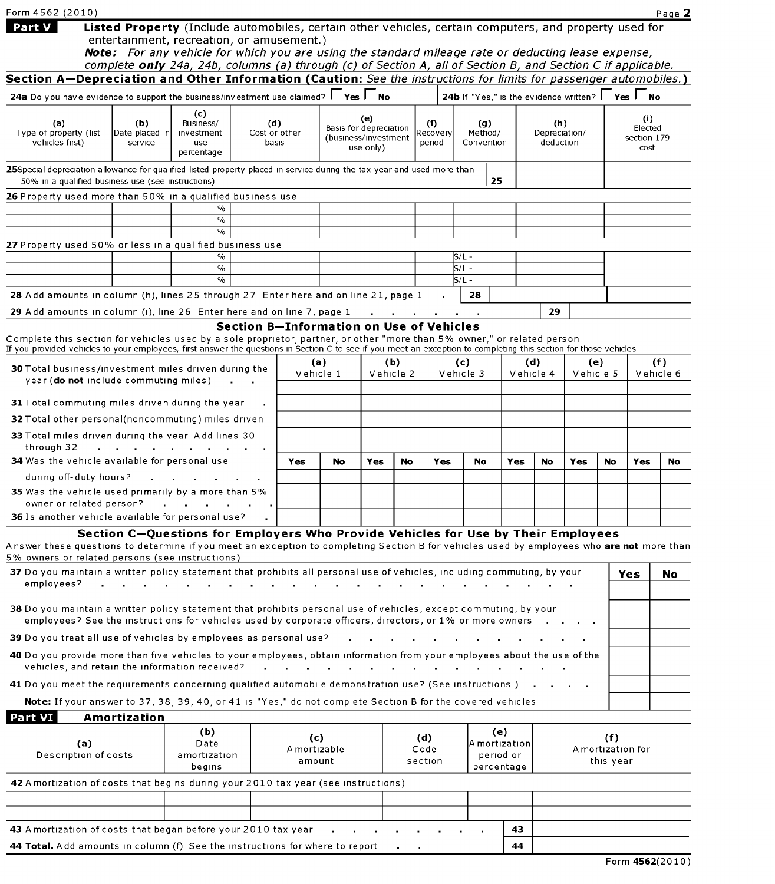| Form 4562 (2010)                                                                                                                                                                                                                                                                             |                       |                                                                                                                                                                                                                     |                                          |                               |                              |                                   |           |                                    |                                                                 |            |                            |     |           |                     | Page 2    |  |
|----------------------------------------------------------------------------------------------------------------------------------------------------------------------------------------------------------------------------------------------------------------------------------------------|-----------------------|---------------------------------------------------------------------------------------------------------------------------------------------------------------------------------------------------------------------|------------------------------------------|-------------------------------|------------------------------|-----------------------------------|-----------|------------------------------------|-----------------------------------------------------------------|------------|----------------------------|-----|-----------|---------------------|-----------|--|
| Part V                                                                                                                                                                                                                                                                                       |                       | Listed Property (Include automobiles, certain other vehicles, certain computers, and property used for                                                                                                              |                                          |                               |                              |                                   |           |                                    |                                                                 |            |                            |     |           |                     |           |  |
|                                                                                                                                                                                                                                                                                              |                       | entertainment, recreation, or amusement.)                                                                                                                                                                           |                                          |                               |                              |                                   |           |                                    |                                                                 |            |                            |     |           |                     |           |  |
|                                                                                                                                                                                                                                                                                              |                       | Note: For any vehicle for which you are using the standard mileage rate or deducting lease expense,<br>complete only 24a, 24b, columns (a) through (c) of Section A, all of Section B, and Section C if applicable. |                                          |                               |                              |                                   |           |                                    |                                                                 |            |                            |     |           |                     |           |  |
| Section A-Depreciation and Other Information (Caution: See the instructions for limits for passenger automobiles.)                                                                                                                                                                           |                       |                                                                                                                                                                                                                     |                                          |                               |                              |                                   |           |                                    |                                                                 |            |                            |     |           |                     |           |  |
| 24a Do you have evidence to support the business/investment use claimed? $\Box$ Yes $\Box$ No                                                                                                                                                                                                |                       |                                                                                                                                                                                                                     |                                          |                               |                              |                                   |           |                                    | 24b If "Yes," is the evidence written? $\Gamma$ Yes $\Gamma$ No |            |                            |     |           |                     |           |  |
|                                                                                                                                                                                                                                                                                              |                       | (c)                                                                                                                                                                                                                 |                                          |                               |                              |                                   |           |                                    |                                                                 |            |                            |     |           |                     |           |  |
| (a)<br>Type of property (list                                                                                                                                                                                                                                                                | (b)<br>Date placed in | Business/<br><b>Investment</b>                                                                                                                                                                                      | (d)<br>Cost or other                     | (e)<br>Basis for depreciation |                              |                                   |           | (f)<br>(g)<br>Method/<br>Recoveryl |                                                                 |            | (h)                        |     |           | (i)<br>Elected      |           |  |
| vehicles first)                                                                                                                                                                                                                                                                              | service               | use                                                                                                                                                                                                                 | basıs                                    |                               |                              | (business/investment<br>use only) |           | period                             | Convention                                                      |            | Depreciation/<br>deduction |     |           | section 179<br>cost |           |  |
|                                                                                                                                                                                                                                                                                              |                       | percentage                                                                                                                                                                                                          |                                          |                               |                              |                                   |           |                                    |                                                                 |            |                            |     |           |                     |           |  |
| 25Special depreciation allowance for qualified listed property placed in service during the tax year and used more than<br>50% in a qualified business use (see instructions)                                                                                                                |                       |                                                                                                                                                                                                                     |                                          |                               |                              |                                   |           |                                    |                                                                 | 25         |                            |     |           |                     |           |  |
| 26 Property used more than 50% in a qualified business use                                                                                                                                                                                                                                   |                       |                                                                                                                                                                                                                     |                                          |                               |                              |                                   |           |                                    |                                                                 |            |                            |     |           |                     |           |  |
|                                                                                                                                                                                                                                                                                              |                       | $\%$                                                                                                                                                                                                                |                                          |                               |                              |                                   |           |                                    |                                                                 |            |                            |     |           |                     |           |  |
|                                                                                                                                                                                                                                                                                              |                       | $\%$<br>$\%$                                                                                                                                                                                                        |                                          |                               |                              |                                   |           |                                    |                                                                 |            |                            |     |           |                     |           |  |
| 27 Property used 50% or less in a qualified business use                                                                                                                                                                                                                                     |                       |                                                                                                                                                                                                                     |                                          |                               |                              |                                   |           |                                    |                                                                 |            |                            |     |           |                     |           |  |
|                                                                                                                                                                                                                                                                                              |                       | $\%$<br>$\%$                                                                                                                                                                                                        |                                          |                               |                              |                                   |           |                                    | S/L -<br>ls/L -                                                 |            |                            |     |           |                     |           |  |
|                                                                                                                                                                                                                                                                                              |                       | $\%$                                                                                                                                                                                                                |                                          |                               |                              |                                   |           |                                    | S/L -                                                           |            |                            |     |           |                     |           |  |
| 28 Add amounts in column (h), lines 25 through 27 Enter here and on line 21, page 1                                                                                                                                                                                                          |                       |                                                                                                                                                                                                                     |                                          |                               |                              |                                   |           |                                    | 28                                                              |            |                            |     |           |                     |           |  |
| 29 Add amounts in column (i), line 26 Enter here and on line 7, page 1                                                                                                                                                                                                                       |                       |                                                                                                                                                                                                                     |                                          |                               |                              |                                   |           |                                    |                                                                 |            | 29                         |     |           |                     |           |  |
|                                                                                                                                                                                                                                                                                              |                       |                                                                                                                                                                                                                     | Section B-Information on Use of Vehicles |                               |                              |                                   |           |                                    |                                                                 |            |                            |     |           |                     |           |  |
| Complete this section for vehicles used by a sole proprietor, partner, or other "more than 5% owner," or related person<br>If you provided vehicles to your employees, first answer the questions in Section C to see if you meet an exception to completing this section for those vehicles |                       |                                                                                                                                                                                                                     |                                          |                               |                              |                                   |           |                                    |                                                                 |            |                            |     |           |                     |           |  |
| 30 Total business/investment miles driven during the                                                                                                                                                                                                                                         |                       |                                                                                                                                                                                                                     |                                          |                               | (a)<br>(b)                   |                                   | (c)       |                                    |                                                                 | (d)        |                            | (e) | (f)       |                     |           |  |
| year ( <b>do not</b> include commuting miles)                                                                                                                                                                                                                                                |                       |                                                                                                                                                                                                                     |                                          |                               | Vehicle 1                    |                                   | Vehicle 2 |                                    | Vehicle 3                                                       |            | Vehicle 4                  |     | Vehicle 5 |                     | Vehicle 6 |  |
| 31 Total commuting miles driven during the year                                                                                                                                                                                                                                              |                       |                                                                                                                                                                                                                     |                                          |                               |                              |                                   |           |                                    |                                                                 |            |                            |     |           |                     |           |  |
| <b>32</b> Total other personal(noncommuting) miles driven                                                                                                                                                                                                                                    |                       |                                                                                                                                                                                                                     |                                          |                               |                              |                                   |           |                                    |                                                                 |            |                            |     |           |                     |           |  |
| 33 Total miles driven during the year Add lines 30                                                                                                                                                                                                                                           |                       |                                                                                                                                                                                                                     |                                          |                               |                              |                                   |           |                                    |                                                                 |            |                            |     |           |                     |           |  |
| through 32                                                                                                                                                                                                                                                                                   |                       |                                                                                                                                                                                                                     |                                          |                               |                              |                                   |           |                                    |                                                                 |            |                            |     |           |                     |           |  |
| 34 Was the vehicle available for personal use                                                                                                                                                                                                                                                |                       |                                                                                                                                                                                                                     |                                          | Yes                           | No                           | <b>Yes</b>                        | No        | Yes                                | No                                                              | Yes        | No                         | Yes | No        | Yes                 | No        |  |
| during off-duty hours?                                                                                                                                                                                                                                                                       |                       |                                                                                                                                                                                                                     |                                          |                               |                              |                                   |           |                                    |                                                                 |            |                            |     |           |                     |           |  |
| <b>35</b> Was the vehicle used primarily by a more than 5%<br>owner or related person?                                                                                                                                                                                                       |                       |                                                                                                                                                                                                                     |                                          |                               |                              |                                   |           |                                    |                                                                 |            |                            |     |           |                     |           |  |
| 36 Is another vehicle available for personal use?                                                                                                                                                                                                                                            |                       |                                                                                                                                                                                                                     |                                          |                               |                              |                                   |           |                                    |                                                                 |            |                            |     |           |                     |           |  |
|                                                                                                                                                                                                                                                                                              |                       | Section C-Questions for Employers Who Provide Vehicles for Use by Their Employees                                                                                                                                   |                                          |                               |                              |                                   |           |                                    |                                                                 |            |                            |     |           |                     |           |  |
| Answer these questions to determine if you meet an exception to completing Section B for vehicles used by employees who are not more than<br>5% owners or related persons (see instructions)                                                                                                 |                       |                                                                                                                                                                                                                     |                                          |                               |                              |                                   |           |                                    |                                                                 |            |                            |     |           |                     |           |  |
| 37 Do you maintain a written policy statement that prohibits all personal use of vehicles, including commuting, by your                                                                                                                                                                      |                       |                                                                                                                                                                                                                     |                                          |                               |                              |                                   |           |                                    |                                                                 |            |                            |     |           | Yes                 | No        |  |
| employees?                                                                                                                                                                                                                                                                                   |                       |                                                                                                                                                                                                                     |                                          |                               |                              |                                   |           |                                    |                                                                 |            |                            |     |           |                     |           |  |
| 38 Do you maintain a written policy statement that prohibits personal use of vehicles, except commuting, by your                                                                                                                                                                             |                       |                                                                                                                                                                                                                     |                                          |                               |                              |                                   |           |                                    |                                                                 |            |                            |     |           |                     |           |  |
| employees? See the instructions for vehicles used by corporate officers, directors, or 1% or more owners                                                                                                                                                                                     |                       |                                                                                                                                                                                                                     |                                          |                               |                              |                                   |           |                                    |                                                                 |            |                            |     |           |                     |           |  |
| 39 Do you treat all use of vehicles by employees as personal use?                                                                                                                                                                                                                            |                       |                                                                                                                                                                                                                     |                                          |                               |                              |                                   |           |                                    |                                                                 |            |                            |     |           |                     |           |  |
| 40 Do you provide more than five vehicles to your employees, obtain information from your employees about the use of the                                                                                                                                                                     |                       |                                                                                                                                                                                                                     |                                          |                               |                              |                                   |           |                                    |                                                                 |            |                            |     |           |                     |           |  |
| vehicles, and retain the information received?                                                                                                                                                                                                                                               |                       |                                                                                                                                                                                                                     |                                          |                               |                              |                                   |           |                                    |                                                                 |            |                            |     |           |                     |           |  |
| 41 Do you meet the requirements concerning qualified automobile demonstration use? (See instructions).                                                                                                                                                                                       |                       |                                                                                                                                                                                                                     |                                          |                               |                              |                                   |           |                                    |                                                                 |            |                            |     |           |                     |           |  |
| Note: If your answer to 37, 38, 39, 40, or 41 is "Yes," do not complete Section B for the covered vehicles                                                                                                                                                                                   |                       |                                                                                                                                                                                                                     |                                          |                               |                              |                                   |           |                                    |                                                                 |            |                            |     |           |                     |           |  |
| Part VI                                                                                                                                                                                                                                                                                      | Amortization          |                                                                                                                                                                                                                     |                                          |                               |                              |                                   |           |                                    |                                                                 |            |                            |     |           |                     |           |  |
| (a)                                                                                                                                                                                                                                                                                          |                       | (b)<br>Date                                                                                                                                                                                                         |                                          | (c)                           |                              |                                   |           | (d)                                | (e)<br>A mortization                                            |            |                            |     | (f)       |                     |           |  |
| Description of costs<br>amortization                                                                                                                                                                                                                                                         |                       | A mortizable<br>amount                                                                                                                                                                                              |                                          |                               | Code<br>period or<br>section |                                   |           | A mortization for<br>this year     |                                                                 |            |                            |     |           |                     |           |  |
|                                                                                                                                                                                                                                                                                              |                       | begins                                                                                                                                                                                                              |                                          |                               |                              |                                   |           |                                    |                                                                 | percentage |                            |     |           |                     |           |  |
| 42 Amortization of costs that begins during your 2010 tax year (see instructions)                                                                                                                                                                                                            |                       |                                                                                                                                                                                                                     |                                          |                               |                              |                                   |           |                                    |                                                                 |            |                            |     |           |                     |           |  |
|                                                                                                                                                                                                                                                                                              |                       |                                                                                                                                                                                                                     |                                          |                               |                              |                                   |           |                                    |                                                                 |            |                            |     |           |                     |           |  |
| 43 Amortization of costs that began before your 2010 tax year                                                                                                                                                                                                                                |                       |                                                                                                                                                                                                                     |                                          |                               |                              |                                   |           |                                    |                                                                 | 43         |                            |     |           |                     |           |  |
|                                                                                                                                                                                                                                                                                              |                       |                                                                                                                                                                                                                     |                                          |                               |                              |                                   |           |                                    |                                                                 |            |                            |     |           |                     |           |  |

|  | <b>44 Total.</b> Add amounts in column (f) See the instructions for where to report |  | 44 |
|--|-------------------------------------------------------------------------------------|--|----|
|  |                                                                                     |  |    |